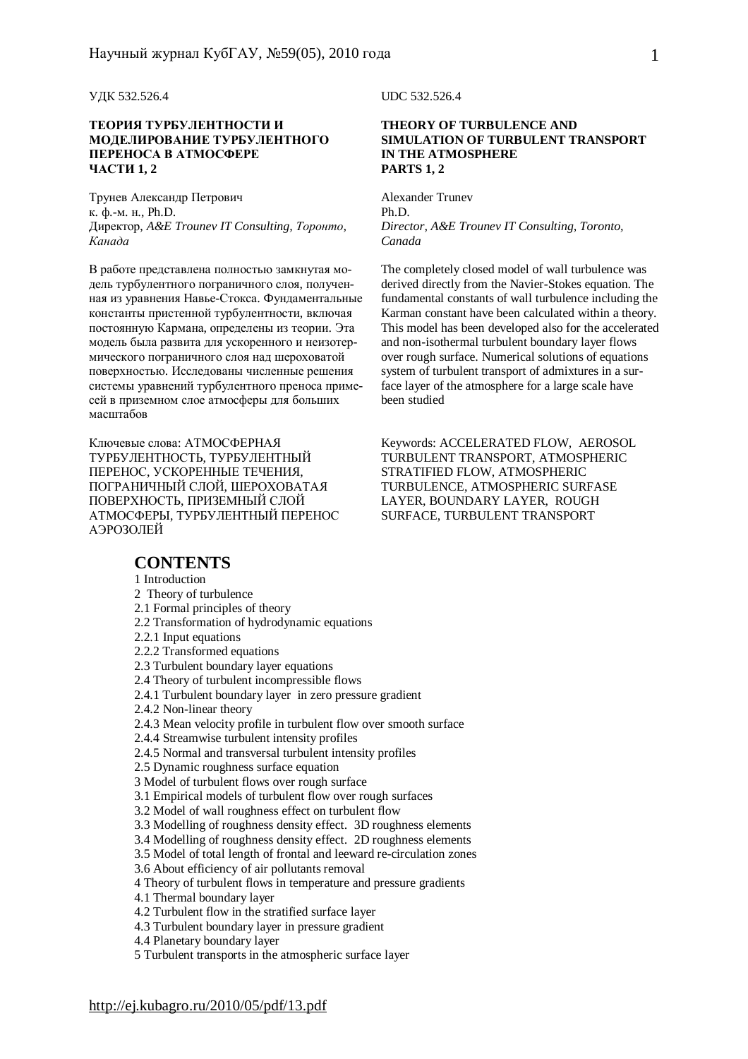#### **ТЕОРИЯ ТУРБУЛЕНТНОСТИ И МОДЕЛИРОВАНИЕ ТУРБУЛЕНТНОГО ПЕРЕНОСА В АТМОСФЕРЕ ЧАСТИ 1, 2**

Трунев Александр Петрович к. ф.-м. н., Ph.D. Директор, *A&E Trounev IT Consulting, Торонто, Канада*

В работе представлена полностью замкнутая модель турбулентного пограничного слоя, полученная из уравнения Навье-Стокса. Фундаментальные константы пристенной турбулентности, включая постоянную Кармана, определены из теории. Эта модель была развита для ускоренного и неизотермического пограничного слоя над шероховатой поверхностью. Исследованы численные решения системы уравнений турбулентного преноса примесей в приземном слое атмосферы для больших масштабов

Ключевые слова: АТМОСФЕРНАЯ ТУРБУЛЕНТНОСТЬ, ТУРБУЛЕНТНЫЙ ПЕРЕНОС, УСКОРЕННЫЕ ТЕЧЕНИЯ, ПОГРАНИЧНЫЙ СЛОЙ, ШЕРОХОВАТАЯ ПОВЕРХНОСТЬ, ПРИЗЕМНЫЙ СЛОЙ АТМОСФЕРЫ, ТУРБУЛЕНТНЫЙ ПЕРЕНОС АЭРОЗОЛЕЙ

## **CONTENTS**

#### 1 Introduction

#### 2 Theory of turbulence

- 2.1 Formal principles of theory
- 2.2 Transformation of hydrodynamic equations
- 2.2.1 Input equations
- 2.2.2 Transformed equations
- 2.3 Turbulent boundary layer equations
- 2.4 Theory of turbulent incompressible flows
- 2.4.1 Turbulent boundary layer in zero pressure gradient
- 2.4.2 Non-linear theory
- 2.4.3 Mean velocity profile in turbulent flow over smooth surface
- 2.4.4 Streamwise turbulent intensity profiles
- 2.4.5 Normal and transversal turbulent intensity profiles
- 2.5 Dynamic roughness surface equation
- 3 Model of turbulent flows over rough surface
- 3.1 Empirical models of turbulent flow over rough surfaces
- 3.2 Model of wall roughness effect on turbulent flow
- 3.3 Modelling of roughness density effect. 3D roughness elements
- 3.4 Modelling of roughness density effect. 2D roughness elements
- 3.5 Model of total length of frontal and leeward re-circulation zones
- 3.6 About efficiency of air pollutants removal
- 4 Theory of turbulent flows in temperature and pressure gradients
- 4.1 Thermal boundary layer
- 4.2 Turbulent flow in the stratified surface layer
- 4.3 Turbulent boundary layer in pressure gradient
- 4.4 Planetary boundary layer
- 5 Turbulent transports in the atmospheric surface layer

УДК 532.526.4 UDC 532.526.4

#### **THEORY OF TURBULENCE AND SIMULATION OF TURBULENT TRANSPORT IN THE ATMOSPHERE PARTS 1, 2**

Alexander Trunev Ph.D. *Director, A&E Trounev IT Consulting, Toronto, Canada* 

The completely closed model of wall turbulence was derived directly from the Navier-Stokes equation. The fundamental constants of wall turbulence including the Karman constant have been calculated within a theory. This model has been developed also for the accelerated and non-isothermal turbulent boundary layer flows over rough surface. Numerical solutions of equations system of turbulent transport of admixtures in a surface layer of the atmosphere for a large scale have been studied

Keywords: ACCELERATED FLOW, AEROSOL TURBULENT TRANSPORT, ATMOSPHERIC STRATIFIED FLOW, ATMOSPHERIC TURBULENCE, ATMOSPHERIC SURFASE LAYER, BOUNDARY LAYER, ROUGH SURFACE, TURBULENT TRANSPORT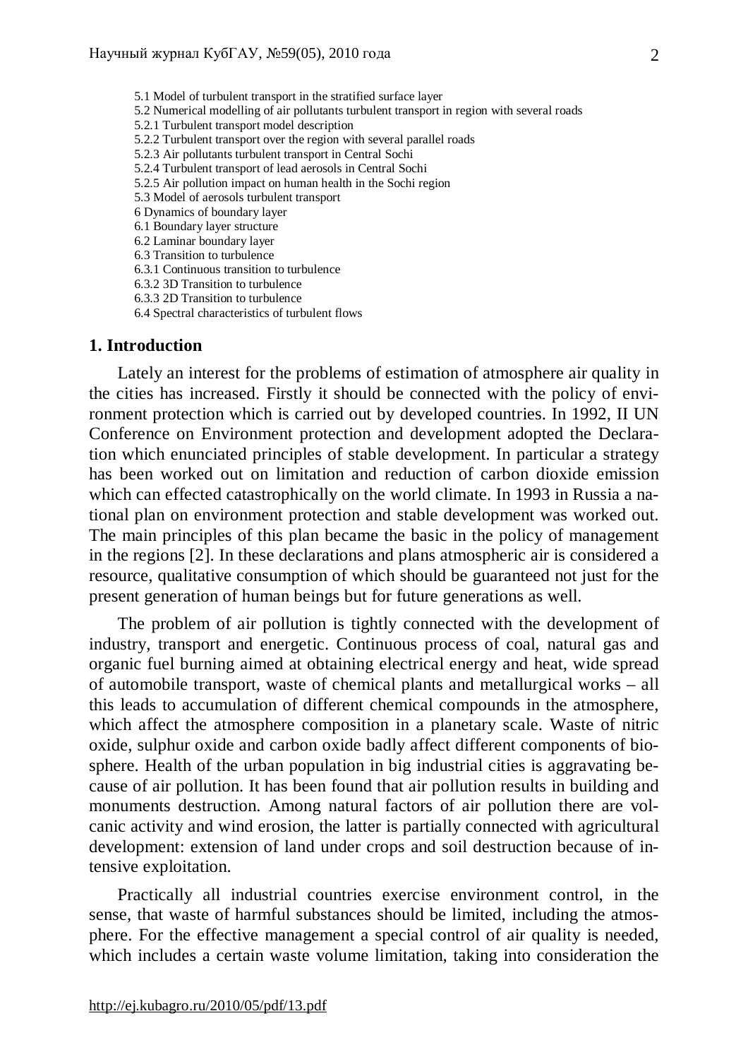5.1 Model of turbulent transport in the stratified surface layer 5.2 Numerical modelling of air pollutants turbulent transport in region with several roads 5.2.1 Turbulent transport model description 5.2.2 Turbulent transport over the region with several parallel roads 5.2.3 Air pollutants turbulent transport in Central Sochi 5.2.4 Turbulent transport of lead aerosols in Central Sochi 5.2.5 Air pollution impact on human health in the Sochi region 5.3 Model of aerosols turbulent transport 6 Dynamics of boundary layer 6.1 Boundary layer structure 6.2 Laminar boundary layer 6.3 Transition to turbulence 6.3.1 Continuous transition to turbulence 6.3.2 3D Transition to turbulence 6.3.3 2D Transition to turbulence 6.4 Spectral characteristics of turbulent flows

## **1. Introduction**

Lately an interest for the problems of estimation of atmosphere air quality in the cities has increased. Firstly it should be connected with the policy of environment protection which is carried out by developed countries. In 1992, II UN Conference on Environment protection and development adopted the Declaration which enunciated principles of stable development. In particular a strategy has been worked out on limitation and reduction of carbon dioxide emission which can effected catastrophically on the world climate. In 1993 in Russia a national plan on environment protection and stable development was worked out. The main principles of this plan became the basic in the policy of management in the regions [2]. In these declarations and plans atmospheric air is considered a resource, qualitative consumption of which should be guaranteed not just for the present generation of human beings but for future generations as well.

The problem of air pollution is tightly connected with the development of industry, transport and energetic. Continuous process of coal, natural gas and organic fuel burning aimed at obtaining electrical energy and heat, wide spread of automobile transport, waste of chemical plants and metallurgical works – all this leads to accumulation of different chemical compounds in the atmosphere, which affect the atmosphere composition in a planetary scale. Waste of nitric oxide, sulphur oxide and carbon oxide badly affect different components of biosphere. Health of the urban population in big industrial cities is aggravating because of air pollution. It has been found that air pollution results in building and monuments destruction. Among natural factors of air pollution there are volcanic activity and wind erosion, the latter is partially connected with agricultural development: extension of land under crops and soil destruction because of intensive exploitation.

Practically all industrial countries exercise environment control, in the sense, that waste of harmful substances should be limited, including the atmosphere. For the effective management a special control of air quality is needed, which includes a certain waste volume limitation, taking into consideration the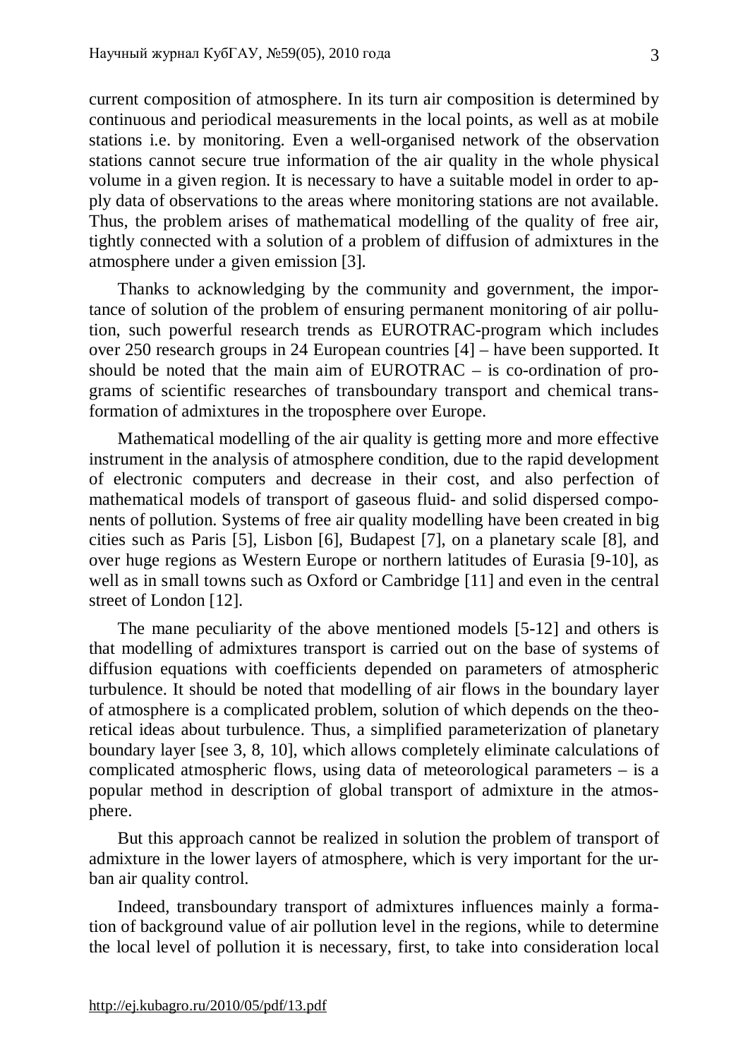current composition of atmosphere. In its turn air composition is determined by continuous and periodical measurements in the local points, as well as at mobile stations i.e. by monitoring. Even a well-organised network of the observation stations cannot secure true information of the air quality in the whole physical volume in a given region. It is necessary to have a suitable model in order to apply data of observations to the areas where monitoring stations are not available. Thus, the problem arises of mathematical modelling of the quality of free air, tightly connected with a solution of a problem of diffusion of admixtures in the atmosphere under a given emission [3].

Thanks to acknowledging by the community and government, the importance of solution of the problem of ensuring permanent monitoring of air pollution, such powerful research trends as EUROTRAC-program which includes over 250 research groups in 24 European countries [4] – have been supported. It should be noted that the main aim of EUROTRAC – is co-ordination of programs of scientific researches of transboundary transport and chemical transformation of admixtures in the troposphere over Europe.

Mathematical modelling of the air quality is getting more and more effective instrument in the analysis of atmosphere condition, due to the rapid development of electronic computers and decrease in their cost, and also perfection of mathematical models of transport of gaseous fluid- and solid dispersed components of pollution. Systems of free air quality modelling have been created in big cities such as Paris [5], Lisbon [6], Budapest [7], on a planetary scale [8], and over huge regions as Western Europe or northern latitudes of Eurasia [9-10], as well as in small towns such as Oxford or Cambridge [11] and even in the central street of London [12].

The mane peculiarity of the above mentioned models [5-12] and others is that modelling of admixtures transport is carried out on the base of systems of diffusion equations with coefficients depended on parameters of atmospheric turbulence. It should be noted that modelling of air flows in the boundary layer of atmosphere is a complicated problem, solution of which depends on the theoretical ideas about turbulence. Thus, a simplified parameterization of planetary boundary layer [see 3, 8, 10], which allows completely eliminate calculations of complicated atmospheric flows, using data of meteorological parameters – is a popular method in description of global transport of admixture in the atmosphere.

But this approach cannot be realized in solution the problem of transport of admixture in the lower layers of atmosphere, which is very important for the urban air quality control.

Indeed, transboundary transport of admixtures influences mainly a formation of background value of air pollution level in the regions, while to determine the local level of pollution it is necessary, first, to take into consideration local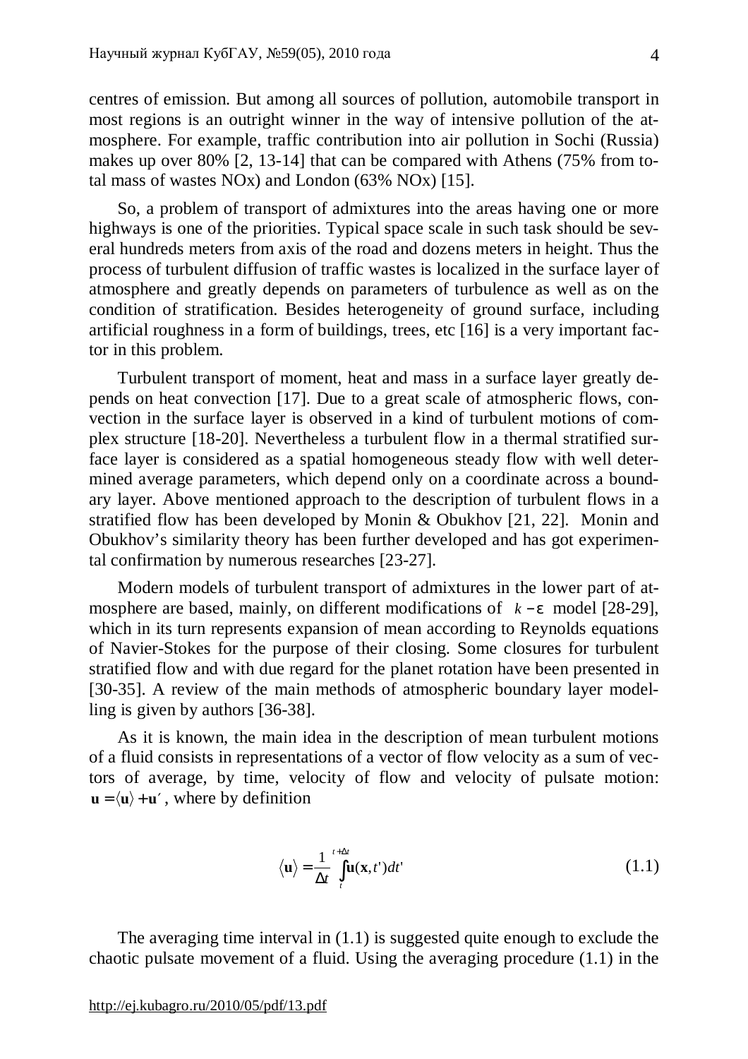centres of emission. But among all sources of pollution, automobile transport in most regions is an outright winner in the way of intensive pollution of the atmosphere. For example, traffic contribution into air pollution in Sochi (Russia) makes up over 80% [2, 13-14] that can be compared with Athens (75% from total mass of wastes NOx) and London (63% NOx) [15].

So, a problem of transport of admixtures into the areas having one or more highways is one of the priorities. Typical space scale in such task should be several hundreds meters from axis of the road and dozens meters in height. Thus the process of turbulent diffusion of traffic wastes is localized in the surface layer of atmosphere and greatly depends on parameters of turbulence as well as on the condition of stratification. Besides heterogeneity of ground surface, including artificial roughness in a form of buildings, trees, etc [16] is a very important factor in this problem.

Turbulent transport of moment, heat and mass in a surface layer greatly depends on heat convection [17]. Due to a great scale of atmospheric flows, convection in the surface layer is observed in a kind of turbulent motions of complex structure [18-20]. Nevertheless a turbulent flow in a thermal stratified surface layer is considered as a spatial homogeneous steady flow with well determined average parameters, which depend only on a coordinate across a boundary layer. Above mentioned approach to the description of turbulent flows in a stratified flow has been developed by Monin & Obukhov [21, 22]. Monin and Obukhov's similarity theory has been further developed and has got experimental confirmation by numerous researches [23-27].

Modern models of turbulent transport of admixtures in the lower part of atmosphere are based, mainly, on different modifications of *k* − *e* model [28-29], which in its turn represents expansion of mean according to Reynolds equations of Navier-Stokes for the purpose of their closing. Some closures for turbulent stratified flow and with due regard for the planet rotation have been presented in [30-35]. A review of the main methods of atmospheric boundary layer modelling is given by authors [36-38].

As it is known, the main idea in the description of mean turbulent motions of a fluid consists in representations of a vector of flow velocity as a sum of vectors of average, by time, velocity of flow and velocity of pulsate motion:  $\mathbf{u} = \langle \mathbf{u} \rangle + \mathbf{u}'$ , where by definition

$$
\langle \mathbf{u} \rangle = \frac{1}{\Delta t} \int_{t}^{t + \Delta t} \mathbf{u}(\mathbf{x}, t') dt' \tag{1.1}
$$

The averaging time interval in (1.1) is suggested quite enough to exclude the chaotic pulsate movement of a fluid. Using the averaging procedure (1.1) in the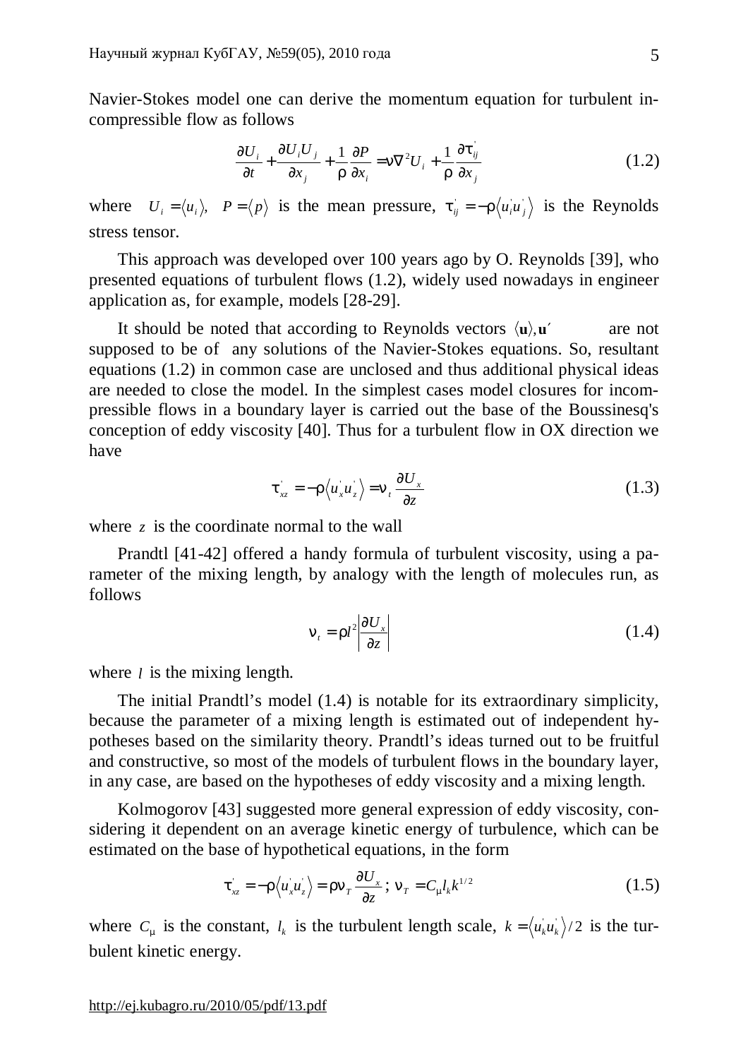Navier-Stokes model one can derive the momentum equation for turbulent incompressible flow as follows

$$
\frac{\partial U_i}{\partial t} + \frac{\partial U_i U_j}{\partial x_j} + \frac{1}{r} \frac{\partial P}{\partial x_i} = n \nabla^2 U_i + \frac{1}{r} \frac{\partial t_{ij}}{\partial x_j}
$$
(1.2)

where  $U_i = \langle u_i \rangle$ ,  $P = \langle p \rangle$  is the mean pressure,  $t_{ij} = -r \langle u_i u_j \rangle$  is the Reynolds stress tensor.

This approach was developed over 100 years ago by O. Reynolds [39], who presented equations of turbulent flows (1.2), widely used nowadays in engineer application as, for example, models [28-29].

It should be noted that according to Reynolds vectors  $\langle u \rangle$ ,  $u'$  are not supposed to be of any solutions of the Navier-Stokes equations. So, resultant equations (1.2) in common case are unclosed and thus additional physical ideas are needed to close the model. In the simplest cases model closures for incompressible flows in a boundary layer is carried out the base of the Boussinesq's conception of eddy viscosity [40]. Thus for a turbulent flow in OX direction we have

$$
t_{xz} = -r \langle u_x u_z \rangle = n_t \frac{\partial U_x}{\partial z}
$$
 (1.3)

where *z* is the coordinate normal to the wall

Prandtl [41-42] offered a handy formula of turbulent viscosity, using a parameter of the mixing length, by analogy with the length of molecules run, as follows

$$
n_{t} = r l^{2} \left| \frac{\partial U_{x}}{\partial z} \right| \tag{1.4}
$$

where *l* is the mixing length.

The initial Prandtl's model (1.4) is notable for its extraordinary simplicity, because the parameter of a mixing length is estimated out of independent hypotheses based on the similarity theory. Prandtl's ideas turned out to be fruitful and constructive, so most of the models of turbulent flows in the boundary layer, in any case, are based on the hypotheses of eddy viscosity and a mixing length.

Kolmogorov [43] suggested more general expression of eddy viscosity, considering it dependent on an average kinetic energy of turbulence, which can be estimated on the base of hypothetical equations, in the form

$$
t_{xz} = -r \langle u_x u_z \rangle = r n_T \frac{\partial U_x}{\partial z}; \ n_T = C_m l_k k^{1/2}
$$
 (1.5)

where  $C_m$  is the constant,  $l_k$  is the turbulent length scale,  $k = \langle u_k u_k \rangle/2$  is the turbulent kinetic energy.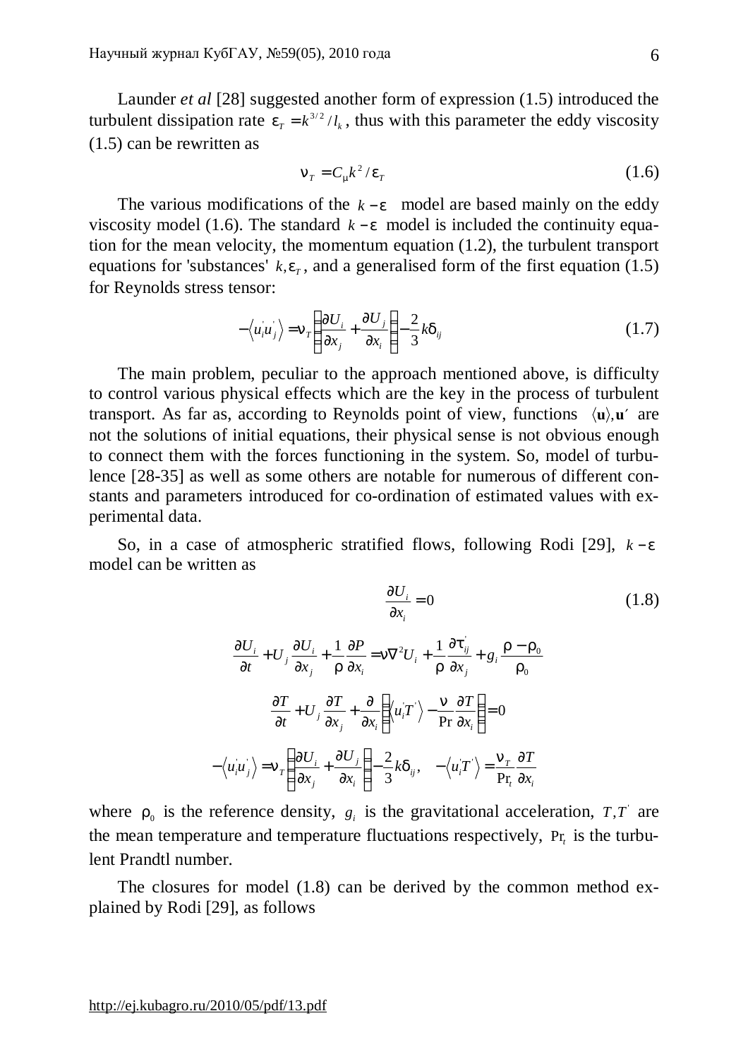Launder *et al* [28] suggested another form of expression (1.5) introduced the turbulent dissipation rate  $e_r = k^{3/2}/l_k$ , thus with this parameter the eddy viscosity (1.5) can be rewritten as

$$
n_{\scriptscriptstyle T} = C_{\scriptscriptstyle m} k^2 / e_{\scriptscriptstyle T} \tag{1.6}
$$

The various modifications of the *k* − *e* model are based mainly on the eddy viscosity model (1.6). The standard  $k - e$  model is included the continuity equation for the mean velocity, the momentum equation (1.2), the turbulent transport equations for 'substances'  $k, e<sub>r</sub>$ , and a generalised form of the first equation (1.5) for Reynolds stress tensor:

$$
-\langle u_i u_j \rangle = n_r \left( \frac{\partial U_i}{\partial x_j} + \frac{\partial U_j}{\partial x_i} \right) - \frac{2}{3} k d_{ij}
$$
 (1.7)

The main problem, peculiar to the approach mentioned above, is difficulty to control various physical effects which are the key in the process of turbulent transport. As far as, according to Reynolds point of view, functions  $\langle u \rangle$ ,  $u'$  are not the solutions of initial equations, their physical sense is not obvious enough to connect them with the forces functioning in the system. So, model of turbulence [28-35] as well as some others are notable for numerous of different constants and parameters introduced for co-ordination of estimated values with experimental data.

So, in a case of atmospheric stratified flows, following Rodi [29], *k* − *e* model can be written as

$$
\frac{\partial U_i}{\partial x_i} = 0 \qquad (1.8)
$$
\n
$$
\frac{\partial U_i}{\partial t} + U_j \frac{\partial U_i}{\partial x_j} + \frac{1}{r} \frac{\partial P}{\partial x_i} = n \nabla^2 U_i + \frac{1}{r} \frac{\partial t_{ij}}{\partial x_j} + g_i \frac{r - r_0}{r_0}
$$
\n
$$
\frac{\partial T}{\partial t} + U_j \frac{\partial T}{\partial x_j} + \frac{\partial}{\partial x_i} \left( \langle u_i T' \rangle - \frac{n}{\text{Pr}} \frac{\partial T}{\partial x_i} \right) = 0
$$
\n
$$
-\langle u_i u_j \rangle = n_r \left( \frac{\partial U_i}{\partial x_j} + \frac{\partial U_j}{\partial x_i} \right) - \frac{2}{3} k d_{ij}, \quad -\langle u_i T' \rangle = \frac{n_r}{\text{Pr}} \frac{\partial T}{\partial x_i}
$$
\n(1.8)

where  $r_0$  is the reference density,  $g_i$  is the gravitational acceleration,  $T,T$  are the mean temperature and temperature fluctuations respectively, Pr<sub>t</sub> is the turbulent Prandtl number.

The closures for model (1.8) can be derived by the common method explained by Rodi [29], as follows

<http://ej.kubagro.ru/2010/05/pdf/13.pdf>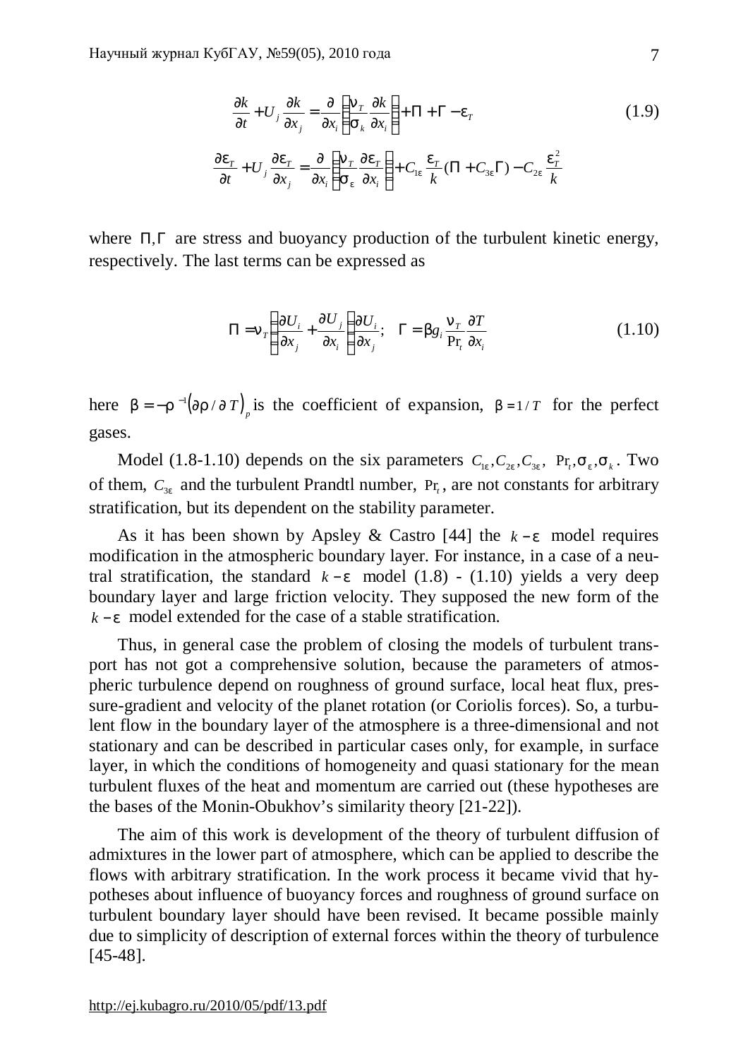∂

$$
\frac{\partial k}{\partial t} + U_j \frac{\partial k}{\partial x_j} = \frac{\partial}{\partial x_i} \left( \frac{n_r}{s_k} \frac{\partial k}{\partial x_i} \right) + \Pi + \Gamma - e_r
$$
\n
$$
\frac{\partial e_r}{\partial t} + U_j \frac{\partial e_r}{\partial x_j} = \frac{\partial}{\partial x_i} \left( \frac{n_r}{s_e} \frac{\partial e_r}{\partial x_i} \right) + C_{1e} \frac{e_r}{k} (\Pi + C_{3e} \Gamma) - C_{2e} \frac{e_r^2}{k}
$$
\n(1.9)

where Π,Γ are stress and buoyancy production of the turbulent kinetic energy, respectively. The last terms can be expressed as

$$
\Pi = n_r \left( \frac{\partial U_i}{\partial x_j} + \frac{\partial U_j}{\partial x_i} \right) \frac{\partial U_i}{\partial x_j}; \quad \Gamma = b g_i \frac{n_r}{p r_i} \frac{\partial T}{\partial x_i}
$$
(1.10)

here  $b = -r^{-1} (\text{Im} / \text{Tr})$  is the coefficient of expansion,  $b = 1/T$  for the perfect gases.

Model (1.8-1.10) depends on the six parameters  $C_{1e}$ ,  $C_{2e}$ ,  $C_{3e}$ ,  $Pr_{i}$ ,  $S_{e}$ ,  $S_{i}$ . Two of them,  $C_{3e}$  and the turbulent Prandtl number,  $Pr_t$ , are not constants for arbitrary stratification, but its dependent on the stability parameter.

As it has been shown by Apsley & Castro [44] the *k* − *e* model requires modification in the atmospheric boundary layer. For instance, in a case of a neutral stratification, the standard  $k - e$  model (1.8) - (1.10) yields a very deep boundary layer and large friction velocity. They supposed the new form of the *k* − *e* model extended for the case of a stable stratification.

Thus, in general case the problem of closing the models of turbulent transport has not got a comprehensive solution, because the parameters of atmospheric turbulence depend on roughness of ground surface, local heat flux, pressure-gradient and velocity of the planet rotation (or Coriolis forces). So, a turbulent flow in the boundary layer of the atmosphere is a three-dimensional and not stationary and can be described in particular cases only, for example, in surface layer, in which the conditions of homogeneity and quasi stationary for the mean turbulent fluxes of the heat and momentum are carried out (these hypotheses are the bases of the Monin-Obukhov's similarity theory [21-22]).

The aim of this work is development of the theory of turbulent diffusion of admixtures in the lower part of atmosphere, which can be applied to describe the flows with arbitrary stratification. In the work process it became vivid that hypotheses about influence of buoyancy forces and roughness of ground surface on turbulent boundary layer should have been revised. It became possible mainly due to simplicity of description of external forces within the theory of turbulence [45-48].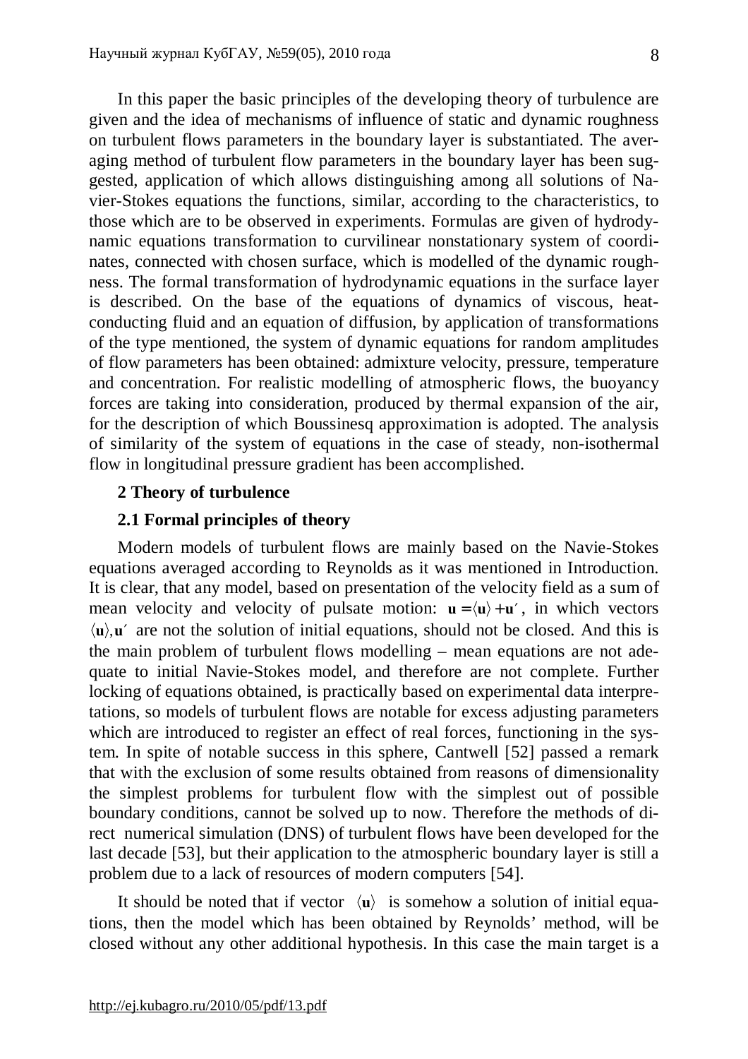In this paper the basic principles of the developing theory of turbulence are given and the idea of mechanisms of influence of static and dynamic roughness on turbulent flows parameters in the boundary layer is substantiated. The averaging method of turbulent flow parameters in the boundary layer has been suggested, application of which allows distinguishing among all solutions of Navier-Stokes equations the functions, similar, according to the characteristics, to those which are to be observed in experiments. Formulas are given of hydrodynamic equations transformation to curvilinear nonstationary system of coordinates, connected with chosen surface, which is modelled of the dynamic roughness. The formal transformation of hydrodynamic equations in the surface layer is described. On the base of the equations of dynamics of viscous, heatconducting fluid and an equation of diffusion, by application of transformations of the type mentioned, the system of dynamic equations for random amplitudes of flow parameters has been obtained: admixture velocity, pressure, temperature and concentration. For realistic modelling of atmospheric flows, the buoyancy forces are taking into consideration, produced by thermal expansion of the air, for the description of which Boussinesq approximation is adopted. The analysis of similarity of the system of equations in the case of steady, non-isothermal flow in longitudinal pressure gradient has been accomplished.

# **2 Theory of turbulence**

# **2.1 Formal principles of theory**

Modern models of turbulent flows are mainly based on the Navie-Stokes equations averaged according to Reynolds as it was mentioned in Introduction. It is clear, that any model, based on presentation of the velocity field as a sum of mean velocity and velocity of pulsate motion:  $\mathbf{u} = \langle \mathbf{u} \rangle + \mathbf{u}'$ , in which vectors  $\langle u \rangle$ ,  $u'$  are not the solution of initial equations, should not be closed. And this is the main problem of turbulent flows modelling – mean equations are not adequate to initial Navie-Stokes model, and therefore are not complete. Further locking of equations obtained, is practically based on experimental data interpretations, so models of turbulent flows are notable for excess adjusting parameters which are introduced to register an effect of real forces, functioning in the system. In spite of notable success in this sphere, Cantwell [52] passed a remark that with the exclusion of some results obtained from reasons of dimensionality the simplest problems for turbulent flow with the simplest out of possible boundary conditions, cannot be solved up to now. Therefore the methods of direct numerical simulation (DNS) of turbulent flows have been developed for the last decade [53], but their application to the atmospheric boundary layer is still a problem due to a lack of resources of modern computers [54].

It should be noted that if vector  $\langle u \rangle$  is somehow a solution of initial equations, then the model which has been obtained by Reynolds' method, will be closed without any other additional hypothesis. In this case the main target is a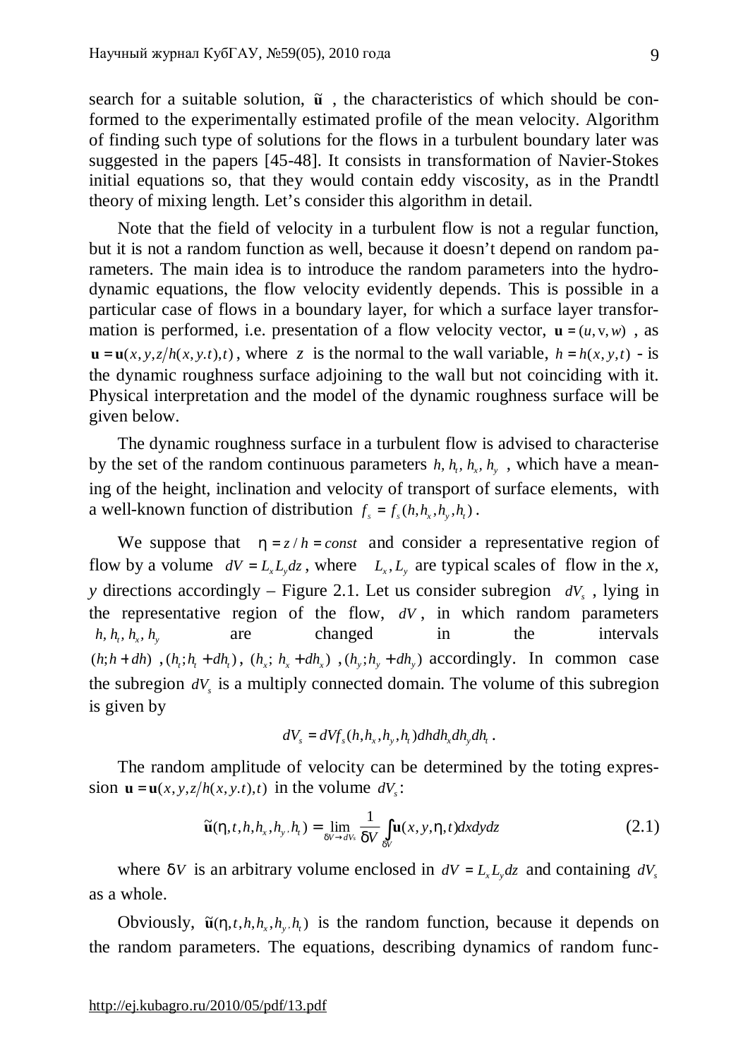search for a suitable solution,  $\tilde{u}$ , the characteristics of which should be conformed to the experimentally estimated profile of the mean velocity. Algorithm of finding such type of solutions for the flows in a turbulent boundary later was suggested in the papers [45-48]. It consists in transformation of Navier-Stokes initial equations so, that they would contain eddy viscosity, as in the Prandtl theory of mixing length. Let's consider this algorithm in detail.

Note that the field of velocity in a turbulent flow is not a regular function, but it is not a random function as well, because it doesn't depend on random parameters. The main idea is to introduce the random parameters into the hydrodynamic equations, the flow velocity evidently depends. This is possible in a particular case of flows in a boundary layer, for which a surface layer transformation is performed, i.e. presentation of a flow velocity vector,  $\mathbf{u} = (u, v, w)$ , as  $\mathbf{u} = \mathbf{u}(x, y, z/h(x, y, t), t)$ , where *z* is the normal to the wall variable,  $h = h(x, y, t) -$ is the dynamic roughness surface adjoining to the wall but not coinciding with it. Physical interpretation and the model of the dynamic roughness surface will be given below.

The dynamic roughness surface in a turbulent flow is advised to characterise by the set of the random continuous parameters  $h$ ,  $h$ <sub>*,*</sub>,  $h$ <sub>*y*</sub>,  $h$ <sub>*y*</sub>, which have a meaning of the height, inclination and velocity of transport of surface elements, with a well-known function of distribution  $f_s = f_s(h, h_x, h_y, h_t)$ .

We suppose that  $h = z/h = const$  and consider a representative region of flow by a volume  $dV = L_x L_y dz$ , where  $L_x, L_y$  are typical scales of flow in the *x*, *y* directions accordingly – Figure 2.1. Let us consider subregion *dV<sup>s</sup>* , lying in the representative region of the flow, *dV* , in which random parameters *h,*  $h_r$ ,  $h_x$ ,  $h_y$  are changed in the intervals  $(h; h + dh)$ ,  $(h_i; h_i + dh_i)$ ,  $(h_x; h_x + dh_x)$ ,  $(h_y; h_y + dh_y)$  accordingly. In common case the subregion  $dV_s$  is a multiply connected domain. The volume of this subregion is given by

$$
dV_s = dVf_s(h, h_x, h_y, h_t)dhdh_xdh_ydh_t.
$$

The random amplitude of velocity can be determined by the toting expression  $\mathbf{u} = \mathbf{u}(x, y, z/h(x, y, t), t)$  in the volume  $dV_s$ :

$$
\widetilde{\mathbf{u}}(h,t,h,h_x,h_y,h_t) = \lim_{dV \to dV_s} \frac{1}{dV} \int_{dV} \mathbf{u}(x,y,h,t) dx dy dz
$$
\n(2.1)

where *dV* is an arbitrary volume enclosed in  $dV = L<sub>r</sub> L<sub>v</sub> dz$  and containing  $dV<sub>s</sub>$ as a whole.

Obviously,  $\tilde{\mathbf{u}}(h, t, h, h_x, h_y, h_t)$  is the random function, because it depends on the random parameters. The equations, describing dynamics of random func-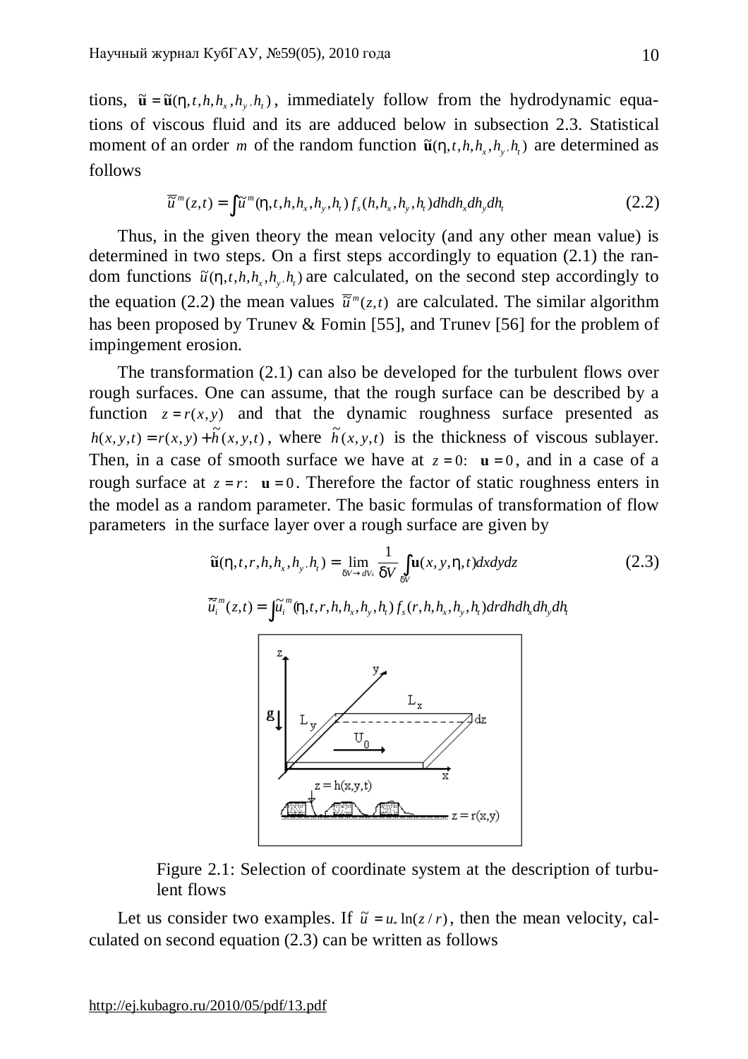tions,  $\tilde{\mathbf{u}} = \tilde{\mathbf{u}}(h, t, h, h_x, h_y, h_t)$ , immediately follow from the hydrodynamic equations of viscous fluid and its are adduced below in subsection 2.3. Statistical moment of an order *m* of the random function  $\tilde{\mathbf{u}}(h,t,h,h,h,h)$  are determined as follows

$$
\overline{\widetilde{u}}^{m}(z,t) = \int \widetilde{u}^{m}(h,t,h,h_{x},h_{y},h_{t}) f_{s}(h,h_{x},h_{y},h_{t}) dh dh_{x} dh_{y} dh_{t}
$$
\n(2.2)

Thus, in the given theory the mean velocity (and any other mean value) is determined in two steps. On a first steps accordingly to equation (2.1) the random functions  $\tilde{u}(h, t, h, h, h, h, h)$  are calculated, on the second step accordingly to the equation (2.2) the mean values  $\overline{\tilde{u}}^m(z,t)$  are calculated. The similar algorithm has been proposed by Trunev & Fomin [55], and Trunev [56] for the problem of impingement erosion.

The transformation (2.1) can also be developed for the turbulent flows over rough surfaces. One can assume, that the rough surface can be described by a function  $z = r(x, y)$  and that the dynamic roughness surface presented as  $h(x, y, t) = r(x, y) + \tilde{h}(x, y, t)$ , where  $\tilde{h}(x, y, t)$  is the thickness of viscous sublayer. Then, in a case of smooth surface we have at  $z = 0$ :  $\mathbf{u} = 0$ , and in a case of a rough surface at  $z = r$ :  $\mathbf{u} = 0$ . Therefore the factor of static roughness enters in the model as a random parameter. The basic formulas of transformation of flow parameters in the surface layer over a rough surface are given by

$$
\widetilde{\mathbf{u}}(h,t,r,h,h_x,h_y,h_t) = \lim_{dV \to dV_s} \frac{1}{dV} \int_{dV} \mathbf{u}(x,y,h,t) dxdydz
$$
\n(2.3)\n
$$
\overline{\widetilde{u}}_i^m(z,t) = \int \widetilde{u}_i^m(h,t,r,h,h_x,h_y,h_t) f_s(r,h,h_x,h_y,h_t) dr dh dh_x dh_y dh_t
$$



Figure 2.1: Selection of coordinate system at the description of turbulent flows

Let us consider two examples. If  $\tilde{u} = u_* \ln(z / r)$ , then the mean velocity, calculated on second equation (2.3) can be written as follows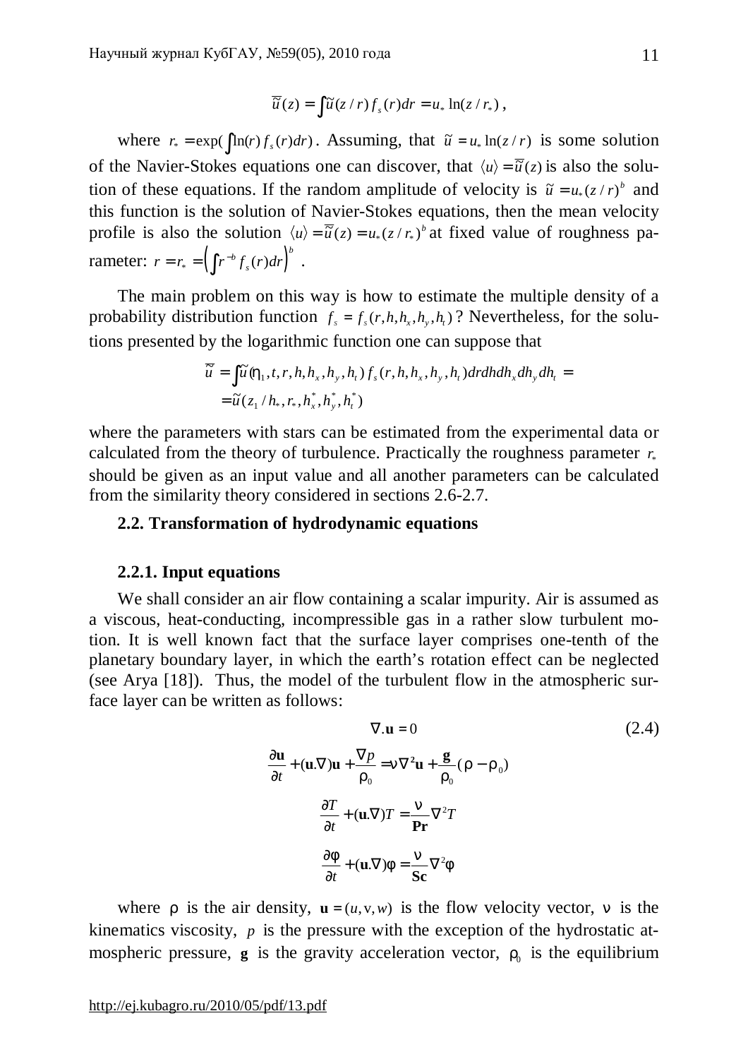$$
\overline{\widetilde{u}}(z) = \int \widetilde{u}(z/r) f_s(r) dr = u_* \ln(z/r_*) ,
$$

where  $r_* = \exp(\int \ln(r) f_s(r) dr)$ . Assuming, that  $\tilde{u} = u_* \ln(z/r)$  is some solution of the Navier-Stokes equations one can discover, that  $\langle u \rangle = \overline{\tilde{u}}(z)$  is also the solution of these equations. If the random amplitude of velocity is  $\tilde{u} = u_*(z/r)^b$  and this function is the solution of Navier-Stokes equations, then the mean velocity profile is also the solution  $\langle u \rangle = \overline{\tilde{u}}(z) = u_*(z/r_*)^b$  at fixed value of roughness parameter:  $r = r_* = \left( \int r^{-b} f_s(r) dr \right)^{b}$ *s*  $= r_* = \left( \int r^{-b} f_s(r) dr \right)^b$ .

The main problem on this way is how to estimate the multiple density of a probability distribution function  $f_s = f_s(r, h, h_x, h_y, h_t)$ ? Nevertheless, for the solutions presented by the logarithmic function one can suppose that

$$
\overline{\widetilde{u}} = \int \widetilde{u} (h_1, t, r, h, h_x, h_y, h_t) f_s(r, h, h_x, h_y, h_t) dr dh dh_x dh_y dh_t =
$$
  
=  $\widetilde{u} (z_1/h_*, r_*, h_x^*, h_y^*, h_t^*)$ 

where the parameters with stars can be estimated from the experimental data or calculated from the theory of turbulence. Practically the roughness parameter  $r_*$ should be given as an input value and all another parameters can be calculated from the similarity theory considered in sections 2.6-2.7.

# **2.2. Transformation of hydrodynamic equations**

### **2.2.1. Input equations**

We shall consider an air flow containing a scalar impurity. Air is assumed as a viscous, heat-conducting, incompressible gas in a rather slow turbulent motion. It is well known fact that the surface layer comprises one-tenth of the planetary boundary layer, in which the earth's rotation effect can be neglected (see Arya [18]). Thus, the model of the turbulent flow in the atmospheric surface layer can be written as follows:

$$
\nabla \cdot \mathbf{u} = 0
$$
 (2.4)  
\n
$$
\frac{\partial \mathbf{u}}{\partial t} + (\mathbf{u}.\nabla)\mathbf{u} + \frac{\nabla p}{r_0} = n\nabla^2 \mathbf{u} + \frac{\mathbf{g}}{r_0}(r - r_0)
$$
  
\n
$$
\frac{\partial T}{\partial t} + (\mathbf{u}.\nabla)T = \frac{n}{\mathbf{Pr}}\nabla^2 T
$$
  
\n
$$
\frac{\partial f}{\partial t} + (\mathbf{u}.\nabla)f = \frac{n}{\mathbf{Sc}}\nabla^2 f
$$

where *r* is the air density,  $\mathbf{u} = (u, v, w)$  is the flow velocity vector, *n* is the kinematics viscosity, *p* is the pressure with the exception of the hydrostatic atmospheric pressure,  $g$  is the gravity acceleration vector,  $r_0$  is the equilibrium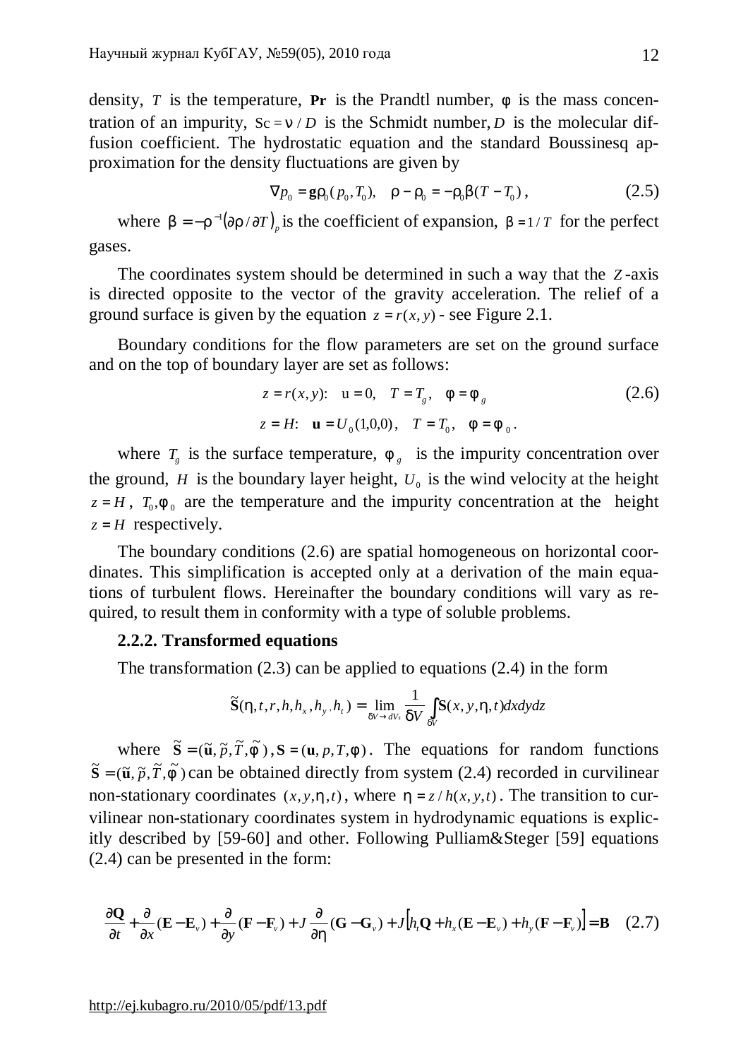density, *T* is the temperature, **Pr** is the Prandtl number, *f* is the mass concentration of an impurity,  $Sc = n/D$  is the Schmidt number, *D* is the molecular diffusion coefficient. The hydrostatic equation and the standard Boussinesq approximation for the density fluctuations are given by

$$
\nabla p_0 = \mathbf{g} r_0(p_0, T_0), \quad r - r_0 = -r_0 b(T - T_0), \tag{2.5}
$$

where  $b = -r^{-1}(\partial r / \partial T)$ <sub>*p*</sub> is the coefficient of expansion,  $b = 1/T$  for the perfect gases.

The coordinates system should be determined in such a way that the *Z* -axis is directed opposite to the vector of the gravity acceleration. The relief of a ground surface is given by the equation  $z = r(x, y)$  - see Figure 2.1.

Boundary conditions for the flow parameters are set on the ground surface and on the top of boundary layer are set as follows:

$$
z = r(x, y): \quad u = 0, \quad T = T_g, \quad f = f_g \tag{2.6}
$$
\n
$$
z = H: \quad \mathbf{u} = U_0(1, 0, 0), \quad T = T_0, \quad f = f_0 \,.
$$

where  $T_g$  is the surface temperature,  $F_g$  is the impurity concentration over the ground,  $H$  is the boundary layer height,  $U_0$  is the wind velocity at the height  $z = H$ ,  $T_0$ ,  $f_0$  are the temperature and the impurity concentration at the height  $z = H$  respectively.

The boundary conditions (2.6) are spatial homogeneous on horizontal coordinates. This simplification is accepted only at a derivation of the main equations of turbulent flows. Hereinafter the boundary conditions will vary as required, to result them in conformity with a type of soluble problems.

# **2.2.2. Transformed equations**

The transformation (2.3) can be applied to equations (2.4) in the form

$$
\widetilde{\mathbf{S}}(\boldsymbol{h},t,\boldsymbol{r},h,h_{\boldsymbol{x}},h_{\boldsymbol{y}},h_{\boldsymbol{t}})=\lim_{dV\rightarrow dV_{\boldsymbol{s}}}\frac{1}{dV}\int_{dV}\mathbf{S}(\boldsymbol{x},\boldsymbol{y},\boldsymbol{h},t)dxd\boldsymbol{y}d\boldsymbol{z}
$$

where  $\tilde{\mathbf{S}} = (\tilde{\mathbf{u}}, \tilde{p}, \tilde{T}, \tilde{f})$ ,  $\mathbf{S} = (\mathbf{u}, p, T, f)$ . The equations for random functions  $\tilde{\mathbf{S}} = (\tilde{\mathbf{u}}, \tilde{p}, \tilde{T}, \tilde{f})$  can be obtained directly from system (2.4) recorded in curvilinear non-stationary coordinates  $(x, y, h, t)$ , where  $h = z / h(x, y, t)$ . The transition to curvilinear non-stationary coordinates system in hydrodynamic equations is explicitly described by [59-60] and other. Following Pulliam&Steger [59] equations (2.4) can be presented in the form:

$$
\frac{\partial \mathbf{Q}}{\partial t} + \frac{\partial}{\partial x} (\mathbf{E} - \mathbf{E}_{\nu}) + \frac{\partial}{\partial y} (\mathbf{F} - \mathbf{F}_{\nu}) + J \frac{\partial}{\partial h} (\mathbf{G} - \mathbf{G}_{\nu}) + J[h_{t} \mathbf{Q} + h_{x} (\mathbf{E} - \mathbf{E}_{\nu}) + h_{y} (\mathbf{F} - \mathbf{F}_{\nu})] = \mathbf{B}
$$
 (2.7)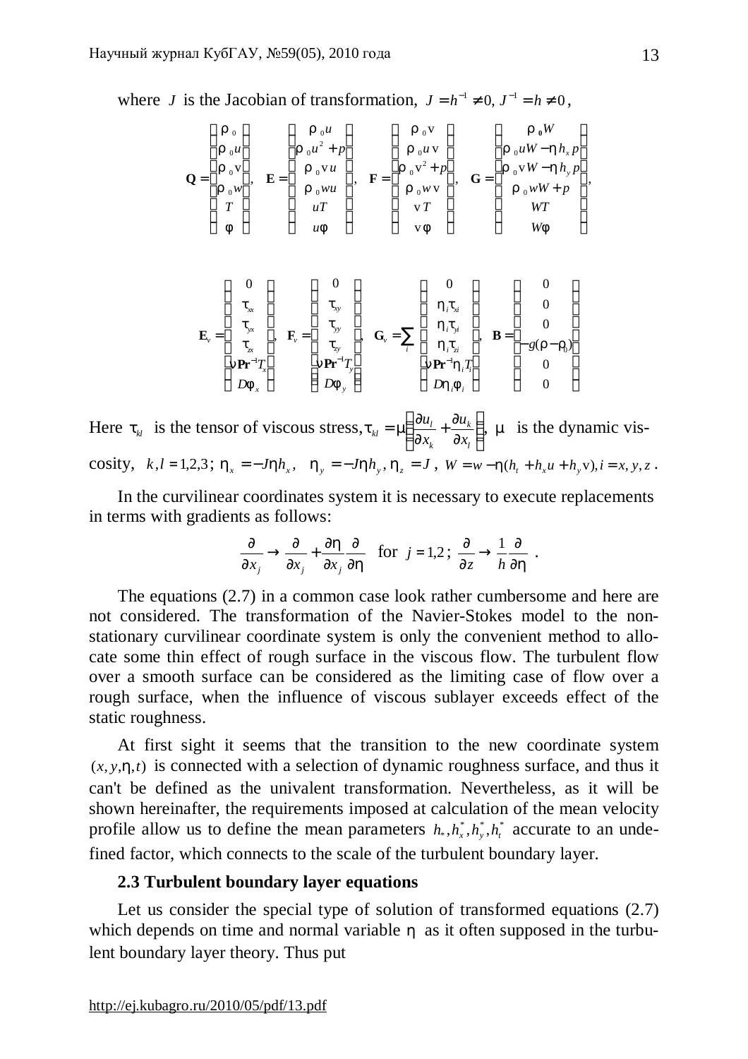where *J* is the Jacobian of transformation,  $J = h^{-1} \neq 0, J^{-1} = h \neq 0$ ,

$$
\mathbf{Q} = \begin{pmatrix} r_0 \\ r_0 u \\ r_0 v \\ r_0 w \\ T \\ f \end{pmatrix}, \quad \mathbf{E} = \begin{pmatrix} r_0 u \\ r_0 u^2 + p \\ r_0 v u \\ r_0 w u \\ uT \\ uF \end{pmatrix}, \quad \mathbf{F} = \begin{pmatrix} r_0 v \\ r_0 u v \\ r_0 u v \\ r_0 w v \\ vT \\ vF \end{pmatrix}, \quad \mathbf{G} = \begin{pmatrix} r_0 W \\ r_0 u W - h h_x p \\ r_0 v W - h h_y p \\ r_0 w W + p \\ wT \\ wF \end{pmatrix}
$$

$$
\mathbf{E}_{\nu} = \begin{pmatrix} 0 \\ t_{\mathbf{x}} \\ t_{\mathbf{y}} \\ t_{\mathbf{z}} \\ n\mathbf{Pr}^{-1}T_{\mathbf{x}} \\ D\mathbf{f}_{\mathbf{x}} \end{pmatrix}, \quad \mathbf{F}_{\nu} = \begin{pmatrix} 0 \\ t_{\mathbf{y}} \\ t_{\mathbf{y}} \\ t_{\mathbf{y}} \\ t_{\mathbf{y}} \\ n\mathbf{Pr}^{-1}T_{\mathbf{y}} \\ D\mathbf{f}_{\mathbf{y}} \end{pmatrix}, \quad \mathbf{G}_{\nu} = \sum_{i} \begin{pmatrix} 0 \\ h_{i}t_{\mathbf{x}} \\ h_{i}t_{\mathbf{y}} \\ h_{i}t_{\mathbf{z}} \\ n\mathbf{Pr}^{-1}h_{i}T_{i} \\ D\mathbf{h}_{i}\mathbf{f}_{i} \end{pmatrix}, \quad \mathbf{B} = \begin{pmatrix} 0 \\ 0 \\ 0 \\ -g(r-r_{0}) \\ 0 \\ 0 \end{pmatrix}
$$

Here  $t_k$  is the tensor of viscous stress,  $t_k = m \frac{\partial u_l}{\partial x} + \frac{\partial u_k}{\partial y}$  $\overline{1}$  $\lambda$  $\mathsf I$ l ſ ∂  $+\frac{6}{5}$ ∂  $= m \frac{\partial}{\partial \zeta}$ *l k k*  $\mu_{kl} = m \frac{\partial u_l}{\partial x_k} + \frac{\partial u_l}{\partial x_l}$ *u x*  $t_{kl} = m \left( \frac{\partial u_l}{\partial t} + \frac{\partial u_k}{\partial t} \right)$ , *m* is the dynamic viscosity,  $k, l = 1,2,3$ ;  $h_x = -Jhh_x$ ,  $h_y = -Jhh_y$ ,  $h_z = J$ ,  $W = w - h(h_t + h_x u + h_y v)$ ,  $i = x, y, z$ .

In the curvilinear coordinates system it is necessary to execute replacements in terms with gradients as follows:

$$
\frac{\partial}{\partial x_j} \to \frac{\partial}{\partial x_j} + \frac{\partial h}{\partial x_j} \frac{\partial}{\partial h} \quad \text{for } j = 1, 2 \; ; \; \frac{\partial}{\partial z} \to \frac{1}{h} \frac{\partial}{\partial h} \; .
$$

The equations (2.7) in a common case look rather cumbersome and here are not considered. The transformation of the Navier-Stokes model to the nonstationary curvilinear coordinate system is only the convenient method to allocate some thin effect of rough surface in the viscous flow. The turbulent flow over a smooth surface can be considered as the limiting case of flow over a rough surface, when the influence of viscous sublayer exceeds effect of the static roughness.

At first sight it seems that the transition to the new coordinate system  $(x, y, h, t)$  is connected with a selection of dynamic roughness surface, and thus it can't be defined as the univalent transformation. Nevertheless, as it will be shown hereinafter, the requirements imposed at calculation of the mean velocity profile allow us to define the mean parameters  $h_*, h_*^*, h_*^*, h_t^*$  accurate to an undefined factor, which connects to the scale of the turbulent boundary layer.

# **2.3 Turbulent boundary layer equations**

Let us consider the special type of solution of transformed equations  $(2.7)$ which depends on time and normal variable *h* as it often supposed in the turbulent boundary layer theory. Thus put

,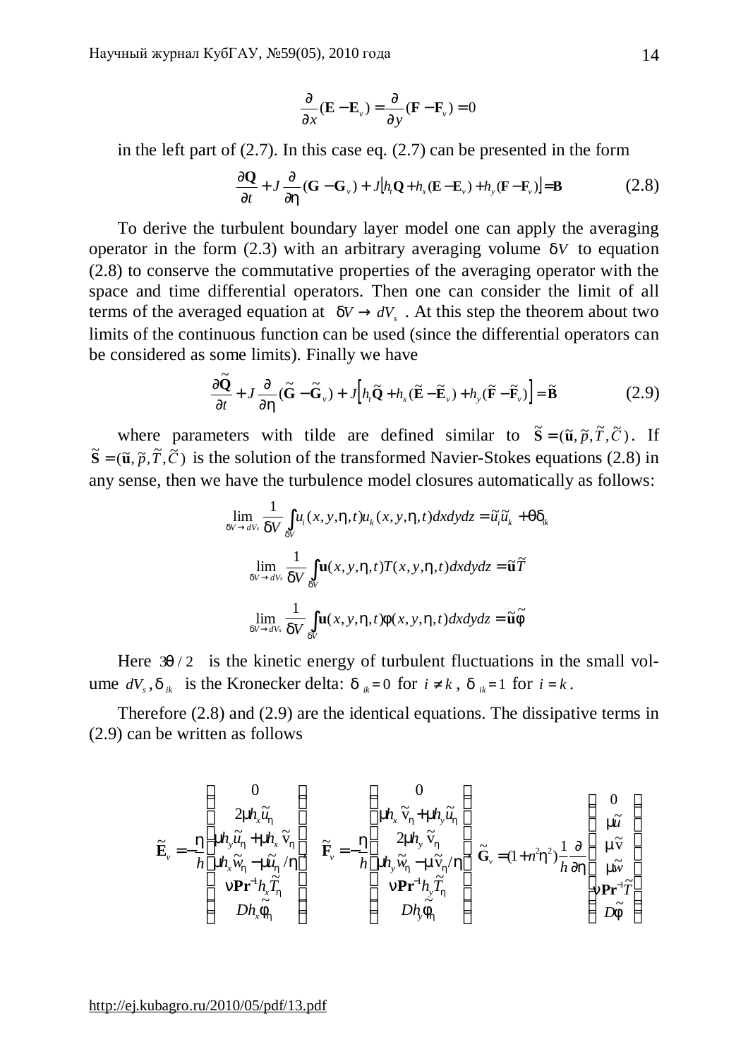$$
\frac{\partial}{\partial x}(\mathbf{E} - \mathbf{E}_{\nu}) = \frac{\partial}{\partial y}(\mathbf{F} - \mathbf{F}_{\nu}) = 0
$$

in the left part of  $(2.7)$ . In this case eq.  $(2.7)$  can be presented in the form

$$
\frac{\partial \mathbf{Q}}{\partial t} + J \frac{\partial}{\partial h} (\mathbf{G} - \mathbf{G}_{\nu}) + J[h_{\nu} \mathbf{Q} + h_{x} (\mathbf{E} - \mathbf{E}_{\nu}) + h_{y} (\mathbf{F} - \mathbf{F}_{\nu})] = \mathbf{B}
$$
(2.8)

To derive the turbulent boundary layer model one can apply the averaging operator in the form (2.3) with an arbitrary averaging volume *dV* to equation (2.8) to conserve the commutative properties of the averaging operator with the space and time differential operators. Then one can consider the limit of all terms of the averaged equation at  $dV \rightarrow dV_s$ . At this step the theorem about two limits of the continuous function can be used (since the differential operators can be considered as some limits). Finally we have

$$
\frac{\partial \widetilde{\mathbf{Q}}}{\partial t} + J \frac{\partial}{\partial h} (\widetilde{\mathbf{G}} - \widetilde{\mathbf{G}}_{\nu}) + J \Big[ h_{\nu} \widetilde{\mathbf{Q}} + h_{x} (\widetilde{\mathbf{E}} - \widetilde{\mathbf{E}}_{\nu}) + h_{y} (\widetilde{\mathbf{F}} - \widetilde{\mathbf{F}}_{\nu}) \Big] = \widetilde{\mathbf{B}}
$$
(2.9)

where parameters with tilde are defined similar to  $\tilde{\mathbf{S}} = (\tilde{\mathbf{u}}, \tilde{p}, \tilde{T}, \tilde{C})$ . If  $\tilde{\mathbf{S}} = (\tilde{\mathbf{u}}, \tilde{p}, \tilde{T}, \tilde{C})$  is the solution of the transformed Navier-Stokes equations (2.8) in any sense, then we have the turbulence model closures automatically as follows:

$$
\lim_{dV \to dV_s} \frac{1}{dV} \int_{dV} u_i(x, y, h, t) u_k(x, y, h, t) dx dy dz = \tilde{u}_i \tilde{u}_k + q d_k
$$
\n
$$
\lim_{dV \to dV_s} \frac{1}{dV} \int_{dV} \mathbf{u}(x, y, h, t) T(x, y, h, t) dx dy dz = \tilde{\mathbf{u}} \tilde{T}
$$
\n
$$
\lim_{dV \to dV_s} \frac{1}{dV} \int_{dV} \mathbf{u}(x, y, h, t) f(x, y, h, t) dx dy dz = \tilde{\mathbf{u}} \tilde{f}
$$

Here  $3q/2$  is the kinetic energy of turbulent fluctuations in the small volume  $dV_s$ ,  $d_{ik}$  is the Kronecker delta:  $d_{ik}=0$  for  $i \neq k$ ,  $d_{ik}=1$  for  $i = k$ .

Therefore (2.8) and (2.9) are the identical equations. The dissipative terms in (2.9) can be written as follows

$$
\widetilde{\mathbf{E}}_{\nu} = -\frac{h}{h} \begin{pmatrix} 0 \\ \frac{2m h_{x} \widetilde{u}_{h}}{m h_{y} \widetilde{u}_{h} + m h_{x} \widetilde{v}_{h}} \\ \frac{m h_{x} \widetilde{w}_{h} - m \widetilde{u}_{h}/h}{m h_{x} \widetilde{w}_{h} - m \widetilde{u}_{h}/h} \end{pmatrix} \quad \widetilde{\mathbf{F}}_{\nu} = -\frac{h}{h} \begin{pmatrix} 0 \\ m h_{x} \widetilde{v}_{h} + m h_{y} \widetilde{u}_{h} \\ \frac{2m h_{y} \widetilde{v}_{h}}{m h_{y} \widetilde{w}_{h} - m \widetilde{v}_{h}/h} \\ m h_{y} \widetilde{w}_{h} - m \widetilde{v}_{h}/h \\ m \mathbf{Pr}^{-1} h_{y} \widetilde{T}_{h} \\ D h_{x} \widetilde{F}_{h} \end{pmatrix} \widetilde{\mathbf{G}}_{\nu} = (1 + n^{2}h^{2}) \frac{1}{h} \frac{\partial}{\partial h} \begin{pmatrix} 0 \\ m \widetilde{u} \\ m \widetilde{v} \\ m \widetilde{v} \\ n \mathbf{Pr}^{-1} \widetilde{T} \\ D \widetilde{T} \end{pmatrix}
$$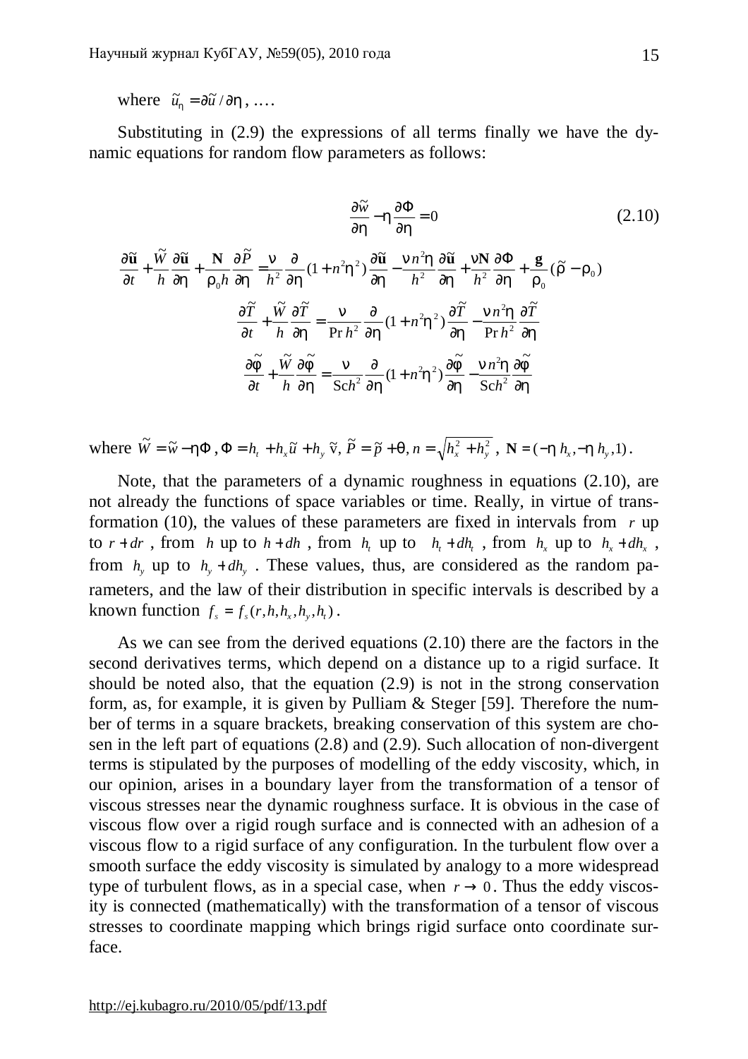where  $\tilde{u}_h = \frac{\partial \tilde{u}}{\partial h}$ , ...

Substituting in (2.9) the expressions of all terms finally we have the dynamic equations for random flow parameters as follows:

$$
\frac{\partial \widetilde{w}}{\partial h} - h \frac{\partial \Phi}{\partial h} = 0
$$
\n
$$
\frac{\partial \widetilde{u}}{\partial t} + \frac{\widetilde{w}}{h} \frac{\partial \widetilde{u}}{\partial h} + \frac{\mathbf{N}}{r_0 h} \frac{\partial \widetilde{P}}{\partial h} = \frac{n}{h^2} \frac{\partial}{\partial h} (1 + n^2 h^2) \frac{\partial \widetilde{u}}{\partial h} - \frac{n n^2 h}{h^2} \frac{\partial \widetilde{u}}{\partial h} + \frac{n \mathbf{N}}{h^2} \frac{\partial \Phi}{\partial h} + \frac{\mathbf{g}}{r_0} (\widetilde{r} - r_0)
$$
\n
$$
\frac{\partial \widetilde{T}}{\partial t} + \frac{\widetilde{w}}{h} \frac{\partial \widetilde{T}}{\partial h} = \frac{n}{\Pr h^2} \frac{\partial}{\partial h} (1 + n^2 h^2) \frac{\partial \widetilde{T}}{\partial h} - \frac{n n^2 h}{\Pr h^2} \frac{\partial \widetilde{T}}{\partial h}
$$
\n
$$
\frac{\partial \widetilde{F}}{\partial t} + \frac{\widetilde{w}}{h} \frac{\partial \widetilde{F}}{\partial h} = \frac{n}{\text{Sch}^2} \frac{\partial}{\partial h} (1 + n^2 h^2) \frac{\partial \widetilde{F}}{\partial h} - \frac{n n^2 h}{\text{Sch}^2} \frac{\partial \widetilde{F}}{\partial h}
$$
\n(2.10)

where  $\widetilde{W} = \widetilde{w} - h\Phi$ ,  $\Phi = h_t + h_x \widetilde{u} + h_y \widetilde{v}$ ,  $\widetilde{P} = \widetilde{p} + q$ ,  $n = \sqrt{h_x^2 + h_y^2}$ ,  $N = (-h h_x, -h h_y, 1)$ .

Note, that the parameters of a dynamic roughness in equations (2.10), are not already the functions of space variables or time. Really, in virtue of transformation (10), the values of these parameters are fixed in intervals from *r* up to  $r + dr$ , from *h* up to  $h + dh$ , from  $h_t$  up to  $h_t + dh_t$ , from  $h_x$  up to  $h_x + dh_x$ , from  $h_y$  up to  $h_y + dh_y$ . These values, thus, are considered as the random parameters, and the law of their distribution in specific intervals is described by a known function  $f_s = f_s(r, h, h_x, h_y, h_t)$ .

As we can see from the derived equations (2.10) there are the factors in the second derivatives terms, which depend on a distance up to a rigid surface. It should be noted also, that the equation (2.9) is not in the strong conservation form, as, for example, it is given by Pulliam & Steger [59]. Therefore the number of terms in a square brackets, breaking conservation of this system are chosen in the left part of equations (2.8) and (2.9). Such allocation of non-divergent terms is stipulated by the purposes of modelling of the eddy viscosity, which, in our opinion, arises in a boundary layer from the transformation of a tensor of viscous stresses near the dynamic roughness surface. It is obvious in the case of viscous flow over a rigid rough surface and is connected with an adhesion of a viscous flow to a rigid surface of any configuration. In the turbulent flow over a smooth surface the eddy viscosity is simulated by analogy to a more widespread type of turbulent flows, as in a special case, when  $r \to 0$ . Thus the eddy viscosity is connected (mathematically) with the transformation of a tensor of viscous stresses to coordinate mapping which brings rigid surface onto coordinate surface.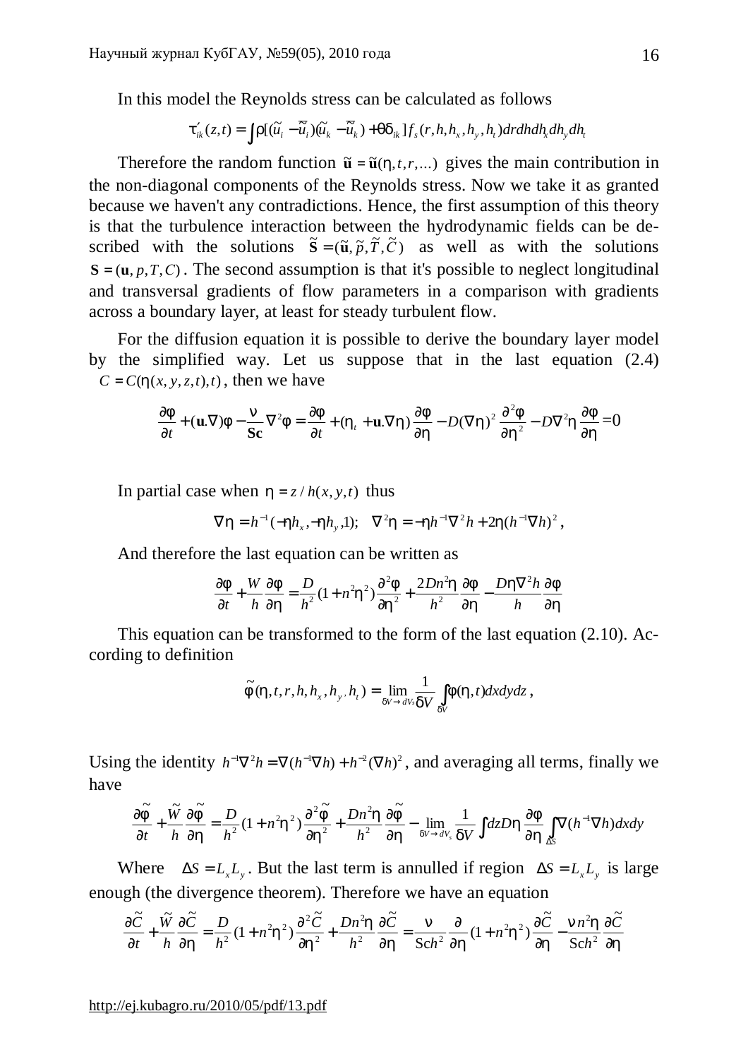In this model the Reynolds stress can be calculated as follows

$$
\boldsymbol{t}_{ik}'(z,t) = \int r[(\widetilde{u_i} - \overline{\widetilde{u}}_i)(\widetilde{u_k} - \overline{\widetilde{u}}_k) + q \boldsymbol{d}_{ik}]f_s(r,h,h_x,h_y,h_t) dr dh dh_x dh_y dh_t
$$

Therefore the random function  $\tilde{\mathbf{u}} = \tilde{\mathbf{u}}(h, t, r, \dots)$  gives the main contribution in the non-diagonal components of the Reynolds stress. Now we take it as granted because we haven't any contradictions. Hence, the first assumption of this theory is that the turbulence interaction between the hydrodynamic fields can be described with the solutions  $\tilde{\mathbf{S}} = (\tilde{\mathbf{u}}, \tilde{p}, \tilde{T}, \tilde{C})$  as well as with the solutions  $S = (\mathbf{u}, p, T, C)$ . The second assumption is that it's possible to neglect longitudinal and transversal gradients of flow parameters in a comparison with gradients across a boundary layer, at least for steady turbulent flow.

For the diffusion equation it is possible to derive the boundary layer model by the simplified way. Let us suppose that in the last equation (2.4)  $C = C(h(x, y, z, t), t)$ , then we have

$$
\frac{\partial f}{\partial t} + (\mathbf{u}.\nabla)f - \frac{\mathbf{n}}{\mathbf{Sc}}\nabla^2 f = \frac{\partial f}{\partial t} + (h_t + \mathbf{u}.\nabla h)\frac{\partial f}{\partial h} - D(\nabla h)^2\frac{\partial^2 f}{\partial h^2} - D\nabla^2 h\frac{\partial f}{\partial h} = 0
$$

In partial case when  $h = z / h(x, y, t)$  thus

$$
\nabla h = h^{-1}(-hh_x, -hh_y, 1);
$$
  $\nabla^2 h = -hh^{-1}\nabla^2 h + 2h(h^{-1}\nabla h)^2,$ 

And therefore the last equation can be written as

$$
\frac{\partial f}{\partial t} + \frac{W}{h} \frac{\partial f}{\partial h} = \frac{D}{h^2} (1 + n^2 h^2) \frac{\partial^2 f}{\partial h^2} + \frac{2Dn^2 h}{h^2} \frac{\partial f}{\partial h} - \frac{Dh \nabla^2 h}{h} \frac{\partial f}{\partial h}
$$

This equation can be transformed to the form of the last equation (2.10). According to definition

$$
\widetilde{F}(h,t,r,h,h_x,h_y,h_t)=\lim_{dV\to dV_s}\frac{1}{dV}\int_{dV}f(h,t)dxdydz,
$$

Using the identity  $h^{-1}\nabla^2 h = \nabla (h^{-1}\nabla h) + h^{-2}(\nabla h)^2$ , and averaging all terms, finally we have

$$
\frac{\partial \widetilde{f}}{\partial t} + \frac{\widetilde{W}}{h} \frac{\partial \widetilde{f}}{\partial h} = \frac{D}{h^2} (1 + n^2 h^2) \frac{\partial^2 \widetilde{f}}{\partial h^2} + \frac{Dn^2 h}{h^2} \frac{\partial \widetilde{f}}{\partial h} - \lim_{dV \to dV_s} \frac{1}{dV} \int dz Dh \frac{\partial f}{\partial h} \int_{\Delta S} \nabla (h^{-1} \nabla h) dx dy
$$

Where  $\Delta S = L_x L_y$ . But the last term is annulled if region  $\Delta S = L_x L_y$  is large enough (the divergence theorem). Therefore we have an equation

$$
\frac{\partial \widetilde{C}}{\partial t} + \frac{\widetilde{W}}{h} \frac{\partial \widetilde{C}}{\partial h} = \frac{D}{h^2} (1 + n^2 h^2) \frac{\partial^2 \widetilde{C}}{\partial h^2} + \frac{Dn^2 h}{h^2} \frac{\partial \widetilde{C}}{\partial h} = \frac{n}{\text{Sch}^2} \frac{\partial}{\partial h} (1 + n^2 h^2) \frac{\partial \widetilde{C}}{\partial h} - \frac{n h^2 h}{\text{Sch}^2} \frac{\partial \widetilde{C}}{\partial h}
$$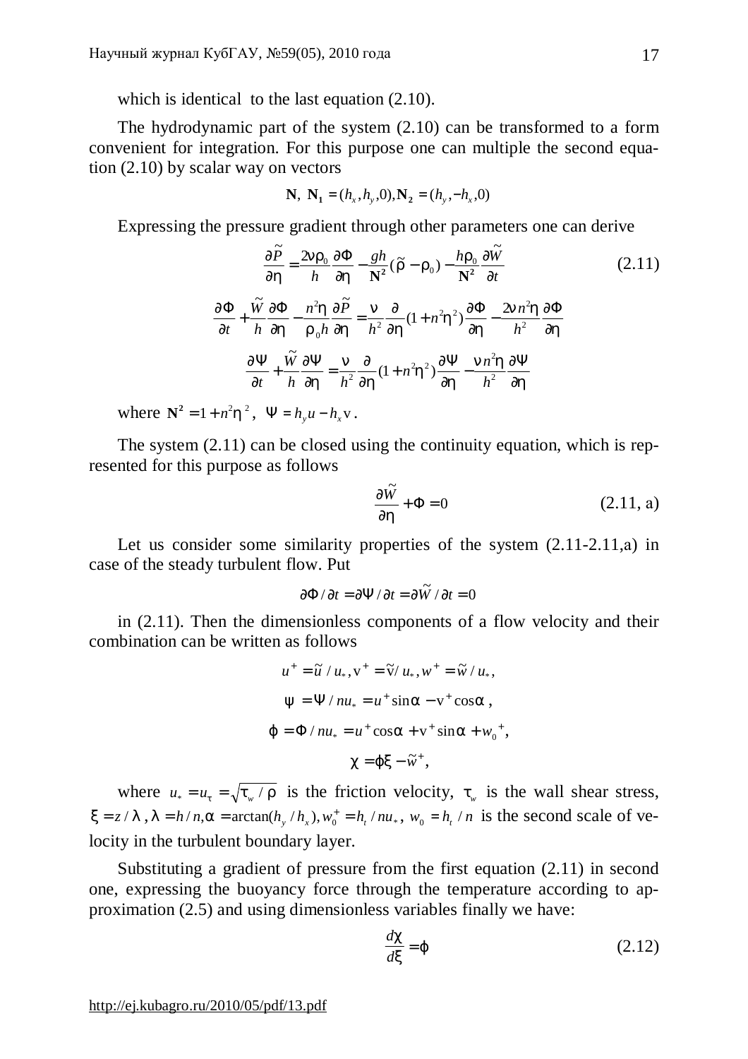which is identical to the last equation  $(2.10)$ .

The hydrodynamic part of the system (2.10) can be transformed to a form convenient for integration. For this purpose one can multiple the second equation (2.10) by scalar way on vectors

$$
\mathbf{N}, \ \mathbf{N}_1 = (h_x, h_y, 0), \mathbf{N}_2 = (h_y, -h_x, 0)
$$

Expressing the pressure gradient through other parameters one can derive

$$
\frac{\partial \tilde{P}}{\partial h} = \frac{2nr_0}{h} \frac{\partial \Phi}{\partial h} - \frac{gh}{N^2} (\tilde{r} - r_0) - \frac{hr_0}{N^2} \frac{\partial \tilde{W}}{\partial t}
$$
\n
$$
\frac{\partial \Phi}{\partial t} + \frac{\tilde{W}}{h} \frac{\partial \Phi}{\partial h} - \frac{n^2 h}{r_0 h} \frac{\partial \tilde{P}}{\partial h} = \frac{n}{h^2} \frac{\partial}{\partial h} (1 + n^2 h^2) \frac{\partial \Phi}{\partial h} - \frac{2n n^2 h}{h^2} \frac{\partial \Phi}{\partial h}
$$
\n
$$
\frac{\partial \Psi}{\partial t} + \frac{\tilde{W}}{h} \frac{\partial \Psi}{\partial h} = \frac{n}{h^2} \frac{\partial}{\partial h} (1 + n^2 h^2) \frac{\partial \Psi}{\partial h} - \frac{n n^2 h}{h^2} \frac{\partial \Psi}{\partial h}
$$
\n
$$
\frac{\partial \Phi}{\partial h} = \frac{n}{h^2} \frac{\partial}{\partial h} (1 + n^2 h^2) \frac{\partial \Psi}{\partial h} - \frac{n n^2 h}{h^2} \frac{\partial \Psi}{\partial h}
$$
\n(2.11)

where  $N^2 = 1 + n^2 h^2$ ,  $\Psi = h_y u - h_x v$ .

The system (2.11) can be closed using the continuity equation, which is represented for this purpose as follows

$$
\frac{\partial \tilde{W}}{\partial h} + \Phi = 0 \tag{2.11, a}
$$

Let us consider some similarity properties of the system  $(2.11-2.11,a)$  in case of the steady turbulent flow. Put

$$
\partial \Phi / \partial t = \partial \Psi / \partial t = \partial \widetilde{W} / \partial t = 0
$$

in (2.11). Then the dimensionless components of a flow velocity and their combination can be written as follows

$$
u^{+} = \tilde{u} / u_{*}, v^{+} = \tilde{v} / u_{*}, w^{+} = \tilde{w} / u_{*},
$$
  
\n
$$
y = \Psi / n u_{*} = u^{+} \sin a - v^{+} \cos a,
$$
  
\n
$$
j = \Phi / n u_{*} = u^{+} \cos a + v^{+} \sin a + w_{0}^{+},
$$
  
\n
$$
c = j x - \tilde{w}^{+},
$$

where  $u_* = u_t = \sqrt{t_w / r}$  is the friction velocity,  $t_w$  is the wall shear stress,  $x = z / I$ ,  $I = h/n$ ,  $a = \arctan(h_y/h_x)$ ,  $w_0^+ = h_t/nu_*$ ,  $w_0 = h_t/n$  is the second scale of velocity in the turbulent boundary layer.

Substituting a gradient of pressure from the first equation (2.11) in second one, expressing the buoyancy force through the temperature according to approximation (2.5) and using dimensionless variables finally we have:

$$
\frac{dc}{dx} = j \tag{2.12}
$$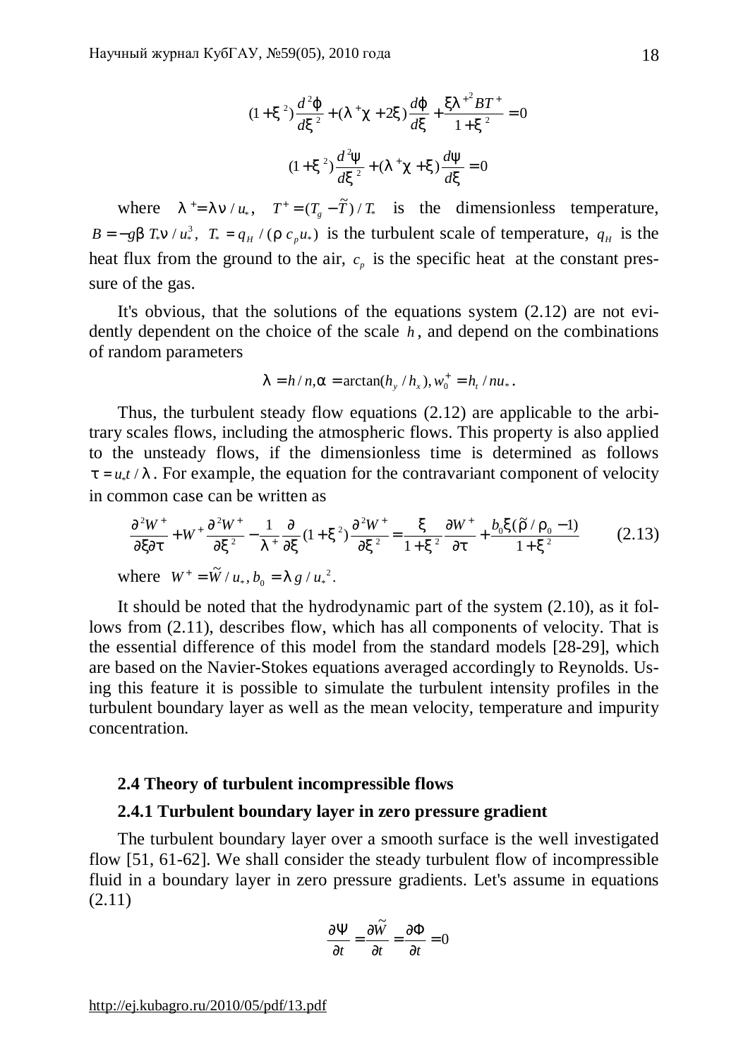$$
(1+x^2)\frac{d^2j}{dx^2} + (I^+c + 2x)\frac{dj}{dx} + \frac{xI^{2}BT^+}{1+x^2} = 0
$$
  

$$
(1+x^2)\frac{d^2y}{dx^2} + (I^+c + x)\frac{dy}{dx} = 0
$$

where  $I^+=I \cdot n / u_*$ ,  $T^+= (T_g - \tilde{T}) / T_*$  is the dimensionless temperature,  $B = -gb \ T_* n / u_*^3$ ,  $T_* = q_H / (r c_p u_*)$  is the turbulent scale of temperature,  $q_H$  is the heat flux from the ground to the air,  $c_p$  is the specific heat at the constant pressure of the gas.

It's obvious, that the solutions of the equations system (2.12) are not evidently dependent on the choice of the scale *h* , and depend on the combinations of random parameters

$$
I = h/n
$$
,  $a = \arctan(h_y/h_x)$ ,  $w_0^+ = h_t/nu_*$ .

Thus, the turbulent steady flow equations (2.12) are applicable to the arbitrary scales flows, including the atmospheric flows. This property is also applied to the unsteady flows, if the dimensionless time is determined as follows  $t = u_* t / l$ . For example, the equation for the contravariant component of velocity in common case can be written as

$$
\frac{\partial^2 W^+}{\partial x \partial t} + W^+ \frac{\partial^2 W^+}{\partial x^2} - \frac{1}{I^+} \frac{\partial}{\partial x} (1 + x^2) \frac{\partial^2 W^+}{\partial x^2} = \frac{x}{1 + x^2} \frac{\partial W^+}{\partial t} + \frac{b_0 x (\tilde{r}/r_0 - 1)}{1 + x^2}
$$
(2.13)  
where  $W^+ = \tilde{W}/u_*, b_0 = I g/u_*^2$ .

It should be noted that the hydrodynamic part of the system (2.10), as it follows from (2.11), describes flow, which has all components of velocity. That is the essential difference of this model from the standard models [28-29], which are based on the Navier-Stokes equations averaged accordingly to Reynolds. Using this feature it is possible to simulate the turbulent intensity profiles in the turbulent boundary layer as well as the mean velocity, temperature and impurity concentration.

## **2.4 Theory of turbulent incompressible flows**

### **2.4.1 Turbulent boundary layer in zero pressure gradient**

The turbulent boundary layer over a smooth surface is the well investigated flow [51, 61-62]. We shall consider the steady turbulent flow of incompressible fluid in a boundary layer in zero pressure gradients. Let's assume in equations (2.11)

$$
\frac{\partial \Psi}{\partial t} = \frac{\partial \widetilde{W}}{\partial t} = \frac{\partial \Phi}{\partial t} = 0
$$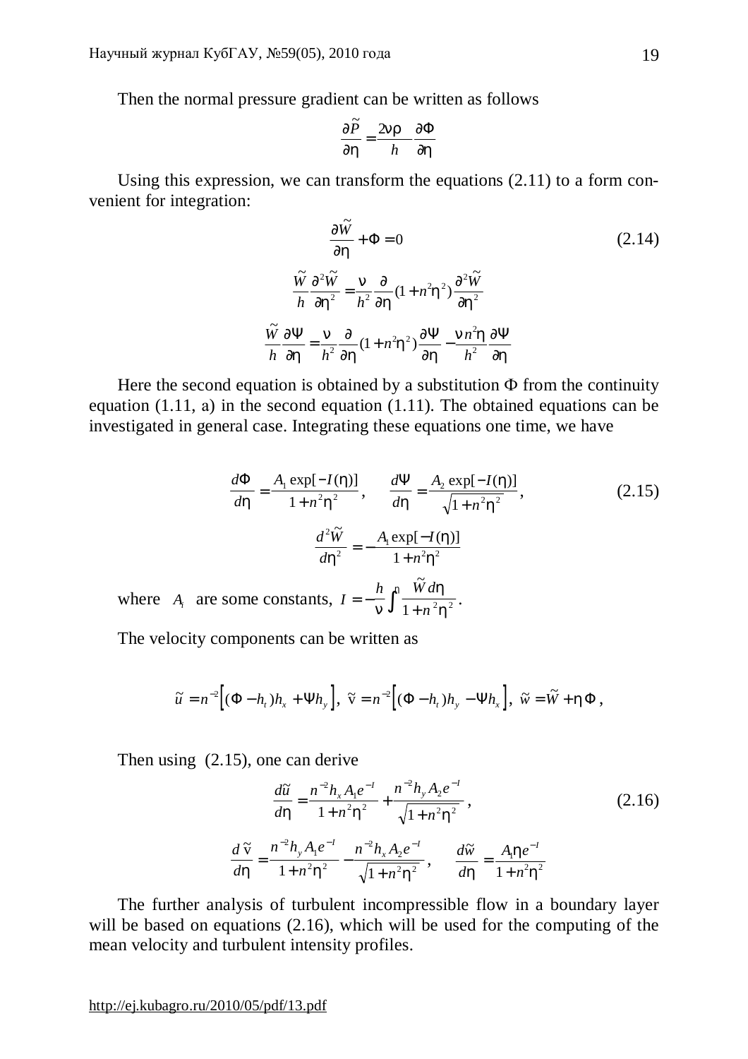Then the normal pressure gradient can be written as follows

$$
\frac{\partial \widetilde{P}}{\partial h} = \frac{2nr}{h} \frac{\partial \Phi}{\partial h}
$$

Using this expression, we can transform the equations (2.11) to a form convenient for integration:

$$
\frac{\partial \tilde{W}}{\partial h} + \Phi = 0
$$
\n
$$
\frac{\tilde{W}}{h} \frac{\partial^2 \tilde{W}}{\partial h^2} = \frac{n}{h^2} \frac{\partial}{\partial h} (1 + n^2 h^2) \frac{\partial^2 \tilde{W}}{\partial h^2}
$$
\n
$$
\frac{\tilde{W}}{h} \frac{\partial \Psi}{\partial h} = \frac{n}{h^2} \frac{\partial}{\partial h} (1 + n^2 h^2) \frac{\partial \Psi}{\partial h} - \frac{n n^2 h}{h^2} \frac{\partial \Psi}{\partial h}
$$
\n(2.14)

Here the second equation is obtained by a substitution  $\Phi$  from the continuity equation (1.11, а) in the second equation (1.11). The obtained equations can be investigated in general case. Integrating these equations one time, we have

$$
\frac{d\Phi}{dh} = \frac{A_1 \exp[-I(h)]}{1 + n^2 h^2}, \qquad \frac{d\Psi}{dh} = \frac{A_2 \exp[-I(h)]}{\sqrt{1 + n^2 h^2}},
$$
(2.15)  

$$
\frac{d^2 \widetilde{W}}{dh^2} = -\frac{A_1 \exp[-I(h)]}{1 + n^2 h^2}
$$

where  $A_i$  are some constants,  $I = -\frac{h}{n} \int_0^h \frac{\tilde{W} d}{1 + n^2}$ *n* = −  $\frac{n}{n}$  $\int_0^n \frac{v}{1+v^2}$ *h*  $\frac{w \, \mu}{1 + n^2 h^2}$ .

The velocity components can be written as

$$
\widetilde{u} = n^{-2} \Big[ (\Phi - h_t) h_x + \Psi h_y \Big], \ \widetilde{v} = n^{-2} \Big[ (\Phi - h_t) h_y - \Psi h_x \Big], \ \widetilde{w} = \widetilde{W} + h \Phi,
$$

Then using (2.15), one can derive

$$
\frac{d\widetilde{u}}{dh} = \frac{n^{-2}h_x A_1 e^{-1}}{1 + n^2 h^2} + \frac{n^{-2}h_y A_2 e^{-1}}{\sqrt{1 + n^2 h^2}},
$$
\n
$$
\frac{d\widetilde{v}}{dh} = \frac{n^{-2}h_y A_1 e^{-1}}{1 + n^2 h^2} - \frac{n^{-2}h_x A_2 e^{-1}}{\sqrt{1 + n^2 h^2}},
$$
\n
$$
\frac{d\widetilde{w}}{dh} = \frac{A_1 h e^{-1}}{1 + n^2 h^2}
$$
\n(2.16)

The further analysis of turbulent incompressible flow in a boundary layer will be based on equations (2.16), which will be used for the computing of the mean velocity and turbulent intensity profiles.

<http://ej.kubagro.ru/2010/05/pdf/13.pdf>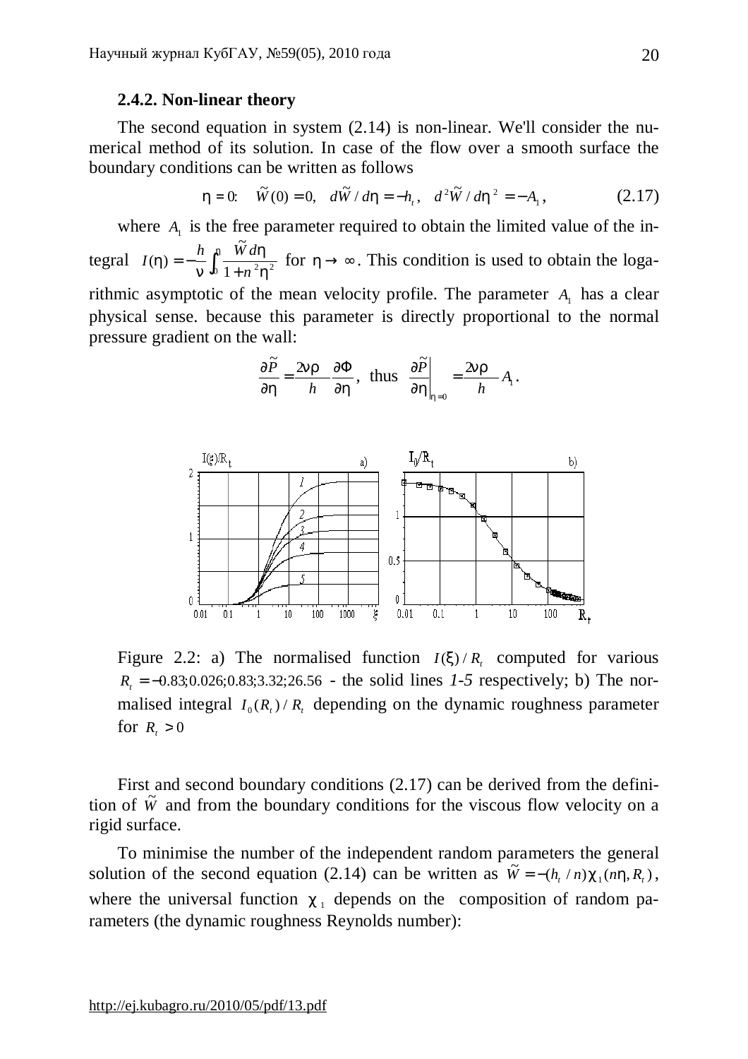## **2.4.2. Non-linear theory**

The second equation in system (2.14) is non-linear. We'll consider the numerical method of its solution. In case of the flow over a smooth surface the boundary conditions can be written as follows

$$
h = 0: \quad \tilde{W}(0) = 0, \quad d\tilde{W} / dh = -h_t, \quad d^2 \tilde{W} / dh^2 = -A_1, \tag{2.17}
$$

where  $A_1$  is the free parameter required to obtain the limited value of the integral  $I(h) = -\frac{h}{h} \int_0^h \frac{\ddot{W} d}{1 + \dot{W}^2}$ *n*  $(h)$ ~<br>77 *h n h h*  $=-\frac{h}{h}$  $\int_0^{\pi} \frac{w \, dx}{1 + n^2 h^2}$  for  $h \to \infty$ . This condition is used to obtain the logarithmic asymptotic of the mean velocity profile. The parameter  $A_1$  has a clear physical sense. because this parameter is directly proportional to the normal pressure gradient on the wall:

$$
\frac{\partial \widetilde{P}}{\partial h} = \frac{2nr}{h} \frac{\partial \Phi}{\partial h}, \text{ thus } \frac{\partial \widetilde{P}}{\partial h}\bigg|_{h=0} = \frac{2nr}{h} A_1.
$$



Figure 2.2: a) The normalised function  $I(x)/R<sub>t</sub>$  computed for various  $R_t = -0.83; 0.026; 0.83; 3.32; 26.56$  - the solid lines *1-5* respectively; b) The normalised integral  $I_0(R_t)/R_t$  depending on the dynamic roughness parameter for  $R_t > 0$ 

First and second boundary conditions (2.17) can be derived from the definition of  $\tilde{W}$  and from the boundary conditions for the viscous flow velocity on a rigid surface.

To minimise the number of the independent random parameters the general solution of the second equation (2.14) can be written as  $\tilde{W} = -(h_r/n)c_1(nh, R_r)$ , where the universal function  $c_1$  depends on the composition of random parameters (the dynamic roughness Reynolds number):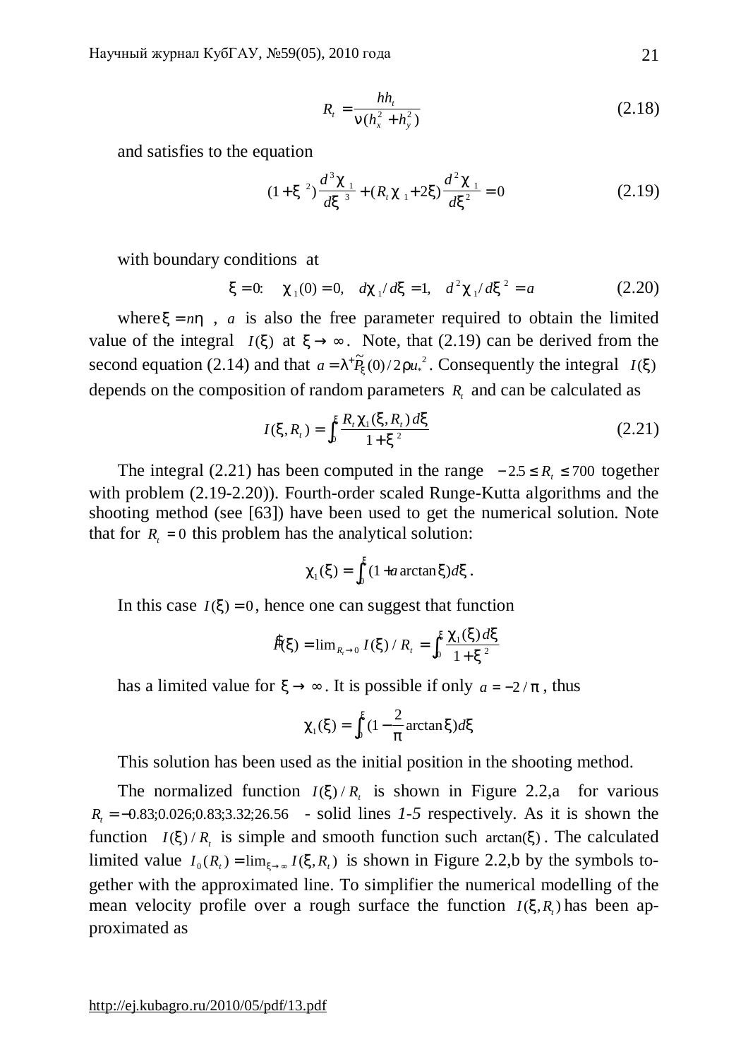$$
R_t = \frac{hh_t}{n(h_x^2 + h_y^2)}
$$
 (2.18)

and satisfies to the equation

$$
(1+x2)\frac{d3c1}{dx3} + (Rtc1+2x)\frac{d2c1}{dx2} = 0
$$
 (2.19)

with boundary conditions at

$$
x = 0
$$
:  $c_1(0) = 0$ ,  $dc_1/dx = 1$ ,  $d^2 c_1/dx^2 = a$  (2.20)

where  $x = nh$ , *a* is also the free parameter required to obtain the limited value of the integral *I*(*x*) at  $x \rightarrow \infty$ . Note, that (2.19) can be derived from the second equation (2.14) and that  $a = I^+ \tilde{P}_x(0)/2r u_*^2$ . Consequently the integral *I(x)* depends on the composition of random parameters  $R_t$  and can be calculated as

$$
I(x, R_t) = \int_0^x \frac{R_t C_1(x, R_t) dx}{1 + x^2}
$$
 (2.21)

The integral (2.21) has been computed in the range  $-2.5 \le R_{\textit{i}} \le 700$  together with problem (2.19-2.20)). Fourth-order scaled Runge-Kutta algorithms and the shooting method (see [63]) have been used to get the numerical solution. Note that for  $R<sub>t</sub> = 0$  this problem has the analytical solution:

$$
c_1(x) = \int_0^x (1 + a \arctan x) dx.
$$

In this case  $I(x) = 0$ , hence one can suggest that function

$$
\hat{P}(x) = \lim_{R_t \to 0} I(x) / R_t = \int_0^x \frac{C_1(x) dx}{1 + x^2}
$$

has a limited value for  $x \rightarrow \infty$ . It is possible if only  $a = -2/p$ , thus

$$
c_1(x) = \int_0^x (1 - \frac{2}{p} \arctan x) dx
$$

This solution has been used as the initial position in the shooting method.

The normalized function  $I(x)/R_t$  is shown in Figure 2.2,a for various  $R_1 = -0.83; 0.026; 0.83; 3.32; 26.56$  - solid lines  $1-5$  respectively. As it is shown the function  $I(x)/R_t$  is simple and smooth function such arctan(x). The calculated limited value  $I_0(R_t) = \lim_{x \to \infty} I(x, R_t)$  is shown in Figure 2.2,b by the symbols together with the approximated line. To simplifier the numerical modelling of the mean velocity profile over a rough surface the function  $I(x, R)$  has been approximated as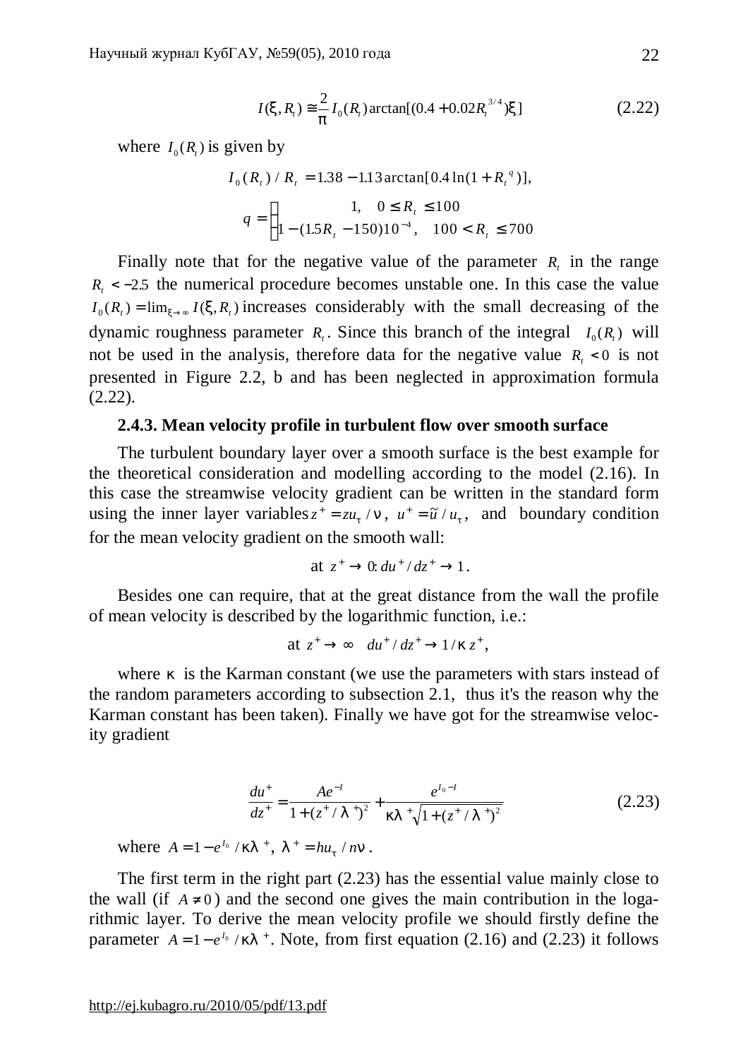$$
I(x, R_t) \approx \frac{2}{p} I_0(R_t) \arctan[(0.4 + 0.02R_t^{3/4})x]
$$
 (2.22)

where  $I_0(R_t)$  is given by

$$
I_0(R_t) / R_t = 1.38 - 1.13 \arctan[0.4 \ln(1 + R_t^{q})],
$$
  

$$
q = \begin{cases} 1, & 0 \le R_t \le 100 \\ 1 - (1.5R_t - 150)10^{-4}, & 100 < R_t \le 700 \end{cases}
$$

Finally note that for the negative value of the parameter  $R_t$  in the range  $R_t$  < −2.5 the numerical procedure becomes unstable one. In this case the value  $I_0(R_t) = \lim_{x \to \infty} I(x, R_t)$  increases considerably with the small decreasing of the dynamic roughness parameter  $R_t$ . Since this branch of the integral  $I_0(R_t)$  will not be used in the analysis, therefore data for the negative value  $R_i < 0$  is not presented in Figure 2.2, b and has been neglected in approximation formula (2.22).

# **2.4.3. Mean velocity profile in turbulent flow over smooth surface**

The turbulent boundary layer over a smooth surface is the best example for the theoretical consideration and modelling according to the model (2.16). In this case the streamwise velocity gradient can be written in the standard form using the inner layer variables  $z^+ = zu_t/n$ ,  $u^+ = \tilde{u}/u_t$ , and boundary condition for the mean velocity gradient on the smooth wall:

at 
$$
z^+ \to 0
$$
:  $du^+ / dz^+ \to 1$ .

Besides one can require, that at the great distance from the wall the profile of mean velocity is described by the logarithmic function, i.e.:

$$
at z^+ \to \infty \quad du^+ / dz^+ \to 1 / k z^+,
$$

where *k* is the Karman constant (we use the parameters with stars instead of the random parameters according to subsection 2.1, thus it's the reason why the Karman constant has been taken). Finally we have got for the streamwise velocity gradient

$$
\frac{du^+}{dz^+} = \frac{Ae^{-I}}{1 + (z^+ / I^+)^2} + \frac{e^{I_0 - I}}{kI^+ \sqrt{1 + (z^+ / I^+)^2}}
$$
(2.23)

where  $A = 1 - e^{I_0} / kI^+$ ,  $I^+ = hu_t / nn$ .

The first term in the right part (2.23) has the essential value mainly close to the wall (if  $A \neq 0$ ) and the second one gives the main contribution in the logarithmic layer. To derive the mean velocity profile we should firstly define the parameter  $A = 1 - e^{I_0} / kI^+$ . Note, from first equation (2.16) and (2.23) it follows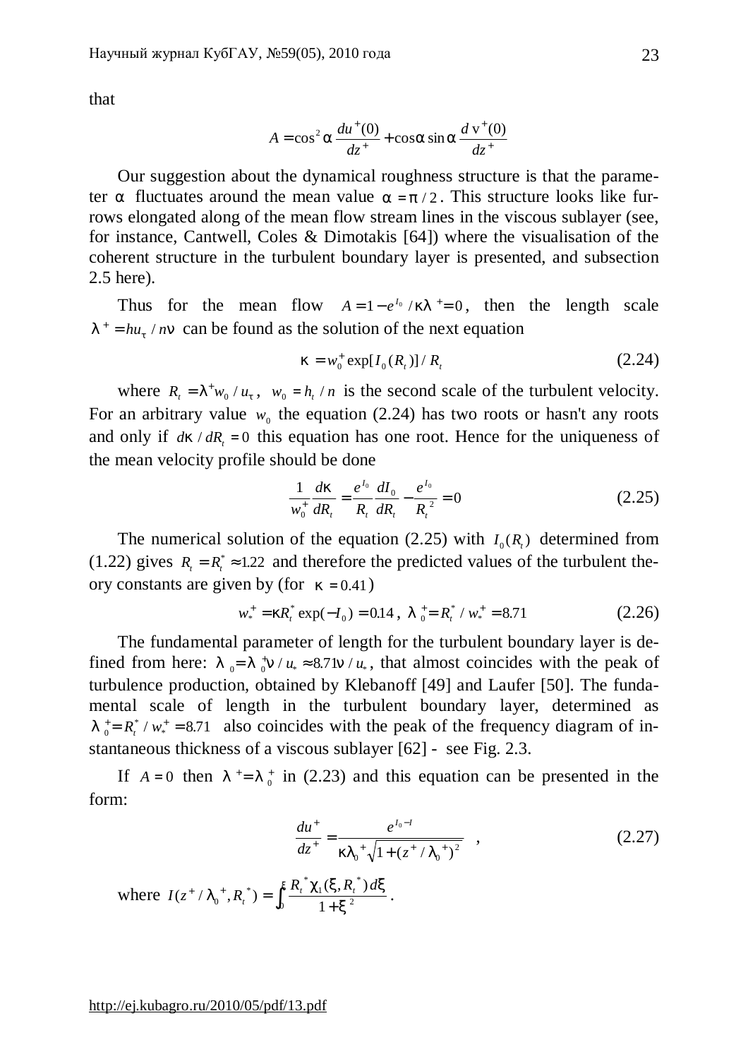that

$$
A = \cos^2 a \frac{du^+(0)}{dz^+} + \cos a \sin a \frac{dv^+(0)}{dz^+}
$$

Our suggestion about the dynamical roughness structure is that the parameter *a* fluctuates around the mean value  $a = p/2$ . This structure looks like furrows elongated along of the mean flow stream lines in the viscous sublayer (see, for instance, Cantwell, Coles & Dimotakis [64]) where the visualisation of the coherent structure in the turbulent boundary layer is presented, and subsection 2.5 here).

Thus for the mean flow  $A = 1 - e^{I_0} / kI^+ = 0$ , then the length scale  $I^+ = h u_t / n n$  can be found as the solution of the next equation

$$
k = w_0^+ \exp[I_0(R_t)] / R_t \tag{2.24}
$$

where  $R_t = I^+ w_0 / u_t$ ,  $w_0 = h_t / n$  is the second scale of the turbulent velocity. For an arbitrary value  $w_0$  the equation (2.24) has two roots or hasn't any roots and only if  $dk / dR_t = 0$  this equation has one root. Hence for the uniqueness of the mean velocity profile should be done

$$
\frac{1}{w_0^+} \frac{dk}{dR_t} = \frac{e^{I_0}}{R_t} \frac{dI_0}{dR_t} - \frac{e^{I_0}}{R_t^2} = 0
$$
\n(2.25)

The numerical solution of the equation (2.25) with  $I_0(R)$  determined from (1.22) gives  $R_t = R_t^* \approx 1.22$  and therefore the predicted values of the turbulent theory constants are given by (for  $k = 0.41$ )

$$
w_*^+ = kR_t^* \exp(-I_0) = 0.14 \ , \ I_0^+ = R_t^* / w_*^+ = 8.71 \tag{2.26}
$$

The fundamental parameter of length for the turbulent boundary layer is defined from here:  $l_0 = l_0^+ n / u_* \approx 8.7 \ln / u_*$ , that almost coincides with the peak of turbulence production, obtained by Klebanoff [49] and Laufer [50]. The fundamental scale of length in the turbulent boundary layer, determined as  $l_{0}^{\dagger} = R_{t}^{*} / w_{*}^{+} = 8.71$  $/w_*^+ = 8.71$  also coincides with the peak of the frequency diagram of instantaneous thickness of a viscous sublayer [62] - see Fig. 2.3.

If  $A = 0$  then  $I^+= I^+_{0}$  in (2.23) and this equation can be presented in the form:

$$
\frac{du^{+}}{dz^{+}} = \frac{e^{I_0 - I}}{kI_0^{+}\sqrt{1 + (z^{+}/I_0^{+})^2}} \quad , \tag{2.27}
$$

where  $I(z^* / I_0^*, R_t^*) = \int_{0}^{x} \frac{R_t^* c_1(x, R_t^*) d\theta}{4}$ *t*  $(z^{\dagger} / I_0^{\dagger}, R_{t}^{\dagger}) = \int_{0}^{x} \frac{R_{t}^{\dagger} c_1(x, R_{t}^{\dagger})}{r^2}$  $^{+}$  /  $I_{0}^{+}$ ,  $R_{t}^{*}$ ) =  $I_0^+, R_t^*) = \int_0^A \frac{R_t - C_1(A)}{1 + C_1(A)}$  $c_1(x, R_t^*) dx$ *x x*  $\mathbf{0}$ 1 0  $1 + x^2$ .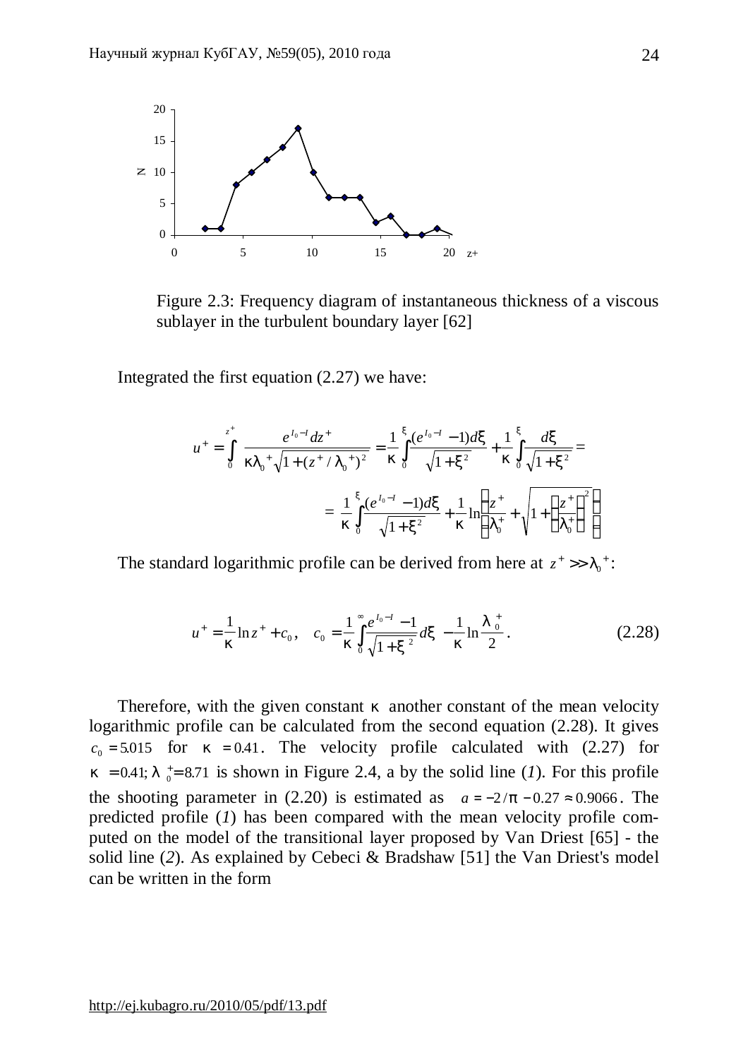

Figure 2.3: Frequency diagram of instantaneous thickness of a viscous sublayer in the turbulent boundary layer [62]

Integrated the first equation (2.27) we have:

$$
u^{+} = \int_{0}^{z^{+}} \frac{e^{I_{0}-I} dz^{+}}{k I_{0}^{+} \sqrt{1 + (z^{+} / I_{0}^{+})^{2}}} = \frac{1}{k} \int_{0}^{x} \frac{(e^{I_{0}-I} - 1) dx}{\sqrt{1 + x^{2}}} + \frac{1}{k} \int_{0}^{x} \frac{dx}{\sqrt{1 + x^{2}}} =
$$
  

$$
= \frac{1}{k} \int_{0}^{x} \frac{(e^{I_{0}-I} - 1) dx}{\sqrt{1 + x^{2}}} + \frac{1}{k} \ln \left( \frac{z^{+}}{I_{0}^{+}} + \sqrt{1 + \left(\frac{z^{+}}{I_{0}^{+}}\right)^{2}} \right)
$$

The standard logarithmic profile can be derived from here at  $z^* \gg l_0^*$ :

$$
u^{+} = \frac{1}{k} \ln z^{+} + c_{0}, \quad c_{0} = \frac{1}{k} \int_{0}^{\infty} \frac{e^{I_{0}-I} - 1}{\sqrt{1 + x^{2}}} dx - \frac{1}{k} \ln \frac{I_{0}^{+}}{2}.
$$
 (2.28)

Therefore, with the given constant *k* another constant of the mean velocity logarithmic profile can be calculated from the second equation (2.28). It gives  $c_0 = 5.015$  for  $k = 0.41$ . The velocity profile calculated with (2.27) for  $k = 0.41; l_{0}^{\dagger} = 8.71$  is shown in Figure 2.4, a by the solid line (*1*). For this profile the shooting parameter in (2.20) is estimated as  $a = -2/p - 0.27 \approx 0.9066$ . The predicted profile (*1*) has been compared with the mean velocity profile computed on the model of the transitional layer proposed by Van Driest [65] - the solid line (*2*). As explained by Cebeci & Bradshaw [51] the Van Driest's model can be written in the form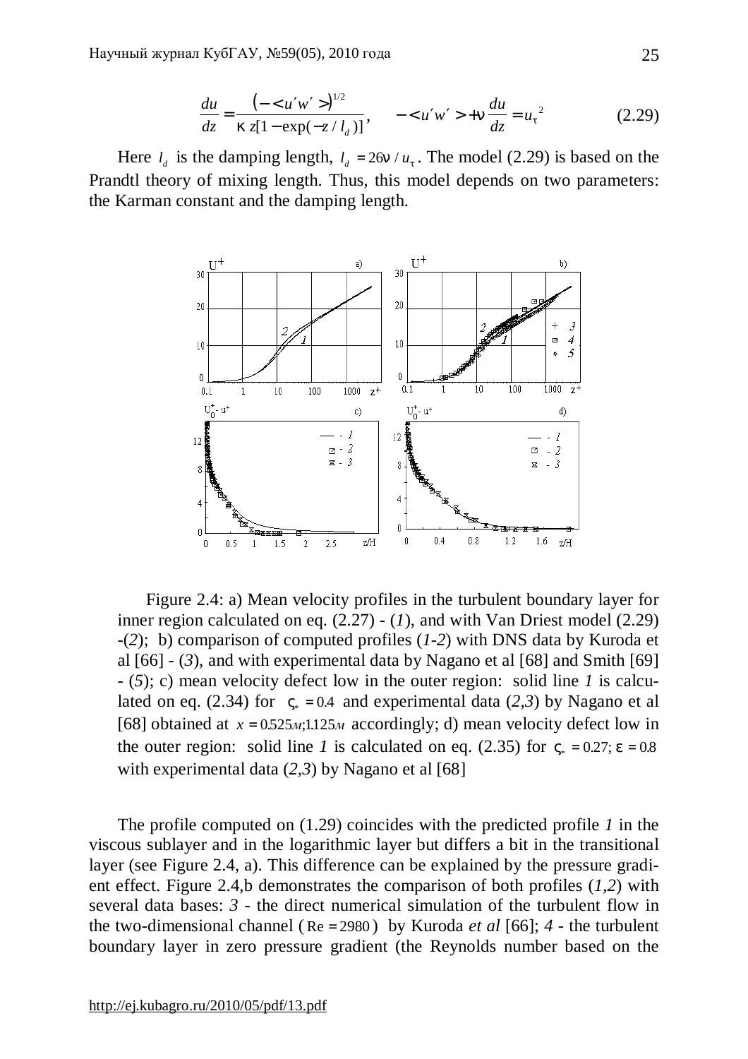$$
\frac{du}{dz} = \frac{\left(-\langle u'w'\rangle\right)^{1/2}}{kz[1-\exp(-z/l_d)]}, \quad -\langle u'w'\rangle + n\frac{du}{dz} = u_t^2 \tag{2.29}
$$

Here  $l_d$  is the damping length,  $l_d = 26n / u_t$ . The model (2.29) is based on the Prandtl theory of mixing length. Thus, this model depends on two parameters: the Karman constant and the damping length.



Figure 2.4: a) Mean velocity profiles in the turbulent boundary layer for inner region calculated on eq.  $(2.27) - (1)$ , and with Van Driest model  $(2.29)$ -(*2*); b) comparison of computed profiles (*1-2*) with DNS data by Kuroda et al  $[66]$  - (3), and with experimental data by Nagano et al  $[68]$  and Smith  $[69]$ - (*5*); c) mean velocity defect low in the outer region: solid line *1* is calculated on eq. (2.34) for  $V_*=0.4$  and experimental data (2,3) by Nagano et al [68] obtained at  $x = 0.525M;1.125M$  accordingly; d) mean velocity defect low in the outer region: solid line *l* is calculated on eq. (2.35) for  $V_* = 0.27$ ;  $e = 0.8$ . with experimental data (2,3) by Nagano et al [68]

The profile computed on (1.29) coincides with the predicted profile *1* in the viscous sublayer and in the logarithmic layer but differs a bit in the transitional layer (see Figure 2.4, a). This difference can be explained by the pressure gradient effect. Figure 2.4,b demonstrates the comparison of both profiles (*1,2*) with several data bases:  $\beta$  - the direct numerical simulation of the turbulent flow in the two-dimensional channel ( Re = 2980 ) by Kuroda *et al* [66]; *4* - the turbulent boundary layer in zero pressure gradient (the Reynolds number based on the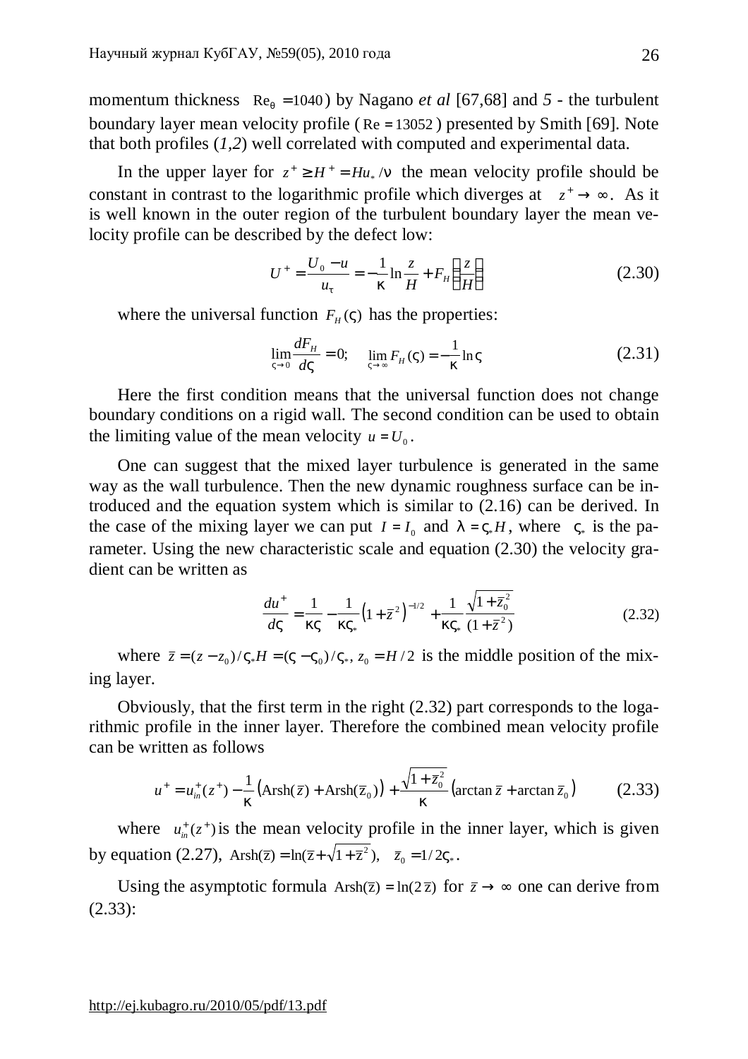momentum thickness  $\text{Re}_q = 1040$  by Nagano *et al* [67,68] and 5 - the turbulent boundary layer mean velocity profile ( Re = 13052 ) presented by Smith [69]. Note that both profiles (*1,2*) well correlated with computed and experimental data.

In the upper layer for  $z^+ \ge H^+ = H^+ \cdot / n$  the mean velocity profile should be constant in contrast to the logarithmic profile which diverges at  $z^+ \rightarrow \infty$ . As it is well known in the outer region of the turbulent boundary layer the mean velocity profile can be described by the defect low:

$$
U^{+} = \frac{U_0 - u}{u_t} = -\frac{1}{k} \ln \frac{z}{H} + F_H \left(\frac{z}{H}\right)
$$
 (2.30)

where the universal function  $F<sub>H</sub>(V)$  has the properties:

$$
\lim_{V \to 0} \frac{dF_H}{dV} = 0; \quad \lim_{V \to \infty} F_H(V) = -\frac{1}{k} \ln V
$$
\n(2.31)

Here the first condition means that the universal function does not change boundary conditions on a rigid wall. The second condition can be used to obtain the limiting value of the mean velocity  $u = U_0$ .

One can suggest that the mixed layer turbulence is generated in the same way as the wall turbulence. Then the new dynamic roughness surface can be introduced and the equation system which is similar to (2.16) can be derived. In the case of the mixing layer we can put  $I = I_0$  and  $I = V_*H$ , where  $V_*$  is the parameter. Using the new characteristic scale and equation (2.30) the velocity gradient can be written as

$$
\frac{du^+}{dV} = \frac{1}{kV} - \frac{1}{kV_*} \left(1 + \bar{z}^2\right)^{-1/2} + \frac{1}{kV_*} \frac{\sqrt{1 + \bar{z}_0^2}}{(1 + \bar{z}^2)}\tag{2.32}
$$

where  $\bar{z} = (z - z_0) / V_* H = (V - V_0) / V_*$ ,  $z_0 = H/2$  is the middle position of the mixing layer.

Obviously, that the first term in the right (2.32) part corresponds to the logarithmic profile in the inner layer. Therefore the combined mean velocity profile can be written as follows

$$
u^{+} = u_{in}^{+}(z^{+}) - \frac{1}{k} \left( \text{Arsh}(\bar{z}) + \text{Arsh}(\bar{z}_{0}) \right) + \frac{\sqrt{1 + \bar{z}_{0}^{2}}}{k} \left( \arctan \bar{z} + \arctan \bar{z}_{0} \right)
$$
 (2.33)

where  $u_{in}^{+}(z^{+})$  is the mean velocity profile in the inner layer, which is given by equation (2.27),  $Arsh(\overline{z}) = ln(\overline{z} + \sqrt{1+\overline{z}^2})$ ,  $\overline{z}_0 = 1/2V_*$ .

Using the asymptotic formula  $\text{Arsh}(\overline{z}) = \ln(2\overline{z})$  for  $\overline{z} \to \infty$  one can derive from (2.33):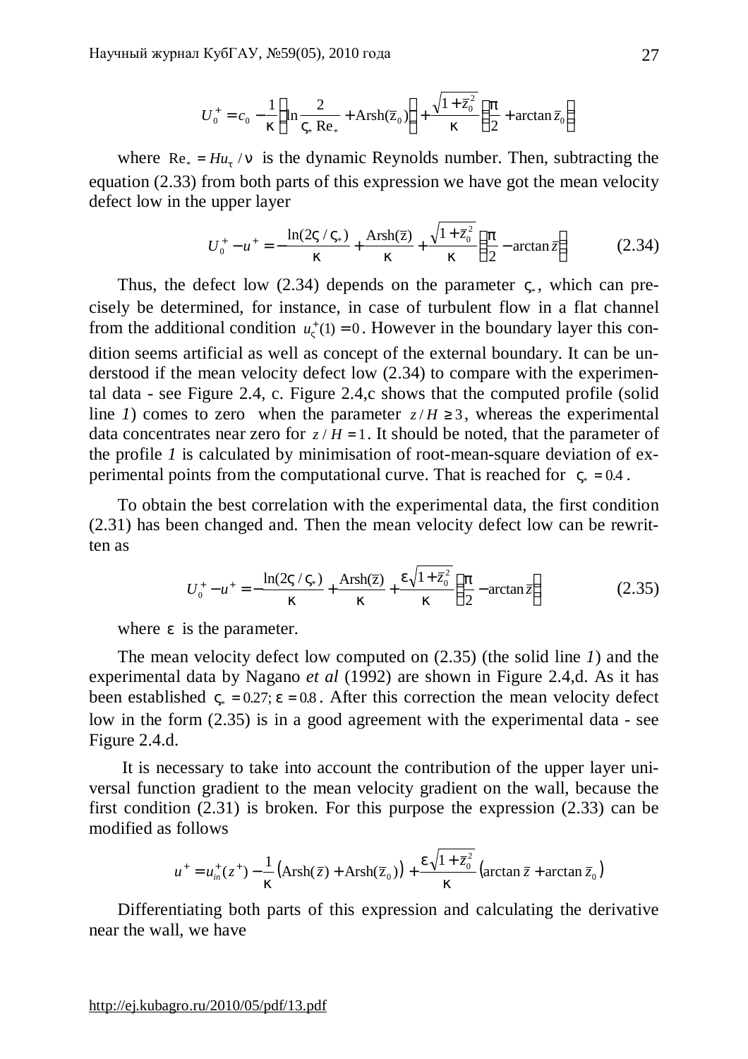$$
U_0^+ = c_0 - \frac{1}{k} \left( \ln \frac{2}{V_* \operatorname{Re}_*} + \operatorname{Arsh}(\overline{z}_0) \right) + \frac{\sqrt{1 + \overline{z}_0^2}}{k} \left( \frac{p}{2} + \arctan \overline{z}_0 \right)
$$

where  $\text{Re}_* = H u_t / n$  is the dynamic Reynolds number. Then, subtracting the equation (2.33) from both parts of this expression we have got the mean velocity defect low in the upper layer

$$
U_0^+ - u^+ = -\frac{\ln(2V/V_*)}{k} + \frac{\text{Arsh}(\bar{z})}{k} + \frac{\sqrt{1 + \bar{z}_0^2}}{k} \left(\frac{p}{2} - \arctan \bar{z}\right)
$$
 (2.34)

Thus, the defect low  $(2.34)$  depends on the parameter  $V_*$ , which can precisely be determined, for instance, in case of turbulent flow in a flat channel from the additional condition  $u_V^+(1) = 0$ . However in the boundary layer this condition seems artificial as well as concept of the external boundary. It can be understood if the mean velocity defect low (2.34) to compare with the experimental data - see Figure 2.4, c. Figure 2.4,c shows that the computed profile (solid line *1*) comes to zero when the parameter  $z/H \ge 3$ , whereas the experimental data concentrates near zero for  $z / H = 1$ . It should be noted, that the parameter of the profile *1* is calculated by minimisation of root-mean-square deviation of experimental points from the computational curve. That is reached for  $V_* = 0.4$ .

To obtain the best correlation with the experimental data, the first condition (2.31) has been changed and. Then the mean velocity defect low can be rewritten as

$$
U_0^+ - u^+ = -\frac{\ln(2V/V_*)}{k} + \frac{\text{Arsh}(\overline{z})}{k} + \frac{e\sqrt{1+\overline{z}_0^2}}{k} \left(\frac{p}{2} - \arctan \overline{z}\right)
$$
 (2.35)

where *e* is the parameter.

The mean velocity defect low computed on (2.35) (the solid line *1*) and the experimental data by Nagano *et al* (1992) are shown in Figure 2.4,d. As it has been established  $V_* = 0.27$ ;  $e = 0.8$ . After this correction the mean velocity defect low in the form (2.35) is in a good agreement with the experimental data - see Figure 2.4.d.

It is necessary to take into account the contribution of the upper layer universal function gradient to the mean velocity gradient on the wall, because the first condition (2.31) is broken. For this purpose the expression (2.33) can be modified as follows

$$
u^+ = u_{in}^+(z^+) - \frac{1}{k} \left( \text{Arsh}(\overline{z}) + \text{Arsh}(\overline{z}_0) \right) + \frac{e\sqrt{1+\overline{z}_0^2}}{k} \left( \arctan \overline{z} + \arctan \overline{z}_0 \right)
$$

Differentiating both parts of this expression and calculating the derivative near the wall, we have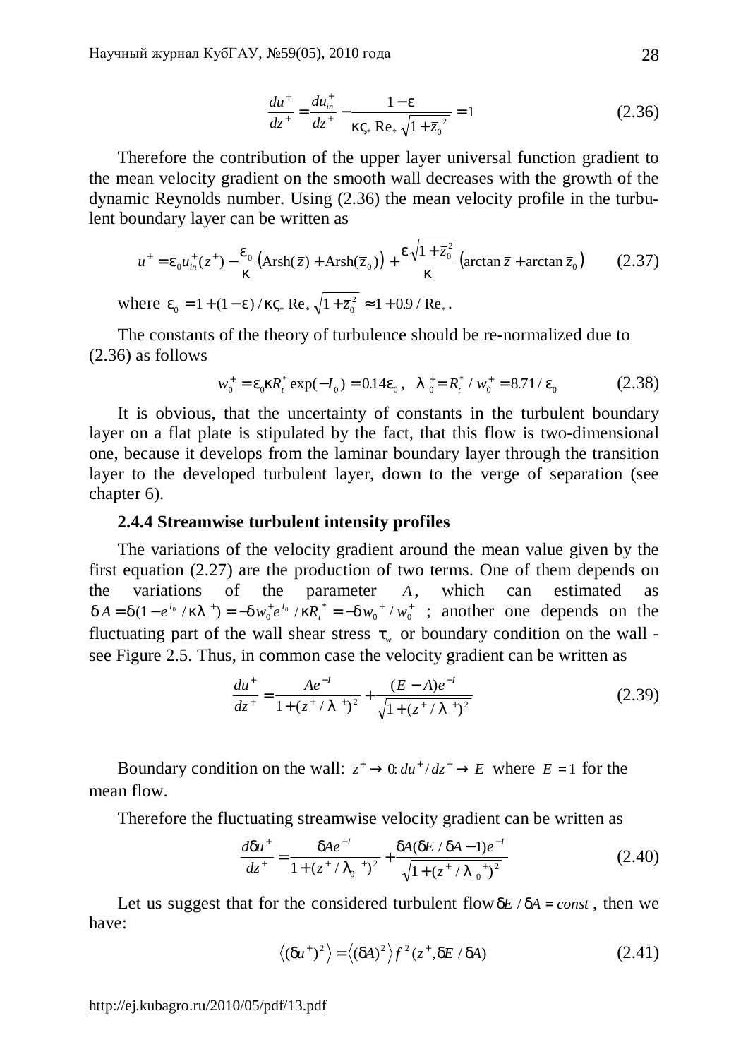$$
\frac{du^+}{dz^+} = \frac{du_{in}^+}{dz^+} - \frac{1-e}{kV_* \text{ Re}_* \sqrt{1 + \bar{z}_0^2}} = 1
$$
\n(2.36)

Therefore the contribution of the upper layer universal function gradient to the mean velocity gradient on the smooth wall decreases with the growth of the dynamic Reynolds number. Using (2.36) the mean velocity profile in the turbulent boundary layer can be written as

$$
u^+ = e_0 u^+_m(z^+) - \frac{e_0}{k} \left( \text{Arsh}(\bar{z}) + \text{Arsh}(\bar{z}_0) \right) + \frac{e \sqrt{1 + \bar{z}_0^2}}{k} \left( \arctan \bar{z} + \arctan \bar{z}_0 \right) \tag{2.37}
$$

where  $e_0 = 1 + (1 - e) / kV_* \text{Re}_* \sqrt{1 + \bar{z}_0^2} \approx 1 + 0.9 / \text{Re}_*$ .

The constants of the theory of turbulence should be re-normalized due to (2.36) as follows

$$
w_0^+ = e_0 k R_t^* \exp(-I_0) = 0.14 e_0, \quad I_0^+ = R_t^* / w_0^+ = 8.71 / e_0 \tag{2.38}
$$

It is obvious, that the uncertainty of constants in the turbulent boundary layer on a flat plate is stipulated by the fact, that this flow is two-dimensional one, because it develops from the laminar boundary layer through the transition layer to the developed turbulent layer, down to the verge of separation (see chapter 6).

# **2.4.4 Streamwise turbulent intensity profiles**

The variations of the velocity gradient around the mean value given by the first equation (2.27) are the production of two terms. One of them depends on the variations of the parameter *A*, which can estimated as  $dA = d(1 - e^{I_0} / kI^+) = -dw_0^+ e^{I_0} / kR_t^* = -dw_0^+ / w_0^+$ ; another one depends on the fluctuating part of the wall shear stress  $t<sub>w</sub>$  or boundary condition on the wall see Figure 2.5. Thus, in common case the velocity gradient can be written as

$$
\frac{du^+}{dz^+} = \frac{Ae^{-I}}{1 + (z^+ / I^+)^2} + \frac{(E - A)e^{-I}}{\sqrt{1 + (z^+ / I^+)^2}}
$$
(2.39)

Boundary condition on the wall:  $z^+ \rightarrow 0$ :  $du^+ / dz^+ \rightarrow E$  where  $E = 1$  for the mean flow.

Therefore the fluctuating streamwise velocity gradient can be written as

$$
\frac{d\mathbf{d}u^{+}}{dz^{+}} = \frac{dAe^{-I}}{1 + (z^{+} / I_{0}^{+})^{2}} + \frac{dA(dE/dA - 1)e^{-I}}{\sqrt{1 + (z^{+} / I_{0}^{+})^{2}}}
$$
(2.40)

Let us suggest that for the considered turbulent flow  $dE/dA = const$ , then we have:

$$
\langle (du^{\dagger})^2 \rangle = \langle (dA)^2 \rangle f^2(z^{\dagger}, dE / dA)
$$
 (2.41)

<http://ej.kubagro.ru/2010/05/pdf/13.pdf>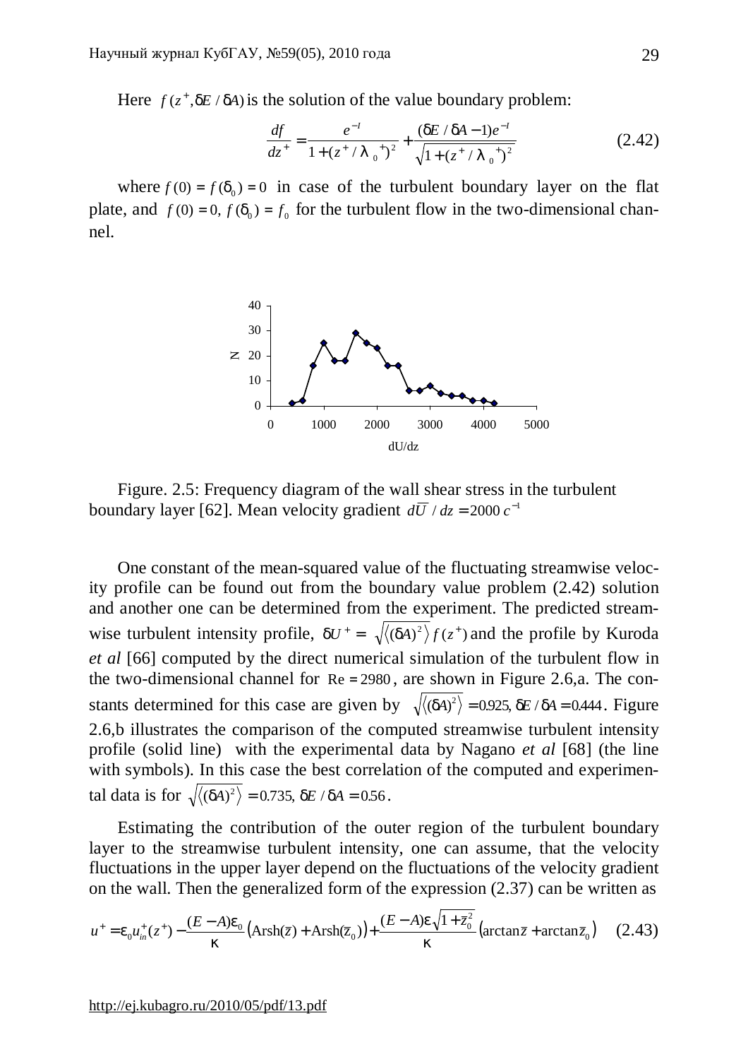Here  $f(z^+, dE / dA)$  is the solution of the value boundary problem:

$$
\frac{df}{dz^+} = \frac{e^{-1}}{1 + (z^+ / I_0^+)^2} + \frac{(dE/dA - 1)e^{-1}}{\sqrt{1 + (z^+ / I_0^+)^2}}
$$
(2.42)

where  $f(0) = f(d_0) = 0$  in case of the turbulent boundary layer on the flat plate, and  $f(0) = 0$ ,  $f(d_0) = f_0$  for the turbulent flow in the two-dimensional channel.



Figure. 2.5: Frequency diagram of the wall shear stress in the turbulent boundary layer [62]. Mean velocity gradient  $d\overline{U} / dz = 2000 \, c^{-1}$ 

One constant of the mean-squared value of the fluctuating streamwise velocity profile can be found out from the boundary value problem (2.42) solution and another one can be determined from the experiment. The predicted streamwise turbulent intensity profile,  $dU^+ = \sqrt{\langle (dA)^2 \rangle} f(z^+)$  and the profile by Kuroda *et al* [66] computed by the direct numerical simulation of the turbulent flow in the two-dimensional channel for  $Re = 2980$ , are shown in Figure 2.6,a. The constants determined for this case are given by  $\sqrt{\langle (dA)^2 \rangle} = 0.925$ ,  $dE / dA = 0.444$ . Figure 2.6,b illustrates the comparison of the computed streamwise turbulent intensity profile (solid line) with the experimental data by Nagano *et al* [68] (the line with symbols). In this case the best correlation of the computed and experimental data is for  $\sqrt{\langle (dA)^2 \rangle} = 0.735$ , *dE* / *dA* = 0.56.

Estimating the contribution of the outer region of the turbulent boundary layer to the streamwise turbulent intensity, one can assume, that the velocity fluctuations in the upper layer depend on the fluctuations of the velocity gradient on the wall. Then the generalized form of the expression (2.37) can be written as

$$
u^{+} = e_0 u_{in}^{+}(z^{+}) - \frac{(E - A)e_0}{k} \left( \text{Arsh}(\bar{z}) + \text{Arsh}(\bar{z}_0) \right) + \frac{(E - A)e_0 \sqrt{1 + \bar{z}_0^2}}{k} \left( \arctan \bar{z} + \arctan \bar{z}_0 \right) \tag{2.43}
$$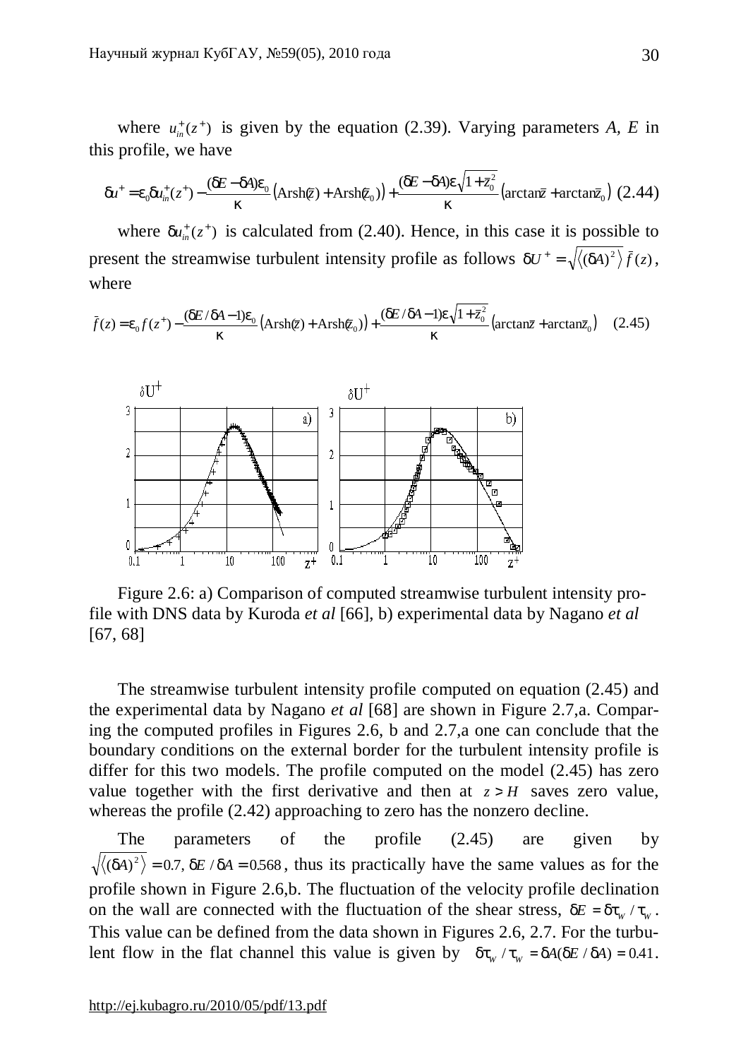where  $u_{in}^+(z^+)$  is given by the equation (2.39). Varying parameters *A*, *E* in this profile, we have

$$
du^+ = e_0 du^+_{in}(z^+) - \frac{(dE - dA)e_0}{k} \left( \text{Arsh}(\overline{z}) + \text{Arsh}(\overline{z}_0) \right) + \frac{(dE - dA)e_0 \sqrt{1 + \overline{z}_0^2}}{k} \left( \arctan \overline{z} + \arctan \overline{z}_0 \right) (2.44)
$$

where  $du_{in}^{+}(z^{+})$  is calculated from (2.40). Hence, in this case it is possible to present the streamwise turbulent intensity profile as follows  $dU^+ = \sqrt{\langle (dA)^2 \rangle} \bar{f}(z)$ , where

$$
\bar{f}(z) = e_0 f(z^+) - \frac{(dE/dA - 1)e_0}{k} \left( \text{Arsh}(\bar{z}) + \text{Arsh}(\bar{z}_0) \right) + \frac{(dE/dA - 1)e\sqrt{1 + \bar{z}_0^2}}{k} \left( \arctan\bar{z} + \arctan\bar{z}_0 \right) \tag{2.45}
$$



Figure 2.6: a) Comparison of computed streamwise turbulent intensity profile with DNS data by Kuroda *et al* [66], b) experimental data by Nagano *et al* [67, 68]

The streamwise turbulent intensity profile computed on equation (2.45) and the experimental data by Nagano *et al* [68] are shown in Figure 2.7,a. Comparing the computed profiles in Figures 2.6, b and 2.7,a one can conclude that the boundary conditions on the external border for the turbulent intensity profile is differ for this two models. The profile computed on the model (2.45) has zero value together with the first derivative and then at  $z > H$  saves zero value, whereas the profile (2.42) approaching to zero has the nonzero decline.

The parameters of the profile (2.45) are given by  $(dA)^2$  = 0.7, *dE* / *dA* = 0.568, thus its practically have the same values as for the profile shown in Figure 2.6,b. The fluctuation of the velocity profile declination on the wall are connected with the fluctuation of the shear stress,  $dE = dt_w / t_w$ . This value can be defined from the data shown in Figures 2.6, 2.7. For the turbulent flow in the flat channel this value is given by  $dt_w / t_w = dA(dE / dA) = 0.41$ .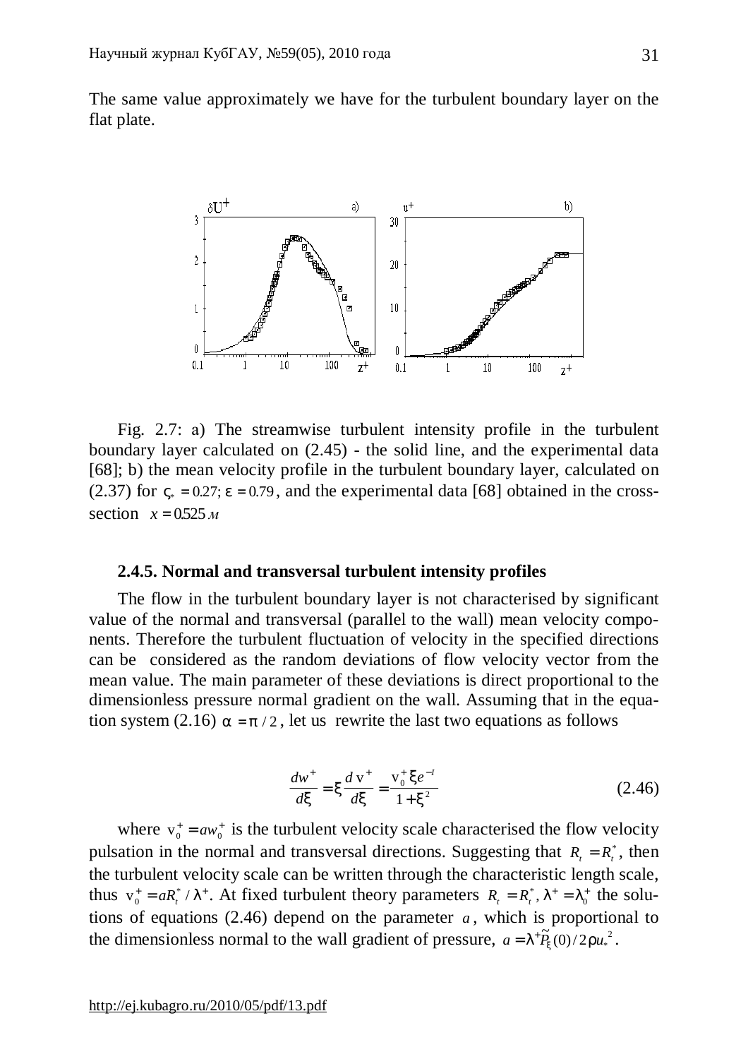The same value approximately we have for the turbulent boundary layer on the flat plate.



Fig. 2.7: а) The streamwise turbulent intensity profile in the turbulent boundary layer calculated on (2.45) - the solid line, and the experimental data [68]; b) the mean velocity profile in the turbulent boundary layer, calculated on (2.37) for  $V_* = 0.27$ ;  $e = 0.79$ , and the experimental data [68] obtained in the crosssection  $x = 0.525 M$ 

### **2.4.5. Normal and transversal turbulent intensity profiles**

The flow in the turbulent boundary layer is not characterised by significant value of the normal and transversal (parallel to the wall) mean velocity components. Therefore the turbulent fluctuation of velocity in the specified directions can be considered as the random deviations of flow velocity vector from the mean value. The main parameter of these deviations is direct proportional to the dimensionless pressure normal gradient on the wall. Assuming that in the equation system (2.16)  $a = p/2$ , let us rewrite the last two equations as follows

$$
\frac{dw^+}{dx} = x\frac{d\,\mathrm{v}^+}{dx} = \frac{\mathrm{v}_0^+ x e^{-t}}{1 + x^2} \tag{2.46}
$$

where  $v_0^+ = aw_0^+$  is the turbulent velocity scale characterised the flow velocity pulsation in the normal and transversal directions. Suggesting that  $R_t = R_t^*$ , then the turbulent velocity scale can be written through the characteristic length scale, thus  $v_0^+ = aR_t^*$  / 0  $R_0^* = aR_t^* / I^*$ . At fixed turbulent theory parameters  $R_t = R_t^*$ ,  $I^* = I_0^*$  the solutions of equations (2.46) depend on the parameter  $a$ , which is proportional to the dimensionless normal to the wall gradient of pressure,  $a = I^+ \tilde{P}_x(0)/2r u_*^2$ .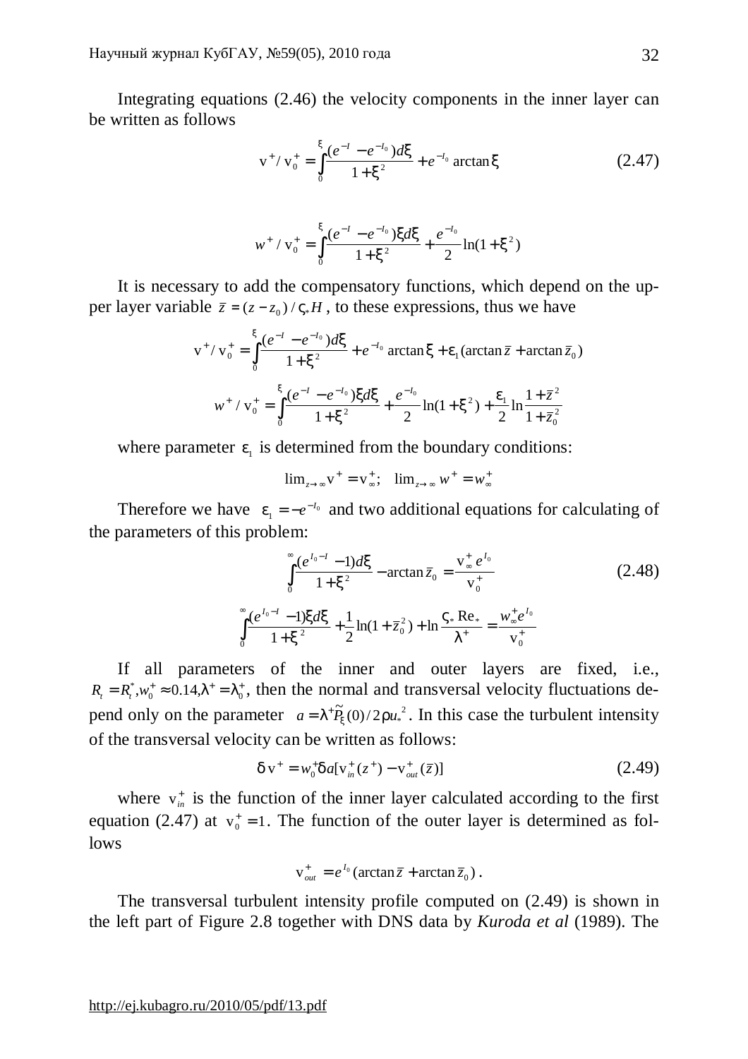Integrating equations (2.46) the velocity components in the inner layer can be written as follows

$$
v^{+}/v_{0}^{+} = \int_{0}^{x} \frac{(e^{-1} - e^{-t_{0}})dx}{1 + x^{2}} + e^{-t_{0}} \arctan x
$$
 (2.47)

$$
w^{+} / v_{0}^{+} = \int_{0}^{x} \frac{(e^{-1} - e^{-I_{0}}) x dx}{1 + x^{2}} + \frac{e^{-I_{0}}}{2} \ln(1 + x^{2})
$$

It is necessary to add the compensatory functions, which depend on the upper layer variable  $\bar{z} = (z - z_0) / V_* H$ , to these expressions, thus we have

$$
v^{+}/v_{0}^{+} = \int_{0}^{x} \frac{(e^{-t} - e^{-t_{0}})dx}{1 + x^{2}} + e^{-t_{0}} \arctan x + e_{1}(\arctan \overline{z} + \arctan \overline{z}_{0})
$$

$$
w^{+}/v_{0}^{+} = \int_{0}^{x} \frac{(e^{-t} - e^{-t_{0}})xdx}{1 + x^{2}} + \frac{e^{-t_{0}}}{2} \ln(1 + x^{2}) + \frac{e_{1}}{2} \ln \frac{1 + \overline{z}^{2}}{1 + \overline{z}_{0}^{2}}
$$

where parameter  $e_1$  is determined from the boundary conditions:

 $\lim_{z \to \infty} v^+ = v^+ \cdot$ ;  $\lim_{z \to \infty} w^+ = w$ ∞ + →∞ + ∞  $= v^+_{\infty}$ ;  $\lim_{z \to \infty} w^+ = w^+_{\infty}$ 

Therefore we have  $e_1 = -e^{-t_0}$  and two additional equations for calculating of the parameters of this problem:

$$
\int_{0}^{\infty} \frac{(e^{I_0 - I} - 1)dx}{1 + x^2} - \arctan \bar{z}_0 = \frac{v^+_* e^{I_0}}{v^+_0}
$$
(2.48)  

$$
\int_{0}^{\infty} \frac{(e^{I_0 - I} - 1)xdx}{1 + x^2} + \frac{1}{2}\ln(1 + \bar{z}_0^2) + \ln \frac{V_* \operatorname{Re}_*}{I^+} = \frac{w^+_* e^{I_0}}{v^+_0}
$$

If all parameters of the inner and outer layers are fixed, i.e.,  $R_t = R_t^*$ ,  $w_0^+ \approx 0.14$ ,  $I^+ = I_0^+$ , then the normal and transversal velocity fluctuations depend only on the parameter  $a = I^+ \tilde{P}_x(0)/2r^2 u^2$ . In this case the turbulent intensity of the transversal velocity can be written as follows:

$$
d\mathbf{v}^+ = w_0^+ da[\mathbf{v}_m^+(\mathbf{z}^+) - \mathbf{v}_{out}^+(\overline{\mathbf{z}})] \tag{2.49}
$$

.

where  $v_{in}^+$  is the function of the inner layer calculated according to the first equation (2.47) at  $v_0^+ = 1$ . The function of the outer layer is determined as follows

$$
v_{out}^+ = e^{I_0} (\arctan \overline{z} + \arctan \overline{z}_0)
$$

The transversal turbulent intensity profile computed on (2.49) is shown in the left part of Figure 2.8 together with DNS data by *Kuroda et al* (1989). The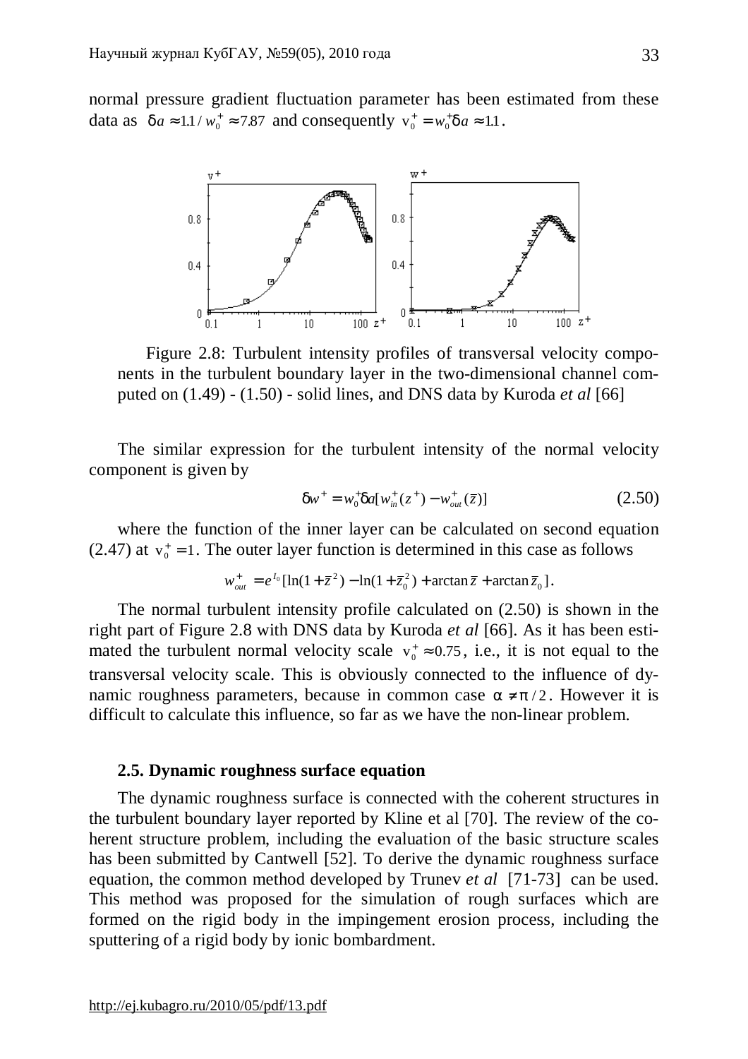normal pressure gradient fluctuation parameter has been estimated from these data as  $da \approx 1.1 / w_0^+ \approx 7.87$  and consequently  $v_0^+ = w_0^+ da \approx 1.1$ .



Figure 2.8: Turbulent intensity profiles of transversal velocity components in the turbulent boundary layer in the two-dimensional channel computed on (1.49) - (1.50) - solid lines, and DNS data by Kuroda *et al* [66]

The similar expression for the turbulent intensity of the normal velocity component is given by

$$
dw^{+} = w_{0}^{+} da[w_{in}^{+}(z^{+}) - w_{out}^{+}(\bar{z})]
$$
 (2.50)

where the function of the inner layer can be calculated on second equation (2.47) at  $v_0^+ = 1$ . The outer layer function is determined in this case as follows

$$
w_{out}^{+} = e^{I_0} [\ln(1 + \bar{z}^2) - \ln(1 + \bar{z}_0^2) + \arctan \bar{z} + \arctan \bar{z}_0].
$$

The normal turbulent intensity profile calculated on (2.50) is shown in the right part of Figure 2.8 with DNS data by Kuroda *et al* [66]. As it has been estimated the turbulent normal velocity scale  $v_0^+ \approx 0.75$ , i.e., it is not equal to the transversal velocity scale. This is obviously connected to the influence of dynamic roughness parameters, because in common case  $a \neq p/2$ . However it is difficult to calculate this influence, so far as we have the non-linear problem.

# **2.5. Dynamic roughness surface equation**

The dynamic roughness surface is connected with the coherent structures in the turbulent boundary layer reported by Kline et al [70]. The review of the coherent structure problem, including the evaluation of the basic structure scales has been submitted by Cantwell [52]. To derive the dynamic roughness surface equation, the common method developed by Trunev *et al* [71-73] can be used. This method was proposed for the simulation of rough surfaces which are formed on the rigid body in the impingement erosion process, including the sputtering of a rigid body by ionic bombardment.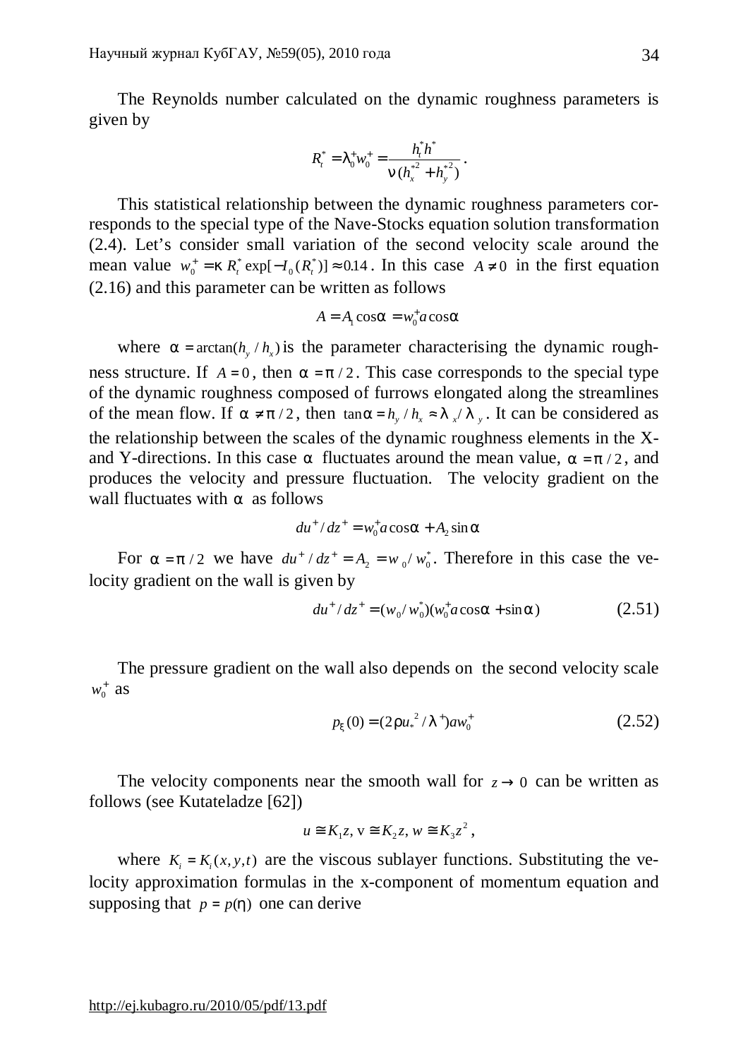The Reynolds number calculated on the dynamic roughness parameters is given by

$$
R_t^* = I_0^+ w_0^+ = \frac{h_t^* h^*}{n (h_x^{*2} + h_y^{*2})}.
$$

This statistical relationship between the dynamic roughness parameters corresponds to the special type of the Nave-Stocks equation solution transformation (2.4). Let's consider small variation of the second velocity scale around the mean value  $w_0^+ = k R_t^* \exp[-I_0(R_t^*)] \approx 0.14$ . In this case  $A \neq 0$  in the first equation (2.16) and this parameter can be written as follows

$$
A = A_1 \cos a = w_0^{\dagger} a \cos a
$$

where  $a = \arctan(h_y/h_x)$  is the parameter characterising the dynamic roughness structure. If  $A = 0$ , then  $a = p/2$ . This case corresponds to the special type of the dynamic roughness composed of furrows elongated along the streamlines of the mean flow. If  $a \neq p/2$ , then  $\tan a = h_y / h_x \approx l_x / l_y$ . It can be considered as the relationship between the scales of the dynamic roughness elements in the Xand Y-directions. In this case *a* fluctuates around the mean value,  $a = p/2$ , and produces the velocity and pressure fluctuation. The velocity gradient on the wall fluctuates with *a* as follows

$$
du^+/dz^+ = w_0^+ a \cos a + A_2 \sin a
$$

For  $a = p/2$  we have  $du^+ / dz^+ = A_2 = w_0 / w_0^*$  $v_2 = w_0 / w_0^*$ . Therefore in this case the velocity gradient on the wall is given by

$$
du^{+}/dz^{+} = (w_0/w_0^*)(w_0^+ a \cos a + \sin a)
$$
 (2.51)

The pressure gradient on the wall also depends on the second velocity scale  $w_0^+$  as

$$
p_x(0) = (2ru_*^2/I^+)aw_0^+
$$
 (2.52)

The velocity components near the smooth wall for  $z \rightarrow 0$  can be written as follows (see Kutateladze [62])

$$
u \cong K_1 z, v \cong K_2 z, w \cong K_3 z^2,
$$

where  $K_i = K_i(x, y, t)$  are the viscous sublayer functions. Substituting the velocity approximation formulas in the x-component of momentum equation and supposing that  $p = p(h)$  one can derive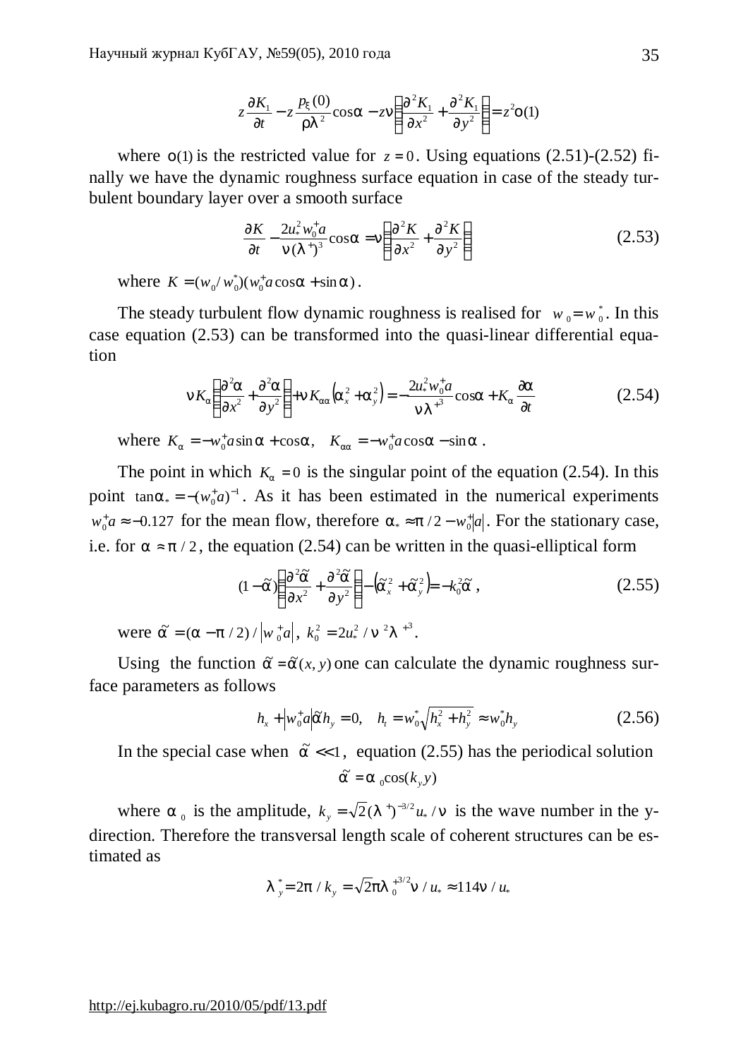$$
z\frac{\partial K_1}{\partial t} - z\frac{p_x(0)}{rI^2}\cos a - zn\left(\frac{\partial^2 K_1}{\partial x^2} + \frac{\partial^2 K_1}{\partial y^2}\right) = z^2 o(1)
$$

where  $o(1)$  is the restricted value for  $z = 0$ . Using equations (2.51)-(2.52) finally we have the dynamic roughness surface equation in case of the steady turbulent boundary layer over a smooth surface

$$
\frac{\partial K}{\partial t} - \frac{2u_*^2 w_0^+ a}{n(I^+)^3} \cos a = n \left( \frac{\partial^2 K}{\partial x^2} + \frac{\partial^2 K}{\partial y^2} \right)
$$
 (2.53)

where  $K = (w_0/w_0^*)(w_0^+ a \cos a + \sin a)$  $K = (w_0/w_0^*)(w_0^+ a \cos a + \sin a).$ 

The steady turbulent flow dynamic roughness is realised for  $w_0 = w_0^*$ . In this case equation (2.53) can be transformed into the quasi-linear differential equation

$$
nK_a \left( \frac{\partial^2 a}{\partial x^2} + \frac{\partial^2 a}{\partial y^2} \right) + nK_{aa} \left( a_x^2 + a_y^2 \right) = -\frac{2u_*^2 w_0^4 a}{nI^3} \cos a + K_a \frac{\partial a}{\partial t}
$$
 (2.54)

where  $K_a = -w_0^+ a \sin a + \cos a$ ,  $K_{aa} = -w_0^+ a \cos a - \sin a$ .

The point in which  $K_a = 0$  is the singular point of the equation (2.54). In this point  $tan a_* = -(w_0^+ a)^{-1}$ . As it has been estimated in the numerical experiments  $w_0^* a \approx -0.127$  for the mean flow, therefore  $a_* \approx p/2 - w_0^* |a|$ . For the stationary case, i.e. for  $a \approx p/2$ , the equation (2.54) can be written in the quasi-elliptical form

$$
(1 - \tilde{a})\left(\frac{\partial^2 \tilde{a}}{\partial x^2} + \frac{\partial^2 \tilde{a}}{\partial y^2}\right) - \left(\tilde{a}_x^2 + \tilde{a}_y^2\right) = -k_0^2 \tilde{a}, \qquad (2.55)
$$

were  $\tilde{a} = (a - p / 2) / |w_0^* a|, k_0^2 = 2u_*^2 / n^2 I^{3}$  $\binom{2}{*}$  / **n** <sup>2</sup>**l**  $+$ <sup>3</sup>.

Using the function  $\tilde{a} = \tilde{a}(x, y)$  one can calculate the dynamic roughness surface parameters as follows

$$
h_x + \left| w_0^+ a \right| \tilde{a} h_y = 0, \quad h_t = w_0^* \sqrt{h_x^2 + h_y^2} \approx w_0^* h_y \tag{2.56}
$$

In the special case when  $\tilde{a} \ll 1$ , equation (2.55) has the periodical solution  $\widetilde{a} = a_0 \cos(k_y y)$ 

where *a*<sub>0</sub> is the amplitude,  $k_y = \sqrt{2}(1^+)^{-3/2}u_x / n$  is the wave number in the ydirection. Therefore the transversal length scale of coherent structures can be estimated as

$$
I_{y}^{*} = 2p / k_{y} = \sqrt{2}pl_{0}^{+3/2}n / u_{*} \approx 114n / u_{*}
$$

## <http://ej.kubagro.ru/2010/05/pdf/13.pdf>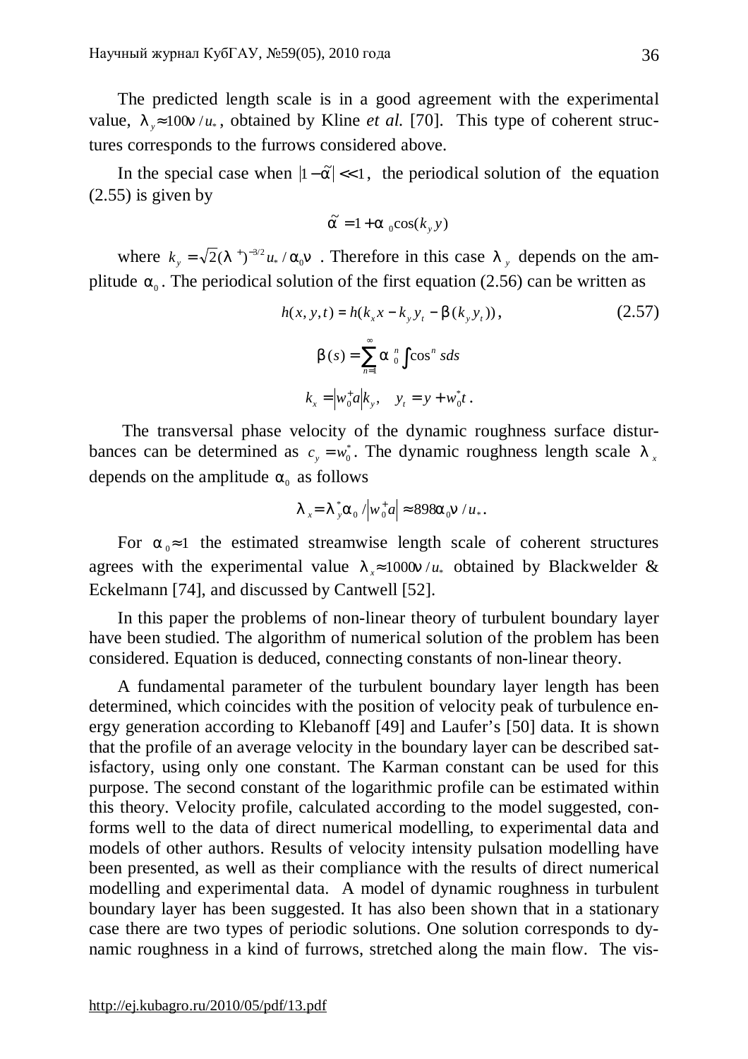The predicted length scale is in a good agreement with the experimental value,  $l_{\nu} \approx 100n/u_*$ , obtained by Kline *et al.* [70]. This type of coherent structures corresponds to the furrows considered above.

In the special case when  $|1 - \tilde{a}| \ll 1$ , the periodical solution of the equation  $(2.55)$  is given by

$$
\widetilde{a} = 1 + a_0 \cos(k_y y)
$$

where  $k_y = \sqrt{2}(1^{\degree}C)^{-3/2}u$  $(1<sup>{+}</sup>)<sup>{-3/2}</sup>u_* / a_0 n$ . Therefore in this case  $l_y$  depends on the amplitude  $a_0$ . The periodical solution of the first equation (2.56) can be written as

$$
h(x, y, t) = h(k_x x - k_y y_t - b(k_y y_t)),
$$
\n
$$
b(s) = \sum_{n=1}^{\infty} a_0^n \int \cos^n s ds
$$
\n
$$
k_x = \left| w_0^+ a \right| k_y, \quad y_t = y + w_0^* t.
$$
\n(2.57)

The transversal phase velocity of the dynamic roughness surface disturbances can be determined as  $c_y = w_0^*$ . The dynamic roughness length scale *l*  $_x$ depends on the amplitude  $a_0$  as follows

$$
I_x = I_y^* a_0 / w_0^* a \approx 898 a_0 n / u_*.
$$

For  $a_0 \approx 1$  the estimated streamwise length scale of coherent structures agrees with the experimental value  $I_{x} \approx 1000 n / u_{*}$  obtained by Blackwelder & Eckelmann [74], and discussed by Cantwell [52].

In this paper the problems of non-linear theory of turbulent boundary layer have been studied. The algorithm of numerical solution of the problem has been considered. Equation is deduced, connecting constants of non-linear theory.

A fundamental parameter of the turbulent boundary layer length has been determined, which coincides with the position of velocity peak of turbulence energy generation according to Klebanoff [49] and Laufer's [50] data. It is shown that the profile of an average velocity in the boundary layer can be described satisfactory, using only one constant. The Karman constant can be used for this purpose. The second constant of the logarithmic profile can be estimated within this theory. Velocity profile, calculated according to the model suggested, conforms well to the data of direct numerical modelling, to experimental data and models of other authors. Results of velocity intensity pulsation modelling have been presented, as well as their compliance with the results of direct numerical modelling and experimental data. A model of dynamic roughness in turbulent boundary layer has been suggested. It has also been shown that in a stationary case there are two types of periodic solutions. One solution corresponds to dynamic roughness in a kind of furrows, stretched along the main flow. The vis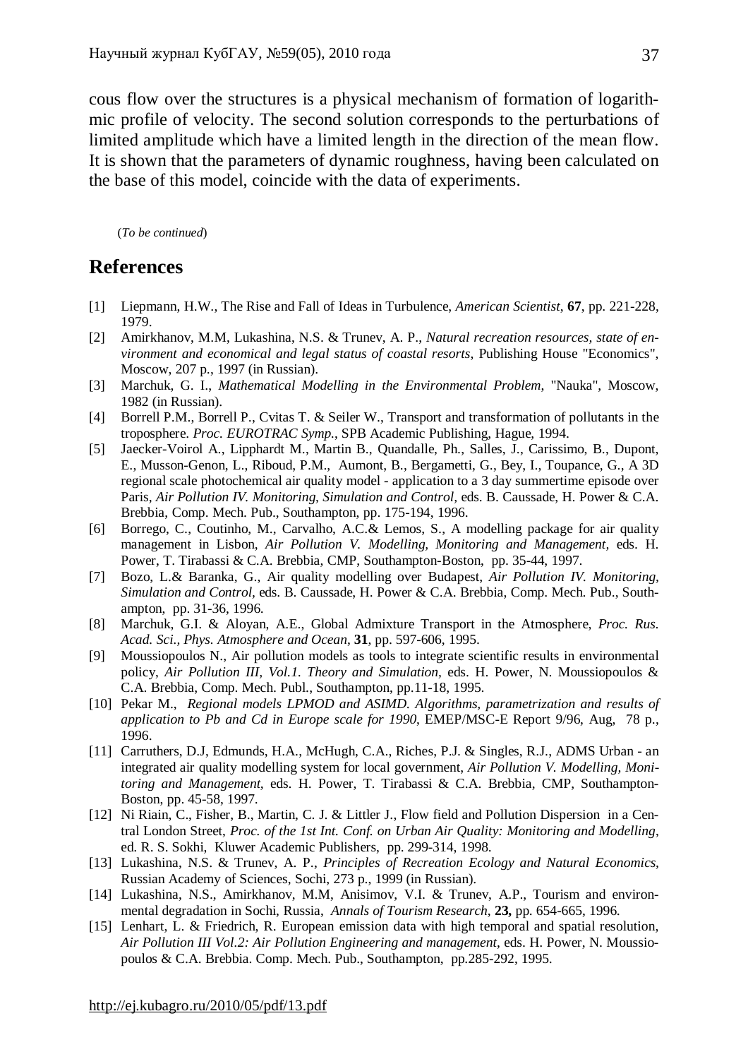cous flow over the structures is a physical mechanism of formation of logarithmic profile of velocity. The second solution corresponds to the perturbations of limited amplitude which have a limited length in the direction of the mean flow. It is shown that the parameters of dynamic roughness, having been calculated on the base of this model, coincide with the data of experiments.

(*To be continued*)

# **References**

- [1] Liepmann, H.W., The Rise and Fall of Ideas in Turbulence, *American Scientist*, **67**, pp. 221-228, 1979.
- [2] Amirkhanov, M.M, Lukashina, N.S. & Trunev, A. P., *Natural recreation resources, state of environment and economical and legal status of coastal resorts*, Publishing House "Economics", Moscow, 207 p., 1997 (in Russian).
- [3] Marchuk, G. I., *Mathematical Modelling in the Environmental Problem*, "Nauka", Moscow, 1982 (in Russian).
- [4] Borrell P.M., Borrell P., Cvitas T. & Seiler W., Transport and transformation of pollutants in the troposphere. *Proc. EUROTRAC Symp.*, SPB Academic Publishing, Hague, 1994.
- [5] Jaecker-Voirol A., Lipphardt M., Martin B., Quandalle, Ph., Salles, J., Carissimo, B., Dupont, E., Musson-Genon, L., Riboud, P.M., Aumont, B., Bergametti, G., Bey, I., Toupance, G., A 3D regional scale photochemical air quality model - application to a 3 day summertime episode over Paris*, Air Pollution IV. Monitoring, Simulation and Control,* eds. B. Caussade, H. Power & C.A. Brebbia, Comp. Mech. Pub., Southampton, pp. 175-194, 1996.
- [6] Borrego, C., Coutinho, M., Carvalho, A.C.& Lemos, S., A modelling package for air quality management in Lisbon, *Air Pollution V. Modelling, Monitoring and Management,* eds. H. Power, T. Tirabassi & C.A. Brebbia, CMP, Southampton-Boston, pp. 35-44, 1997.
- [7] Bozo, L.& Baranka, G., Air quality modelling over Budapest, *Air Pollution IV. Monitoring, Simulation and Control,* eds. B. Caussade, H. Power & C.A. Brebbia, Comp. Mech. Pub., Southampton, pp. 31-36, 1996.
- [8] Marchuk, G.I. & Aloyan, A.E., Global Admixture Transport in the Atmosphere, *Proc. Rus. Acad. Sci., Phys. Atmosphere and Ocean*, **31**, pp. 597-606, 1995.
- [9] Moussiopoulos N., Air pollution models as tools to integrate scientific results in environmental policy, *Air Pollution III, Vol.1. Theory and Simulation,* eds. H. Power, N. Moussiopoulos & C.A. Brebbia, Comp. Mech. Publ., Southampton, pp.11-18, 1995.
- [10] Pekar M., *Regional models LPMOD and ASIMD. Algorithms, parametrization and results of application to Pb and Cd in Europe scale for 1990*, EMEP/MSC-E Report 9/96, Aug, 78 p., 1996.
- [11] Carruthers, D.J, Edmunds, H.A., McHugh, C.A., Riches, P.J. & Singles, R.J., ADMS Urban an integrated air quality modelling system for local government, *Air Pollution V. Modelling, Monitoring and Management,* eds. H. Power, T. Tirabassi & C.A. Brebbia, CMP, Southampton-Boston, pp. 45-58, 1997.
- [12] Ni Riain, C., Fisher, B., Martin, C. J. & Littler J., Flow field and Pollution Dispersion in a Central London Street, *Proc. of the 1st Int. Conf. on Urban Air Quality: Monitoring and Modelling*, ed. R. S. Sokhi, Kluwer Academic Publishers, pp. 299-314, 1998.
- [13] Lukashina, N.S. & Trunev, A. P., *Principles of Recreation Ecology and Natural Economics,* Russian Academy of Sciences, Sochi, 273 p., 1999 (in Russian).
- [14] Lukashina, N.S., Amirkhanov, M.M, Anisimov, V.I. & Trunev, A.P., Tourism and environmental degradation in Sochi, Russia, *Annals of Tourism Research*, **23,** pp. 654-665, 1996.
- [15] Lenhart, L. & Friedrich, R. European emission data with high temporal and spatial resolution, *Air Pollution III Vol.2: Air Pollution Engineering and management*, eds. H. Power, N. Moussiopoulos & C.A. Brebbia. Comp. Mech. Pub., Southampton, pp.285-292, 1995.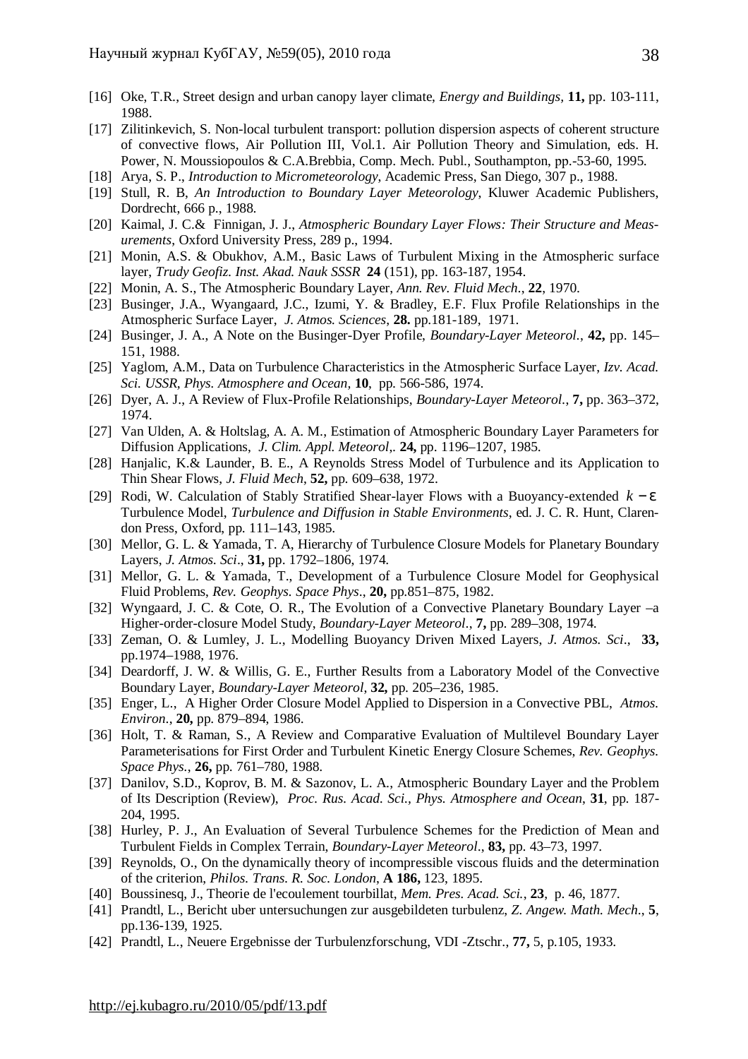- [16] Oke, T.R., Street design and urban canopy layer climate, *Energy and Buildings,* **11,** pp. 103-111, 1988.
- [17] Zilitinkevich, S. Non-local turbulent transport: pollution dispersion aspects of coherent structure of convective flows, Air Pollution III, Vol.1. Air Pollution Theory and Simulation, eds. H. Power, N. Moussiopoulos & C.A.Brebbia, Comp. Mech. Publ., Southampton, рр.-53-60, 1995.
- [18] Arya, S. P., *Introduction to Micrometeorology*, Academic Press, San Diego, 307 p., 1988.
- [19] Stull, R. B, *An Introduction to Boundary Layer Meteorology*, Kluwer Academic Publishers, Dordrecht, 666 p., 1988.
- [20] Kaimal, J. C.& Finnigan, J. J., *Atmospheric Boundary Layer Flows: Their Structure and Measurements*, Oxford University Press, 289 p., 1994.
- [21] Monin, A.S. & Obukhov, A.M., Basic Laws of Turbulent Mixing in the Atmospheric surface layer, *Trudy Geofiz. Inst. Akad. Nauk SSSR* **24** (151), pp. 163-187, 1954.
- [22] Monin, A. S., The Atmospheric Boundary Layer, *Ann. Rev. Fluid Mech*., **22**, 1970.
- [23] Businger, J.A., Wyangaard, J.C., Izumi, Y. & Bradley, E.F. Flux Profile Relationships in the Atmospheric Surface Layer, *J. Atmos. Sciences*, **28.** pp.181-189, 1971.
- [24] Businger, J. A., A Note on the Businger-Dyer Profile, *Boundary-Layer Meteorol.*, **42,** pp. 145– 151, 1988.
- [25] Yaglom, A.M., Data on Turbulence Characteristics in the Atmospheric Surface Layer, *Izv. Acad. Sci. USSR, Phys. Atmosphere and Ocean,* **10**, pp. 566-586, 1974.
- [26] Dyer, A. J., A Review of Flux-Profile Relationships, *Boundary-Layer Meteorol.*, **7,** pp. 363–372, 1974.
- [27] Van Ulden, A. & Holtslag, A. A. M., Estimation of Atmospheric Boundary Layer Parameters for Diffusion Applications, *J. Clim. Appl. Meteorol*,. **24,** pp. 1196–1207, 1985.
- [28] Hanjalic, K.& Launder, B. E., A Reynolds Stress Model of Turbulence and its Application to Thin Shear Flows, *J. Fluid Mech*, **52,** pp. 609–638, 1972.
- [29] Rodi, W. Calculation of Stably Stratified Shear-layer Flows with a Buoyancy-extended *k* − *e* Turbulence Model, *Turbulence and Diffusion in Stable Environments*, ed. J. C. R. Hunt, Clarendon Press, Oxford, pp. 111–143, 1985.
- [30] Mellor, G. L. & Yamada, T. A, Hierarchy of Turbulence Closure Models for Planetary Boundary Layers, *J. Atmos. Sci*., **31,** pp. 1792–1806, 1974.
- [31] Mellor, G. L. & Yamada, T., Development of a Turbulence Closure Model for Geophysical Fluid Problems, *Rev. Geophys. Space Phys*., **20,** pp.851–875, 1982.
- [32] Wyngaard, J. C. & Cote, O. R., The Evolution of a Convective Planetary Boundary Layer –a Higher-order-closure Model Study, *Boundary-Layer Meteorol*., **7,** pp. 289–308, 1974.
- [33] Zeman, O. & Lumley, J. L., Modelling Buoyancy Driven Mixed Layers, *J. Atmos. Sci*., **33,**  pp.1974–1988, 1976.
- [34] Deardorff, J. W. & Willis, G. E., Further Results from a Laboratory Model of the Convective Boundary Layer, *Boundary-Layer Meteorol*, **32,** pp. 205–236, 1985.
- [35] Enger, L., A Higher Order Closure Model Applied to Dispersion in a Convective PBL, *Atmos. Environ*., **20,** pp. 879–894, 1986.
- [36] Holt, T. & Raman, S., A Review and Comparative Evaluation of Multilevel Boundary Layer Parameterisations for First Order and Turbulent Kinetic Energy Closure Schemes, *Rev. Geophys. Space Phys.*, **26,** pp. 761–780, 1988.
- [37] Danilov, S.D., Koprov, B. M. & Sazonov, L. A., Atmospheric Boundary Layer and the Problem of Its Description (Review), *Proc. Rus. Acad. Sci., Phys. Atmosphere and Ocean*, **31**, pp. 187- 204, 1995.
- [38] Hurley, P. J., An Evaluation of Several Turbulence Schemes for the Prediction of Mean and Turbulent Fields in Complex Terrain, *Boundary-Layer Meteorol*., **83,** pp. 43–73, 1997.
- [39] Reynolds, O., On the dynamically theory of incompressible viscous fluids and the determination of the criterion, *Philos. Trans. R. Soc. London*, **A 186,** 123, 1895.
- [40] Boussinesq, J., Theorie de l'ecoulement tourbillat, *Mem. Pres. Acad. Sci.*, **23**, p. 46, 1877.
- [41] Prandtl, L., Bericht uber untersuchungen zur ausgebildeten turbulenz, *Z. Angew. Math. Mech*., **5**, pp.136-139, 1925.
- [42] Prandtl, L., Neuere Ergebnisse der Turbulenzforschung, VDI -Ztschr., **77,** 5, p.105, 1933.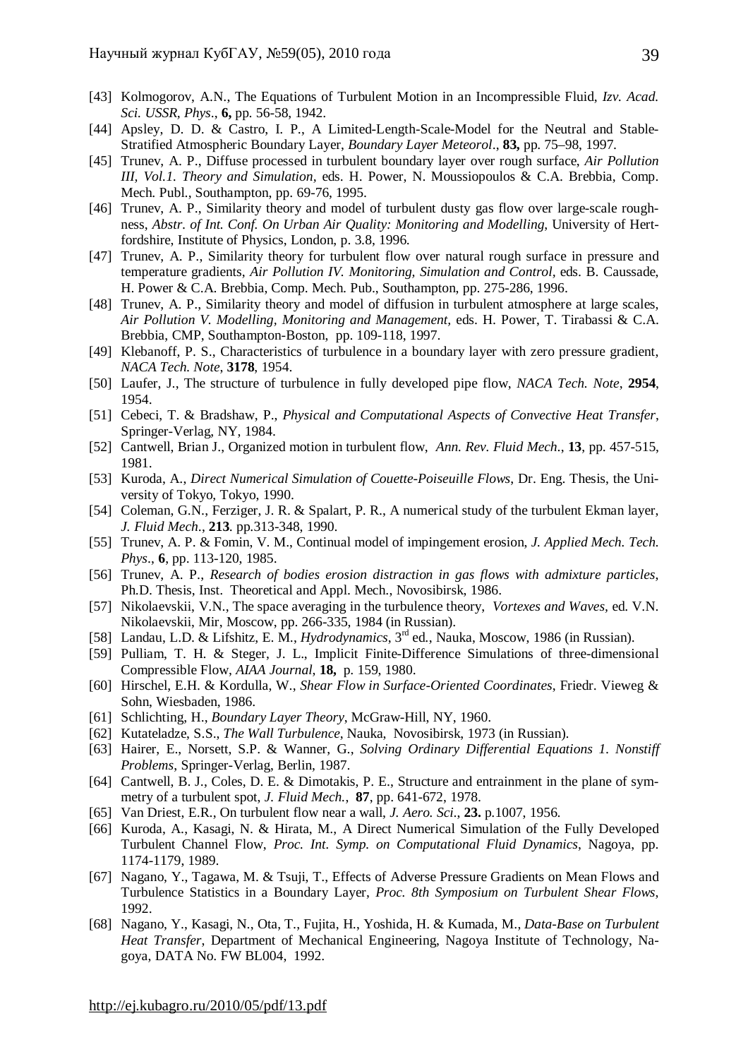- [43] Kolmogorov, A.N., The Equations of Turbulent Motion in an Incompressible Fluid, *Izv. Acad. Sci. USSR, Phys*., **6,** pp. 56-58, 1942.
- [44] Apsley, D. D. & Castro, I. P., A Limited-Length-Scale-Model for the Neutral and Stable-Stratified Atmospheric Boundary Layer, *Boundary Layer Meteorol*., **83,** pp. 75–98, 1997.
- [45] Trunev, A. P., Diffuse processed in turbulent boundary layer over rough surface, *Air Pollution III, Vol.1. Theory and Simulation,* eds. H. Power, N. Moussiopoulos & C.A. Brebbia, Comp. Mech. Publ., Southampton, pp. 69-76, 1995.
- [46] Trunev, A. P., Similarity theory and model of turbulent dusty gas flow over large-scale roughness, *Abstr. of Int. Conf. On Urban Air Quality: Monitoring and Modelling*, University of Hertfordshire, Institute of Physics, London, p. 3.8, 1996.
- [47] Trunev, A. P., Similarity theory for turbulent flow over natural rough surface in pressure and temperature gradients, *Air Pollution IV. Monitoring, Simulation and Control,* eds. B. Caussade, H. Power & C.A. Brebbia, Comp. Mech. Pub., Southampton, pp. 275-286, 1996.
- [48] Trunev, A. P., Similarity theory and model of diffusion in turbulent atmosphere at large scales, *Air Pollution V. Modelling, Monitoring and Management,* eds. H. Power, T. Tirabassi & C.A. Brebbia, CMP, Southampton-Boston, pp. 109-118, 1997.
- [49] Klebanoff, P. S., Characteristics of turbulence in a boundary layer with zero pressure gradient, *NACA Tech. Note*, **3178**, 1954.
- [50] Laufer, J., The structure of turbulence in fully developed pipe flow, *NACA Tech. Note*, **2954**, 1954.
- [51] Cebeci, T. & Bradshaw, P., *Physical and Computational Aspects of Convective Heat Transfer*, Springer-Verlag, NY, 1984.
- [52] Cantwell, Brian J., Organized motion in turbulent flow, *Ann. Rev. Fluid Mech*., **13**, pp. 457-515, 1981.
- [53] Kuroda, A., *Direct Numerical Simulation of Couette-Poiseuille Flows*, Dr. Eng. Thesis, the University of Tokyo, Tokyo, 1990.
- [54] Coleman, G.N., Ferziger, J. R. & Spalart, P. R., A numerical study of the turbulent Ekman layer, *J. Fluid Mech*., **213**. pp.313-348, 1990.
- [55] Trunev, A. P. & Fomin, V. M., Continual model of impingement erosion, *J. Applied Mech. Tech. Phys*., **6**, pp. 113-120, 1985.
- [56] Trunev, A. P., *Research of bodies erosion distraction in gas flows with admixture particles*, Ph.D. Thesis, Inst. Theoretical and Appl. Mech., Novosibirsk, 1986.
- [57] Nikolaevskii, V.N., The space averaging in the turbulence theory, *Vortexes and Waves,* ed. V.N. Nikolaevskii, Mir, Moscow, pp. 266-335, 1984 (in Russian).
- [58] Landau, L.D. & Lifshitz, E. M., *Hydrodynamics*, 3rd ed., Nauka, Moscow, 1986 (in Russian).
- [59] Pulliam, T. H. & Steger, J. L., Implicit Finite-Difference Simulations of three-dimensional Compressible Flow, *AIAA Journal*, **18,** p. 159, 1980.
- [60] Hirschel, E.H. & Kordulla, W., *Shear Flow in Surface-Oriented Coordinates*, Friedr. Vieweg & Sohn, Wiesbaden, 1986.
- [61] Schlichting, H., *Boundary Layer Theory*, McGraw-Hill, NY, 1960.
- [62] Kutateladze, S.S., *The Wall Turbulence*, Nauka, Novosibirsk, 1973 (in Russian).
- [63] Hairer, E., Norsett, S.P. & Wanner, G., *Solving Ordinary Differential Equations 1. Nonstiff Problems*, Springer-Verlag, Berlin, 1987.
- [64] Cantwell, B. J., Coles, D. E. & Dimotakis, P. E., Structure and entrainment in the plane of symmetry of a turbulent spot, *J. Fluid Mech.*, **87**, pp. 641-672, 1978.
- [65] Van Driest, E.R., On turbulent flow near a wall, *J. Aero. Sci*., **23.** p.1007, 1956.
- [66] Kuroda, A., Kasagi, N. & Hirata, M., A Direct Numerical Simulation of the Fully Developed Turbulent Channel Flow, *Proc. Int. Symp. on Computational Fluid Dynamics*, Nagoya, pp. 1174-1179, 1989.
- [67] Nagano, Y., Tagawa, M. & Tsuji, T., Effects of Adverse Pressure Gradients on Mean Flows and Turbulence Statistics in a Boundary Layer, *Proc. 8th Symposium on Turbulent Shear Flows*, 1992.
- [68] Nagano, Y., Kasagi, N., Ota, T., Fujita, H., Yoshida, H. & Kumada, M., *Data-Base on Turbulent Heat Transfer*, Department of Mechanical Engineering, Nagoya Institute of Technology, Nagoya, DATA No. FW BL004, 1992.